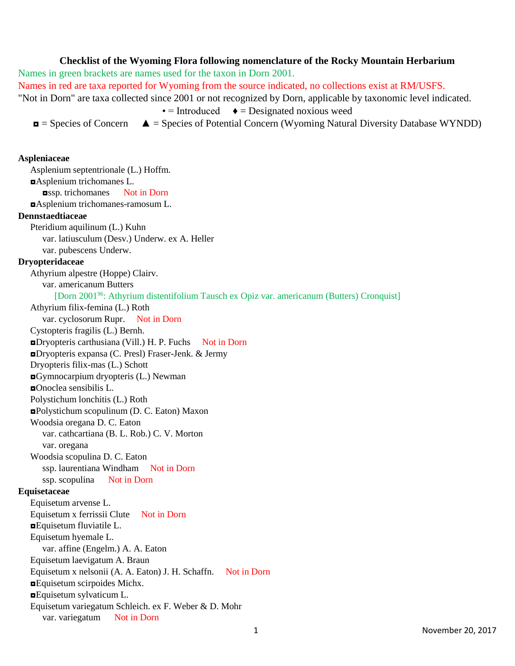## **Checklist of the Wyoming Flora following nomenclature of the Rocky Mountain Herbarium**

Names in green brackets are names used for the taxon in Dorn 2001. Names in red are taxa reported for Wyoming from the source indicated, no collections exist at RM/USFS. "Not in Dorn" are taxa collected since 2001 or not recognized by Dorn, applicable by taxonomic level indicated.

 $\bullet$  = Introduced  $\bullet$  = Designated noxious weed

 $\blacksquare$  = Species of Concern  $\blacktriangle$  = Species of Potential Concern (Wyoming Natural Diversity Database WYNDD)

## **Aspleniaceae**

Asplenium septentrionale (L.) Hoffm. ◘Asplenium trichomanes L. ◘ssp. trichomanes Not in Dorn ◘Asplenium trichomanes-ramosum L. **Dennstaedtiaceae** Pteridium aquilinum (L.) Kuhn var. latiusculum (Desv.) Underw. ex A. Heller var. pubescens Underw. **Dryopteridaceae** Athyrium alpestre (Hoppe) Clairv. var. americanum Butters [Dorn 2001<sup>96</sup>: Athyrium distentifolium Tausch ex Opiz var. americanum (Butters) Cronquist] Athyrium filix-femina (L.) Roth var. cyclosorum Rupr. Not in Dorn Cystopteris fragilis (L.) Bernh. ■Dryopteris carthusiana (Vill.) H. P. Fuchs Not in Dorn ◘Dryopteris expansa (C. Presl) Fraser-Jenk. & Jermy Dryopteris filix-mas (L.) Schott ◘Gymnocarpium dryopteris (L.) Newman ◘Onoclea sensibilis L. Polystichum lonchitis (L.) Roth ◘Polystichum scopulinum (D. C. Eaton) Maxon Woodsia oregana D. C. Eaton var. cathcartiana (B. L. Rob.) C. V. Morton var. oregana Woodsia scopulina D. C. Eaton ssp. laurentiana Windham Not in Dorn ssp. scopulina Not in Dorn **Equisetaceae** Equisetum arvense L. Equisetum x ferrissii Clute Not in Dorn ◘Equisetum fluviatile L. Equisetum hyemale L. var. affine (Engelm.) A. A. Eaton Equisetum laevigatum A. Braun Equisetum x nelsonii (A. A. Eaton) J. H. Schaffn. Not in Dorn ◘Equisetum scirpoides Michx. ◘Equisetum sylvaticum L. Equisetum variegatum Schleich. ex F. Weber & D. Mohr var. variegatum Not in Dorn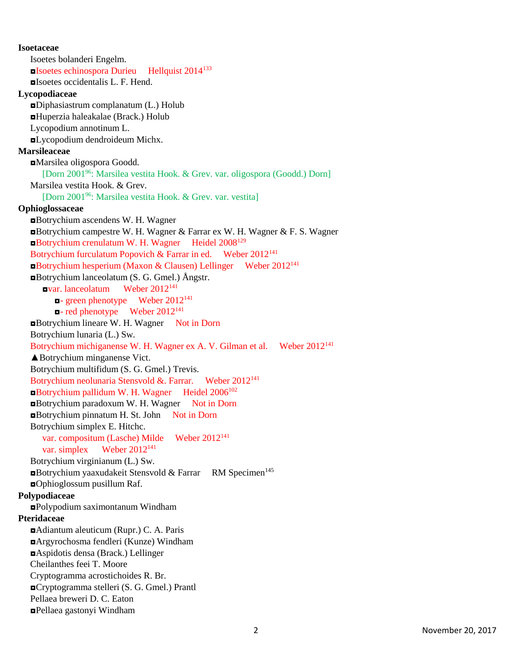**Isoetaceae** Isoetes bolanderi Engelm. **□Isoetes echinospora Durieu Hellquist 2014**<sup>133</sup> ◘Isoetes occidentalis L. F. Hend. **Lycopodiaceae** ◘Diphasiastrum complanatum (L.) Holub ◘Huperzia haleakalae (Brack.) Holub Lycopodium annotinum L. ◘Lycopodium dendroideum Michx. **Marsileaceae** ◘Marsilea oligospora Goodd. [Dorn 2001<sup>96</sup>: Marsilea vestita Hook. & Grev. var. oligospora (Goodd.) Dorn] Marsilea vestita Hook. & Grev. [Dorn 2001<sup>96</sup>: Marsilea vestita Hook. & Grev. var. vestita] **Ophioglossaceae** ◘Botrychium ascendens W. H. Wagner ◘Botrychium campestre W. H. Wagner & Farrar ex W. H. Wagner & F. S. Wagner ◘Botrychium crenulatum W. H. Wagner Heidel 2008<sup>129</sup> Botrychium furculatum Popovich & Farrar in ed. Weber 2012<sup>141</sup> ◘Botrychium hesperium (Maxon & Clausen) Lellinger Weber 2012<sup>141</sup> ◘Botrychium lanceolatum (S. G. Gmel.) Ångstr. ◘var. lanceolatum Weber 2012<sup>141</sup>  $\blacksquare$ - green phenotype Weber 2012<sup>141</sup>  $\blacksquare$ **- red phenotype** Weber 2012<sup>141</sup> ◘Botrychium lineare W. H. Wagner Not in Dorn Botrychium lunaria (L.) Sw. Botrychium michiganense W. H. Wagner ex A. V. Gilman et al. Weber 2012<sup>141</sup> ▲Botrychium minganense Vict. Botrychium multifidum (S. G. Gmel.) Trevis. Botrychium neolunaria Stensvold &. Farrar. Weber 2012<sup>141</sup> ◘Botrychium pallidum W. H. Wagner Heidel 2006<sup>102</sup> ◘Botrychium paradoxum W. H. Wagner Not in Dorn ◘Botrychium pinnatum H. St. John Not in Dorn Botrychium simplex E. Hitchc. var. compositum (Lasche) Milde Weber 2012<sup>141</sup> var. simplex Weber 2012<sup>141</sup> Botrychium virginianum (L.) Sw. ■Botrychium yaaxudakeit Stensvold & Farrar RM Specimen<sup>145</sup> ◘Ophioglossum pusillum Raf. **Polypodiaceae** ◘Polypodium saximontanum Windham **Pteridaceae** ◘Adiantum aleuticum (Rupr.) C. A. Paris ◘Argyrochosma fendleri (Kunze) Windham ◘Aspidotis densa (Brack.) Lellinger Cheilanthes feei T. Moore Cryptogramma acrostichoides R. Br. ◘Cryptogramma stelleri (S. G. Gmel.) Prantl Pellaea breweri D. C. Eaton ◘Pellaea gastonyi Windham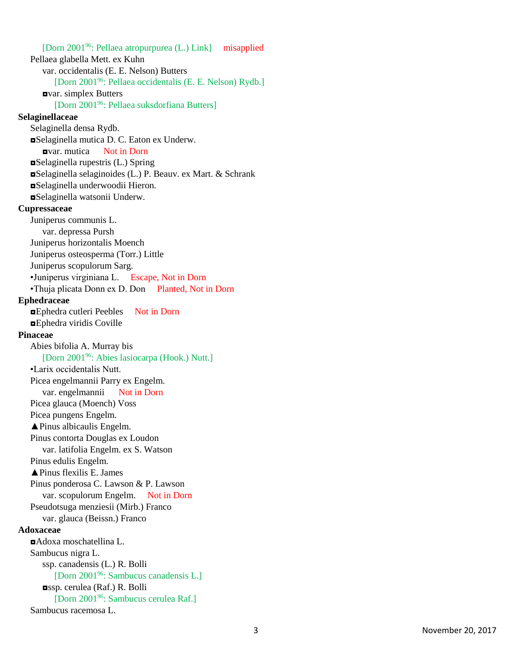[Dorn 2001<sup>96</sup>: Pellaea atropurpurea (L.) Link] misapplied Pellaea glabella Mett. ex Kuhn var. occidentalis (E. E. Nelson) Butters [Dorn 2001<sup>96</sup>: Pellaea occidentalis (E. E. Nelson) Rydb.] ◘var. simplex Butters [Dorn 2001<sup>96</sup>: Pellaea suksdorfiana Butters] **Selaginellaceae** Selaginella densa Rydb. ◘Selaginella mutica D. C. Eaton ex Underw. ◘var. mutica Not in Dorn ◘Selaginella rupestris (L.) Spring ◘Selaginella selaginoides (L.) P. Beauv. ex Mart. & Schrank ◘Selaginella underwoodii Hieron. ◘Selaginella watsonii Underw. **Cupressaceae** Juniperus communis L. var. depressa Pursh Juniperus horizontalis Moench Juniperus osteosperma (Torr.) Little Juniperus scopulorum Sarg. •Juniperus virginiana L. Escape, Not in Dorn •Thuja plicata Donn ex D. Don Planted, Not in Dorn **Ephedraceae** ◘Ephedra cutleri Peebles Not in Dorn ◘Ephedra viridis Coville **Pinaceae** Abies bifolia A. Murray bis [Dorn 2001<sup>96</sup>: Abies lasiocarpa (Hook.) Nutt.] •Larix occidentalis Nutt. Picea engelmannii Parry ex Engelm. var. engelmannii Not in Dorn Picea glauca (Moench) Voss Picea pungens Engelm. ▲Pinus albicaulis Engelm. Pinus contorta Douglas ex Loudon var. latifolia Engelm. ex S. Watson Pinus edulis Engelm. ▲Pinus flexilis E. James Pinus ponderosa C. Lawson & P. Lawson var. scopulorum Engelm. Not in Dorn Pseudotsuga menziesii (Mirb.) Franco var. glauca (Beissn.) Franco **Adoxaceae** ◘Adoxa moschatellina L. Sambucus nigra L. ssp. canadensis (L.) R. Bolli [Dorn 2001<sup>96</sup>: Sambucus canadensis L.] ◘ssp. cerulea (Raf.) R. Bolli [Dorn 2001<sup>96</sup>: Sambucus cerulea Raf.] Sambucus racemosa L.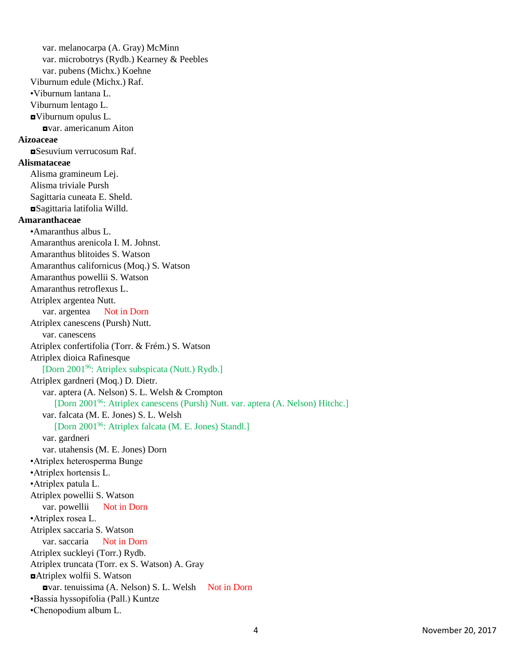var. melanocarpa (A. Gray) McMinn var. microbotrys (Rydb.) Kearney & Peebles var. pubens (Michx.) Koehne Viburnum edule (Michx.) Raf. •Viburnum lantana L. Viburnum lentago L. ◘Viburnum opulus L. ◘var. americanum Aiton **Aizoaceae** ◘Sesuvium verrucosum Raf. **Alismataceae** Alisma gramineum Lej. Alisma triviale Pursh Sagittaria cuneata E. Sheld. ◘Sagittaria latifolia Willd. **Amaranthaceae** •Amaranthus albus L. Amaranthus arenicola I. M. Johnst. Amaranthus blitoides S. Watson Amaranthus californicus (Moq.) S. Watson Amaranthus powellii S. Watson Amaranthus retroflexus L. Atriplex argentea Nutt. var. argentea Not in Dorn Atriplex canescens (Pursh) Nutt. var. canescens Atriplex confertifolia (Torr. & Frém.) S. Watson Atriplex dioica Rafinesque [Dorn 2001<sup>96</sup>: Atriplex subspicata (Nutt.) Rydb.] Atriplex gardneri (Moq.) D. Dietr. var. aptera (A. Nelson) S. L. Welsh & Crompton [Dorn 2001<sup>96</sup>: Atriplex canescens (Pursh) Nutt. var. aptera (A. Nelson) Hitchc.] var. falcata (M. E. Jones) S. L. Welsh [Dorn 2001<sup>96</sup>: Atriplex falcata (M. E. Jones) Standl.] var. gardneri var. utahensis (M. E. Jones) Dorn •Atriplex heterosperma Bunge •Atriplex hortensis L. •Atriplex patula L. Atriplex powellii S. Watson var. powellii Not in Dorn •Atriplex rosea L. Atriplex saccaria S. Watson var. saccaria Not in Dorn Atriplex suckleyi (Torr.) Rydb. Atriplex truncata (Torr. ex S. Watson) A. Gray ◘Atriplex wolfii S. Watson ◘var. tenuissima (A. Nelson) S. L. Welsh Not in Dorn •Bassia hyssopifolia (Pall.) Kuntze •Chenopodium album L.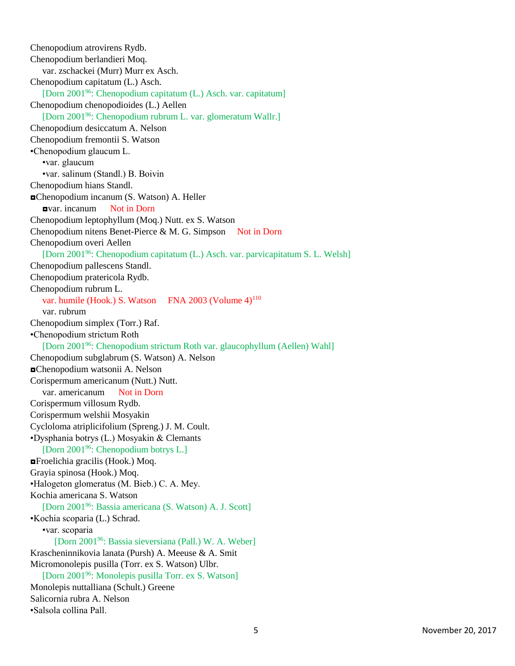Chenopodium atrovirens Rydb. Chenopodium berlandieri Moq. var. zschackei (Murr) Murr ex Asch. Chenopodium capitatum (L.) Asch. [Dorn 2001<sup>96</sup>: Chenopodium capitatum (L.) Asch. var. capitatum] Chenopodium chenopodioides (L.) Aellen [Dorn 2001<sup>96</sup>: Chenopodium rubrum L. var. glomeratum Wallr.] Chenopodium desiccatum A. Nelson Chenopodium fremontii S. Watson •Chenopodium glaucum L. •var. glaucum •var. salinum (Standl.) B. Boivin Chenopodium hians Standl. ◘Chenopodium incanum (S. Watson) A. Heller ◘var. incanum Not in Dorn Chenopodium leptophyllum (Moq.) Nutt. ex S. Watson Chenopodium nitens Benet-Pierce  $& M. G.$  Simpson Not in Dorn Chenopodium overi Aellen [Dorn 2001<sup>96</sup>: Chenopodium capitatum (L.) Asch. var. parvicapitatum S. L. Welsh] Chenopodium pallescens Standl. Chenopodium pratericola Rydb. Chenopodium rubrum L. var. humile (Hook.) S. Watson FNA 2003 (Volume 4)<sup>110</sup> var. rubrum Chenopodium simplex (Torr.) Raf. •Chenopodium strictum Roth [Dorn 2001<sup>96</sup>: Chenopodium strictum Roth var. glaucophyllum (Aellen) Wahl] Chenopodium subglabrum (S. Watson) A. Nelson ◘Chenopodium watsonii A. Nelson Corispermum americanum (Nutt.) Nutt. var. americanum Not in Dorn Corispermum villosum Rydb. Corispermum welshii Mosyakin Cycloloma atriplicifolium (Spreng.) J. M. Coult. •Dysphania botrys (L.) Mosyakin & Clemants [Dorn 2001<sup>96</sup>: Chenopodium botrys L.] ◘Froelichia gracilis (Hook.) Moq. Grayia spinosa (Hook.) Moq. •Halogeton glomeratus (M. Bieb.) C. A. Mey. Kochia americana S. Watson [Dorn 2001<sup>96</sup>: Bassia americana (S. Watson) A. J. Scott] •Kochia scoparia (L.) Schrad. •var. scoparia [Dorn 2001<sup>96</sup>: Bassia sieversiana (Pall.) W. A. Weber] Krascheninnikovia lanata (Pursh) A. Meeuse & A. Smit Micromonolepis pusilla (Torr. ex S. Watson) Ulbr. [Dorn 2001<sup>96</sup>: Monolepis pusilla Torr. ex S. Watson] Monolepis nuttalliana (Schult.) Greene Salicornia rubra A. Nelson •Salsola collina Pall.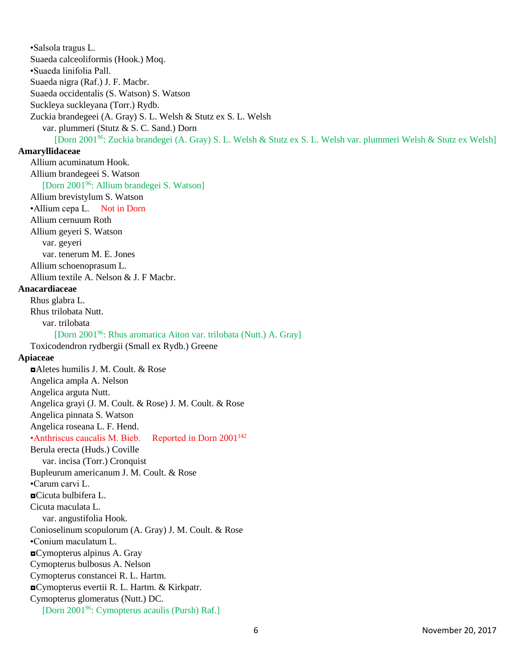•Salsola tragus L. Suaeda calceoliformis (Hook.) Moq. •Suaeda linifolia Pall. Suaeda nigra (Raf.) J. F. Macbr. Suaeda occidentalis (S. Watson) S. Watson Suckleya suckleyana (Torr.) Rydb. Zuckia brandegeei (A. Gray) S. L. Welsh & Stutz ex S. L. Welsh var. plummeri (Stutz & S. C. Sand.) Dorn [Dorn 2001<sup>96</sup>: Zuckia brandegei (A. Gray) S. L. Welsh & Stutz ex S. L. Welsh var. plummeri Welsh & Stutz ex Welsh] **Amaryllidaceae** Allium acuminatum Hook. Allium brandegeei S. Watson [Dorn 2001<sup>96</sup>: Allium brandegei S. Watson] Allium brevistylum S. Watson •Allium cepa L. Not in Dorn Allium cernuum Roth Allium geyeri S. Watson var. geyeri var. tenerum M. E. Jones Allium schoenoprasum L. Allium textile A. Nelson & J. F Macbr. **Anacardiaceae** Rhus glabra L. Rhus trilobata Nutt. var. trilobata [Dorn 2001<sup>96</sup>: Rhus aromatica Aiton var. trilobata (Nutt.) A. Gray] Toxicodendron rydbergii (Small ex Rydb.) Greene **Apiaceae** ◘Aletes humilis J. M. Coult. & Rose Angelica ampla A. Nelson Angelica arguta Nutt. Angelica grayi (J. M. Coult. & Rose) J. M. Coult. & Rose Angelica pinnata S. Watson Angelica roseana L. F. Hend. •Anthriscus caucalis M. Bieb. Reported in Dorn  $2001^{142}$ Berula erecta (Huds.) Coville var. incisa (Torr.) Cronquist Bupleurum americanum J. M. Coult. & Rose •Carum carvi L. ◘Cicuta bulbifera L. Cicuta maculata L. var. angustifolia Hook. Conioselinum scopulorum (A. Gray) J. M. Coult. & Rose •Conium maculatum L. ◘Cymopterus alpinus A. Gray Cymopterus bulbosus A. Nelson Cymopterus constancei R. L. Hartm. ◘Cymopterus evertii R. L. Hartm. & Kirkpatr. Cymopterus glomeratus (Nutt.) DC. [Dorn 200196: Cymopterus acaulis (Pursh) Raf.]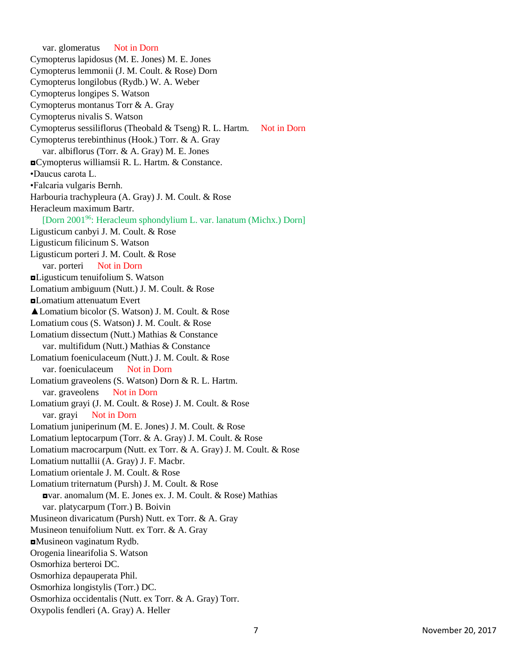var. glomeratus Not in Dorn Cymopterus lapidosus (M. E. Jones) M. E. Jones Cymopterus lemmonii (J. M. Coult. & Rose) Dorn Cymopterus longilobus (Rydb.) W. A. Weber Cymopterus longipes S. Watson Cymopterus montanus Torr & A. Gray Cymopterus nivalis S. Watson Cymopterus sessiliflorus (Theobald & Tseng) R. L. Hartm. Not in Dorn Cymopterus terebinthinus (Hook.) Torr. & A. Gray var. albiflorus (Torr. & A. Gray) M. E. Jones ◘Cymopterus williamsii R. L. Hartm. & Constance. •Daucus carota L. •Falcaria vulgaris Bernh. Harbouria trachypleura (A. Gray) J. M. Coult. & Rose Heracleum maximum Bartr. [Dorn 2001<sup>96</sup>: Heracleum sphondylium L. var. lanatum (Michx.) Dorn] Ligusticum canbyi J. M. Coult. & Rose Ligusticum filicinum S. Watson Ligusticum porteri J. M. Coult. & Rose var. porteri Not in Dorn ◘Ligusticum tenuifolium S. Watson Lomatium ambiguum (Nutt.) J. M. Coult. & Rose ◘Lomatium attenuatum Evert ▲Lomatium bicolor (S. Watson) J. M. Coult. & Rose Lomatium cous (S. Watson) J. M. Coult. & Rose Lomatium dissectum (Nutt.) Mathias & Constance var. multifidum (Nutt.) Mathias & Constance Lomatium foeniculaceum (Nutt.) J. M. Coult. & Rose var. foeniculaceum Not in Dorn Lomatium graveolens (S. Watson) Dorn & R. L. Hartm. var. graveolens Not in Dorn Lomatium grayi (J. M. Coult. & Rose) J. M. Coult. & Rose var. grayi Not in Dorn Lomatium juniperinum (M. E. Jones) J. M. Coult. & Rose Lomatium leptocarpum (Torr. & A. Gray) J. M. Coult. & Rose Lomatium macrocarpum (Nutt. ex Torr. & A. Gray) J. M. Coult. & Rose Lomatium nuttallii (A. Gray) J. F. Macbr. Lomatium orientale J. M. Coult. & Rose Lomatium triternatum (Pursh) J. M. Coult. & Rose ◘var. anomalum (M. E. Jones ex. J. M. Coult. & Rose) Mathias var. platycarpum (Torr.) B. Boivin Musineon divaricatum (Pursh) Nutt. ex Torr. & A. Gray Musineon tenuifolium Nutt. ex Torr. & A. Gray ◘Musineon vaginatum Rydb. Orogenia linearifolia S. Watson Osmorhiza berteroi DC. Osmorhiza depauperata Phil. Osmorhiza longistylis (Torr.) DC. Osmorhiza occidentalis (Nutt. ex Torr. & A. Gray) Torr. Oxypolis fendleri (A. Gray) A. Heller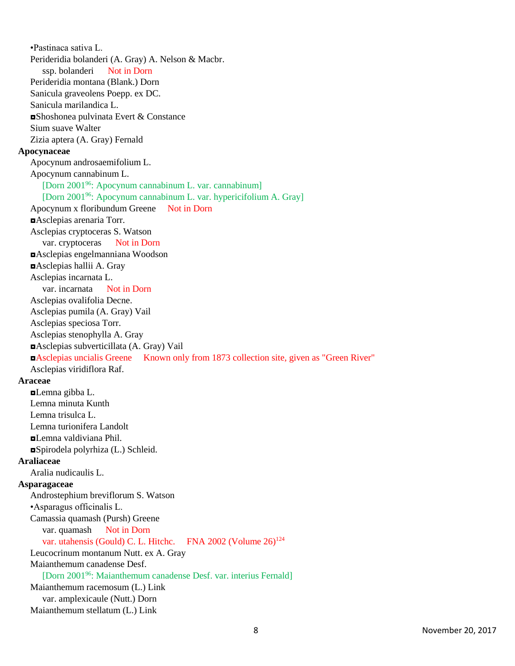•Pastinaca sativa L. Perideridia bolanderi (A. Gray) A. Nelson & Macbr. ssp. bolanderi Not in Dorn Perideridia montana (Blank.) Dorn Sanicula graveolens Poepp. ex DC. Sanicula marilandica L. ◘Shoshonea pulvinata Evert & Constance Sium suave Walter Zizia aptera (A. Gray) Fernald **Apocynaceae** Apocynum androsaemifolium L. Apocynum cannabinum L. [Dorn 2001<sup>96</sup>: Apocynum cannabinum L. var. cannabinum] [Dorn 2001<sup>96</sup>: Apocynum cannabinum L. var. hypericifolium A. Gray] Apocynum x floribundum Greene Not in Dorn ◘Asclepias arenaria Torr. Asclepias cryptoceras S. Watson var. cryptoceras Not in Dorn ◘Asclepias engelmanniana Woodson ◘Asclepias hallii A. Gray Asclepias incarnata L. var. incarnata Not in Dorn Asclepias ovalifolia Decne. Asclepias pumila (A. Gray) Vail Asclepias speciosa Torr. Asclepias stenophylla A. Gray ◘Asclepias subverticillata (A. Gray) Vail ◘Asclepias uncialis Greene Known only from 1873 collection site, given as "Green River" Asclepias viridiflora Raf. **Araceae**  $\n *L*$ **<sub>E</sub>Lemna** gibba L. Lemna minuta Kunth Lemna trisulca L. Lemna turionifera Landolt ◘Lemna valdiviana Phil. ◘Spirodela polyrhiza (L.) Schleid. **Araliaceae** Aralia nudicaulis L. **Asparagaceae** Androstephium breviflorum S. Watson •Asparagus officinalis L. Camassia quamash (Pursh) Greene var. quamash Not in Dorn var. utahensis (Gould) C. L. Hitchc. FNA 2002 (Volume 26)<sup>124</sup> Leucocrinum montanum Nutt. ex A. Gray Maianthemum canadense Desf. [Dorn 2001<sup>96</sup>: Maianthemum canadense Desf. var. interius Fernald] Maianthemum racemosum (L.) Link var. amplexicaule (Nutt.) Dorn Maianthemum stellatum (L.) Link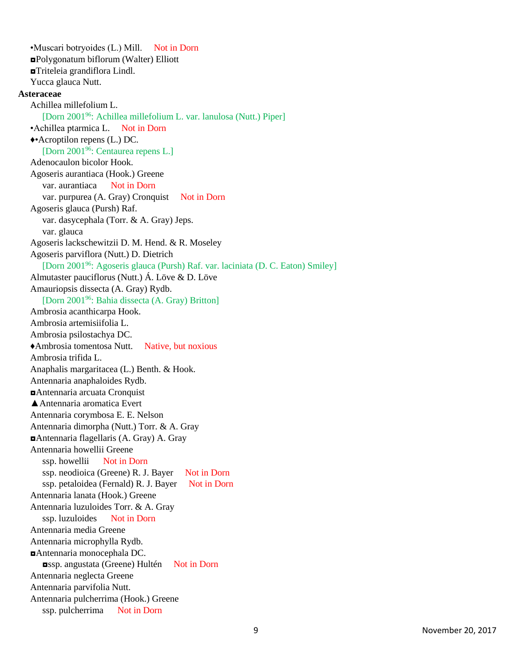•Muscari botryoides (L.) Mill. Not in Dorn ◘Polygonatum biflorum (Walter) Elliott ◘Triteleia grandiflora Lindl. Yucca glauca Nutt. **Asteraceae** Achillea millefolium L. [Dorn 2001<sup>96</sup>: Achillea millefolium L. var. lanulosa (Nutt.) Piper] •Achillea ptarmica L. Not in Dorn ♦•Acroptilon repens (L.) DC. [Dorn 2001<sup>96</sup>: Centaurea repens L.] Adenocaulon bicolor Hook. Agoseris aurantiaca (Hook.) Greene var. aurantiaca Not in Dorn var. purpurea (A. Gray) Cronquist Not in Dorn Agoseris glauca (Pursh) Raf. var. dasycephala (Torr. & A. Gray) Jeps. var. glauca Agoseris lackschewitzii D. M. Hend. & R. Moseley Agoseris parviflora (Nutt.) D. Dietrich [Dorn 2001<sup>96</sup>: Agoseris glauca (Pursh) Raf. var. laciniata (D. C. Eaton) Smiley] Almutaster pauciflorus (Nutt.) Á. Löve & D. Löve Amauriopsis dissecta (A. Gray) Rydb. [Dorn 2001<sup>96</sup>: Bahia dissecta (A. Gray) Britton] Ambrosia acanthicarpa Hook. Ambrosia artemisiifolia L. Ambrosia psilostachya DC. ♦Ambrosia tomentosa Nutt. Native, but noxious Ambrosia trifida L. Anaphalis margaritacea (L.) Benth. & Hook. Antennaria anaphaloides Rydb. ◘Antennaria arcuata Cronquist ▲Antennaria aromatica Evert Antennaria corymbosa E. E. Nelson Antennaria dimorpha (Nutt.) Torr. & A. Gray ◘Antennaria flagellaris (A. Gray) A. Gray Antennaria howellii Greene ssp. howellii Not in Dorn ssp. neodioica (Greene) R. J. Bayer Not in Dorn ssp. petaloidea (Fernald) R. J. Bayer Not in Dorn Antennaria lanata (Hook.) Greene Antennaria luzuloides Torr. & A. Gray ssp. luzuloides Not in Dorn Antennaria media Greene Antennaria microphylla Rydb. ◘Antennaria monocephala DC. ◘ssp. angustata (Greene) Hultén Not in Dorn Antennaria neglecta Greene Antennaria parvifolia Nutt. Antennaria pulcherrima (Hook.) Greene ssp. pulcherrima Not in Dorn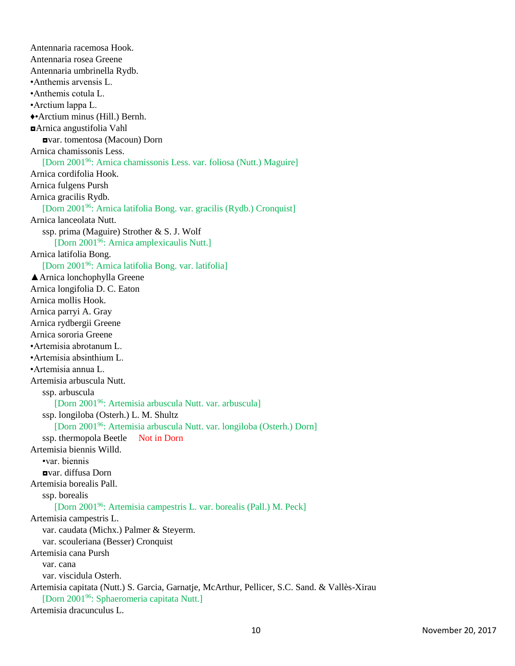Antennaria racemosa Hook. Antennaria rosea Greene Antennaria umbrinella Rydb. •Anthemis arvensis L. •Anthemis cotula L. •Arctium lappa L. ♦•Arctium minus (Hill.) Bernh. ◘Arnica angustifolia Vahl ◘var. tomentosa (Macoun) Dorn Arnica chamissonis Less. [Dorn 2001<sup>96</sup>: Arnica chamissonis Less. var. foliosa (Nutt.) Maguire] Arnica cordifolia Hook. Arnica fulgens Pursh Arnica gracilis Rydb. [Dorn 2001<sup>96</sup>: Arnica latifolia Bong. var. gracilis (Rydb.) Cronquist] Arnica lanceolata Nutt. ssp. prima (Maguire) Strother & S. J. Wolf [Dorn 2001<sup>96</sup>: Arnica amplexicaulis Nutt.] Arnica latifolia Bong. [Dorn 2001<sup>96</sup>: Arnica latifolia Bong. var. latifolia] ▲Arnica lonchophylla Greene Arnica longifolia D. C. Eaton Arnica mollis Hook. Arnica parryi A. Gray Arnica rydbergii Greene Arnica sororia Greene •Artemisia abrotanum L. •Artemisia absinthium L. •Artemisia annua L. Artemisia arbuscula Nutt. ssp. arbuscula [Dorn 2001<sup>96</sup>: Artemisia arbuscula Nutt. var. arbuscula] ssp. longiloba (Osterh.) L. M. Shultz [Dorn 2001<sup>96</sup>: Artemisia arbuscula Nutt. var. longiloba (Osterh.) Dorn] ssp. thermopola Beetle Not in Dorn Artemisia biennis Willd. •var. biennis ◘var. diffusa Dorn Artemisia borealis Pall. ssp. borealis [Dorn 2001<sup>96</sup>: Artemisia campestris L. var. borealis (Pall.) M. Peck] Artemisia campestris L. var. caudata (Michx.) Palmer & Steyerm. var. scouleriana (Besser) Cronquist Artemisia cana Pursh var. cana var. viscidula Osterh. Artemisia capitata (Nutt.) S. Garcia, Garnatje, McArthur, Pellicer, S.C. Sand. & Vallès-Xirau [Dorn 2001<sup>96</sup>: Sphaeromeria capitata Nutt.] Artemisia dracunculus L.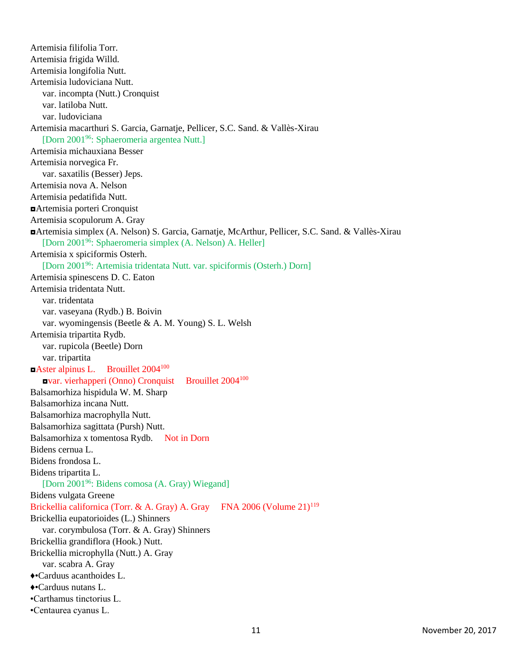Artemisia filifolia Torr. Artemisia frigida Willd. Artemisia longifolia Nutt. Artemisia ludoviciana Nutt. var. incompta (Nutt.) Cronquist var. latiloba Nutt. var. ludoviciana Artemisia macarthuri S. Garcia, Garnatje, Pellicer, S.C. Sand. & Vallès-Xirau [Dorn 2001<sup>96</sup>: Sphaeromeria argentea Nutt.] Artemisia michauxiana Besser Artemisia norvegica Fr. var. saxatilis (Besser) Jeps. Artemisia nova A. Nelson Artemisia pedatifida Nutt. ◘Artemisia porteri Cronquist Artemisia scopulorum A. Gray ◘Artemisia simplex (A. Nelson) S. Garcia, Garnatje, McArthur, Pellicer, S.C. Sand. & Vallès-Xirau [Dorn 2001<sup>96</sup>: Sphaeromeria simplex (A. Nelson) A. Heller] Artemisia x spiciformis Osterh. [Dorn 2001<sup>96</sup>: Artemisia tridentata Nutt. var. spiciformis (Osterh.) Dorn] Artemisia spinescens D. C. Eaton Artemisia tridentata Nutt. var. tridentata var. vaseyana (Rydb.) B. Boivin var. wyomingensis (Beetle & A. M. Young) S. L. Welsh Artemisia tripartita Rydb. var. rupicola (Beetle) Dorn var. tripartita ◘Aster alpinus L. Brouillet 2004<sup>100</sup> ◘var. vierhapperi (Onno) Cronquist Brouillet 2004<sup>100</sup> Balsamorhiza hispidula W. M. Sharp Balsamorhiza incana Nutt. Balsamorhiza macrophylla Nutt. Balsamorhiza sagittata (Pursh) Nutt. Balsamorhiza x tomentosa Rydb. Not in Dorn Bidens cernua L. Bidens frondosa L. Bidens tripartita L. [Dorn 2001<sup>96</sup>: Bidens comosa (A. Gray) Wiegand] Bidens vulgata Greene Brickellia californica (Torr. & A. Gray) A. Gray FNA 2006 (Volume 21)<sup>119</sup> Brickellia eupatorioides (L.) Shinners var. corymbulosa (Torr. & A. Gray) Shinners Brickellia grandiflora (Hook.) Nutt. Brickellia microphylla (Nutt.) A. Gray var. scabra A. Gray ♦•Carduus acanthoides L. ♦•Carduus nutans L. •Carthamus tinctorius L. •Centaurea cyanus L.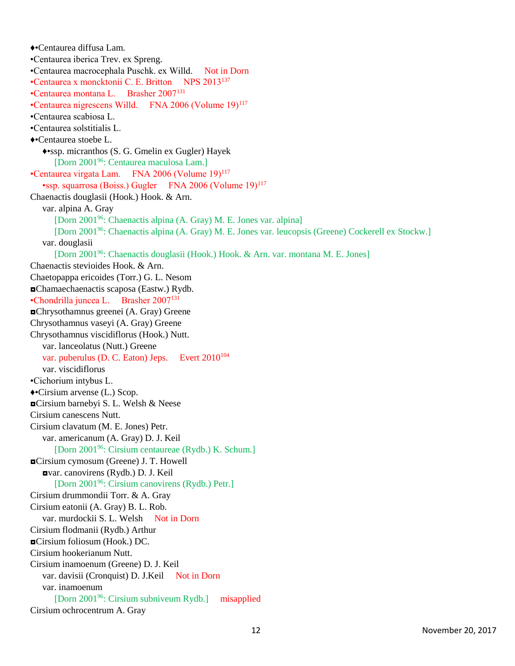♦•Centaurea diffusa Lam. •Centaurea iberica Trev. ex Spreng. •Centaurea macrocephala Puschk. ex Willd. Not in Dorn •Centaurea x moncktonii C. E. Britton NPS 2013<sup>137</sup> •Centaurea montana L. Brasher 2007<sup>131</sup> •Centaurea nigrescens Willd. FNA 2006 (Volume 19)<sup>117</sup> •Centaurea scabiosa L. •Centaurea solstitialis L. ♦•Centaurea stoebe L. ♦•ssp. micranthos (S. G. Gmelin ex Gugler) Hayek [Dorn 2001<sup>96</sup>: Centaurea maculosa Lam.] •Centaurea virgata Lam. FNA 2006 (Volume 19)<sup>117</sup> •ssp. squarrosa (Boiss.) Gugler FNA 2006 (Volume 19)<sup>117</sup> Chaenactis douglasii (Hook.) Hook. & Arn. var. alpina A. Gray [Dorn 2001<sup>96</sup>: Chaenactis alpina (A. Gray) M. E. Jones var. alpina] [Dorn 2001<sup>96</sup>: Chaenactis alpina (A. Gray) M. E. Jones var. leucopsis (Greene) Cockerell ex Stockw.] var. douglasii [Dorn 2001<sup>96</sup>: Chaenactis douglasii (Hook.) Hook. & Arn. var. montana M. E. Jones] Chaenactis stevioides Hook. & Arn. Chaetopappa ericoides (Torr.) G. L. Nesom ◘Chamaechaenactis scaposa (Eastw.) Rydb. •Chondrilla juncea L. Brasher 2007<sup>131</sup> ◘Chrysothamnus greenei (A. Gray) Greene Chrysothamnus vaseyi (A. Gray) Greene Chrysothamnus viscidiflorus (Hook.) Nutt. var. lanceolatus (Nutt.) Greene var. puberulus (D. C. Eaton) Jeps. Evert  $2010^{104}$ var. viscidiflorus •Cichorium intybus L. ♦•Cirsium arvense (L.) Scop. ◘Cirsium barnebyi S. L. Welsh & Neese Cirsium canescens Nutt. Cirsium clavatum (M. E. Jones) Petr. var. americanum (A. Gray) D. J. Keil [Dorn 2001<sup>96</sup>: Cirsium centaureae (Rydb.) K. Schum.] ◘Cirsium cymosum (Greene) J. T. Howell ◘var. canovirens (Rydb.) D. J. Keil [Dorn 2001<sup>96</sup>: Cirsium canovirens (Rydb.) Petr.] Cirsium drummondii Torr. & A. Gray Cirsium eatonii (A. Gray) B. L. Rob. var. murdockii S. L. Welsh Not in Dorn Cirsium flodmanii (Rydb.) Arthur ◘Cirsium foliosum (Hook.) DC. Cirsium hookerianum Nutt. Cirsium inamoenum (Greene) D. J. Keil var. davisii (Cronquist) D. J.Keil Not in Dorn var. inamoenum [Dorn 2001<sup>96</sup>: Cirsium subniveum Rydb.] misapplied Cirsium ochrocentrum A. Gray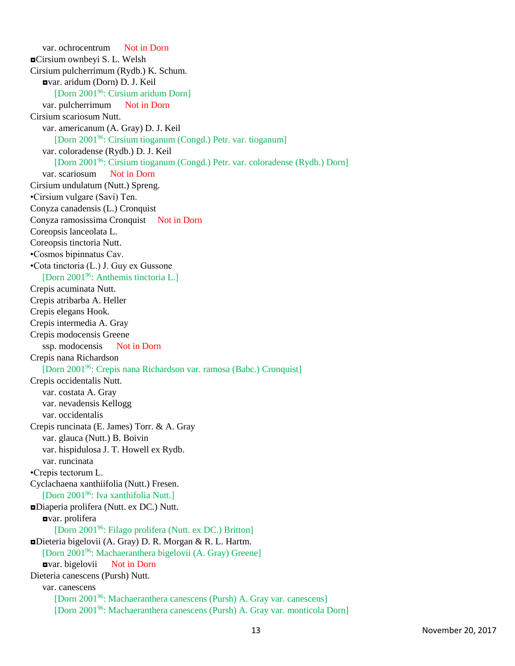var. ochrocentrum Not in Dorn ◘Cirsium ownbeyi S. L. Welsh Cirsium pulcherrimum (Rydb.) K. Schum. ◘var. aridum (Dorn) D. J. Keil [Dorn 2001<sup>96</sup>: Cirsium aridum Dorn] var. pulcherrimum Not in Dorn Cirsium scariosum Nutt. var. americanum (A. Gray) D. J. Keil [Dorn 2001<sup>96</sup>: Cirsium tioganum (Congd.) Petr. var. tioganum] var. coloradense (Rydb.) D. J. Keil [Dorn 2001<sup>96</sup>: Cirsium tioganum (Congd.) Petr. var. coloradense (Rydb.) Dorn] var. scariosum Not in Dorn Cirsium undulatum (Nutt.) Spreng. •Cirsium vulgare (Savi) Ten. Conyza canadensis (L.) Cronquist Conyza ramosissima Cronquist Not in Dorn Coreopsis lanceolata L. Coreopsis tinctoria Nutt. •Cosmos bipinnatus Cav. •Cota tinctoria (L.) J. Guy ex Gussone [Dorn 2001<sup>96</sup>: Anthemis tinctoria L.] Crepis acuminata Nutt. Crepis atribarba A. Heller Crepis elegans Hook. Crepis intermedia A. Gray Crepis modocensis Greene ssp. modocensis Not in Dorn Crepis nana Richardson [Dorn 2001<sup>96</sup>: Crepis nana Richardson var. ramosa (Babc.) Cronquist] Crepis occidentalis Nutt. var. costata A. Gray var. nevadensis Kellogg var. occidentalis Crepis runcinata (E. James) Torr. & A. Gray var. glauca (Nutt.) B. Boivin var. hispidulosa J. T. Howell ex Rydb. var. runcinata •Crepis tectorum L. Cyclachaena xanthiifolia (Nutt.) Fresen. [Dorn 2001<sup>96</sup>: Iva xanthifolia Nutt.] ◘Diaperia prolifera (Nutt. ex DC.) Nutt. ◘var. prolifera [Dorn 2001<sup>96</sup>: Filago prolifera (Nutt. ex DC.) Britton] ◘Dieteria bigelovii (A. Gray) D. R. Morgan & R. L. Hartm. [Dorn 2001<sup>96</sup>: Machaeranthera bigelovii (A. Gray) Greene] ◘var. bigelovii Not in Dorn Dieteria canescens (Pursh) Nutt. var. canescens [Dorn 2001<sup>96</sup>: Machaeranthera canescens (Pursh) A. Gray var. canescens] [Dorn 2001<sup>96</sup>: Machaeranthera canescens (Pursh) A. Gray var. monticola Dorn]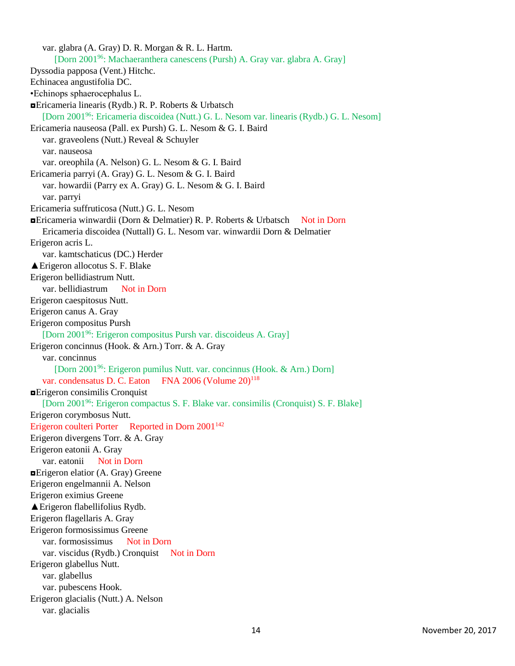var. glabra (A. Gray) D. R. Morgan & R. L. Hartm. [Dorn 2001<sup>96</sup>: Machaeranthera canescens (Pursh) A. Gray var. glabra A. Gray] Dyssodia papposa (Vent.) Hitchc. Echinacea angustifolia DC. •Echinops sphaerocephalus L. ◘Ericameria linearis (Rydb.) R. P. Roberts & Urbatsch [Dorn 2001<sup>96</sup>: Ericameria discoidea (Nutt.) G. L. Nesom var. linearis (Rydb.) G. L. Nesom] Ericameria nauseosa (Pall. ex Pursh) G. L. Nesom & G. I. Baird var. graveolens (Nutt.) Reveal & Schuyler var. nauseosa var. oreophila (A. Nelson) G. L. Nesom & G. I. Baird Ericameria parryi (A. Gray) G. L. Nesom & G. I. Baird var. howardii (Parry ex A. Gray) G. L. Nesom & G. I. Baird var. parryi Ericameria suffruticosa (Nutt.) G. L. Nesom ◘Ericameria winwardii (Dorn & Delmatier) R. P. Roberts & Urbatsch Not in Dorn Ericameria discoidea (Nuttall) G. L. Nesom var. winwardii Dorn & Delmatier Erigeron acris L. var. kamtschaticus (DC.) Herder ▲Erigeron allocotus S. F. Blake Erigeron bellidiastrum Nutt. var. bellidiastrum Not in Dorn Erigeron caespitosus Nutt. Erigeron canus A. Gray Erigeron compositus Pursh [Dorn 2001<sup>96</sup>: Erigeron compositus Pursh var. discoideus A. Gray] Erigeron concinnus (Hook. & Arn.) Torr. & A. Gray var. concinnus [Dorn 2001<sup>96</sup>: Erigeron pumilus Nutt. var. concinnus (Hook. & Arn.) Dorn] var. condensatus D. C. Eaton FNA 2006 (Volume 20)<sup>118</sup> ◘Erigeron consimilis Cronquist [Dorn 2001<sup>96</sup>: Erigeron compactus S. F. Blake var. consimilis (Cronquist) S. F. Blake] Erigeron corymbosus Nutt. Erigeron coulteri Porter Reported in Dorn 2001<sup>142</sup> Erigeron divergens Torr. & A. Gray Erigeron eatonii A. Gray var. eatonii Not in Dorn  $\blacksquare$ **Erigeron elatior (A. Gray) Greene** Erigeron engelmannii A. Nelson Erigeron eximius Greene ▲Erigeron flabellifolius Rydb. Erigeron flagellaris A. Gray Erigeron formosissimus Greene var. formosissimus Not in Dorn var. viscidus (Rydb.) Cronquist Not in Dorn Erigeron glabellus Nutt. var. glabellus var. pubescens Hook. Erigeron glacialis (Nutt.) A. Nelson var. glacialis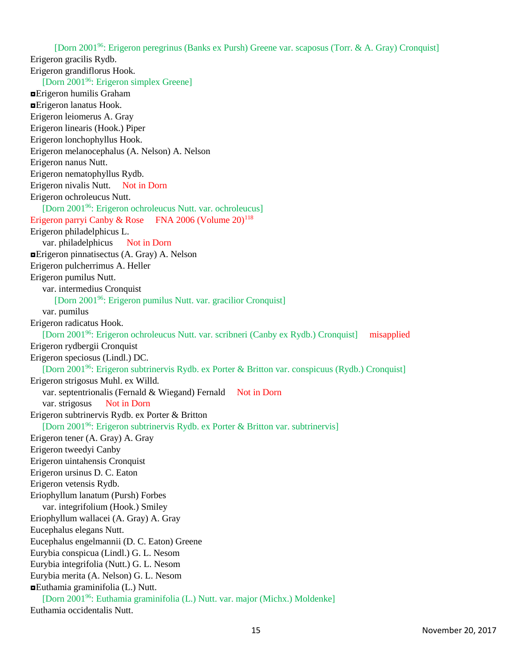[Dorn 2001<sup>96</sup>: Erigeron peregrinus (Banks ex Pursh) Greene var. scaposus (Torr. & A. Gray) Cronquist] Erigeron gracilis Rydb. Erigeron grandiflorus Hook. [Dorn 2001<sup>96</sup>: Erigeron simplex Greene] ◘Erigeron humilis Graham ◘Erigeron lanatus Hook. Erigeron leiomerus A. Gray Erigeron linearis (Hook.) Piper Erigeron lonchophyllus Hook. Erigeron melanocephalus (A. Nelson) A. Nelson Erigeron nanus Nutt. Erigeron nematophyllus Rydb. Erigeron nivalis Nutt. Not in Dorn Erigeron ochroleucus Nutt. [Dorn 2001<sup>96</sup>: Erigeron ochroleucus Nutt. var. ochroleucus] Erigeron parryi Canby & Rose FNA 2006 (Volume  $20$ )<sup>118</sup> Erigeron philadelphicus L. var. philadelphicus Not in Dorn ◘Erigeron pinnatisectus (A. Gray) A. Nelson Erigeron pulcherrimus A. Heller Erigeron pumilus Nutt. var. intermedius Cronquist [Dorn 2001<sup>96</sup>: Erigeron pumilus Nutt. var. gracilior Cronquist] var. pumilus Erigeron radicatus Hook. [Dorn 2001<sup>96</sup>: Erigeron ochroleucus Nutt. var. scribneri (Canby ex Rydb.) Cronquist] misapplied Erigeron rydbergii Cronquist Erigeron speciosus (Lindl.) DC. [Dorn 2001<sup>96</sup>: Erigeron subtrinervis Rydb. ex Porter & Britton var. conspicuus (Rydb.) Cronquist] Erigeron strigosus Muhl. ex Willd. var. septentrionalis (Fernald & Wiegand) Fernald Not in Dorn var. strigosus Not in Dorn Erigeron subtrinervis Rydb. ex Porter & Britton [Dorn 2001<sup>96</sup>: Erigeron subtrinervis Rydb. ex Porter & Britton var. subtrinervis] Erigeron tener (A. Gray) A. Gray Erigeron tweedyi Canby Erigeron uintahensis Cronquist Erigeron ursinus D. C. Eaton Erigeron vetensis Rydb. Eriophyllum lanatum (Pursh) Forbes var. integrifolium (Hook.) Smiley Eriophyllum wallacei (A. Gray) A. Gray Eucephalus elegans Nutt. Eucephalus engelmannii (D. C. Eaton) Greene Eurybia conspicua (Lindl.) G. L. Nesom Eurybia integrifolia (Nutt.) G. L. Nesom Eurybia merita (A. Nelson) G. L. Nesom ◘Euthamia graminifolia (L.) Nutt. [Dorn 2001<sup>96</sup>: Euthamia graminifolia (L.) Nutt. var. major (Michx.) Moldenke] Euthamia occidentalis Nutt.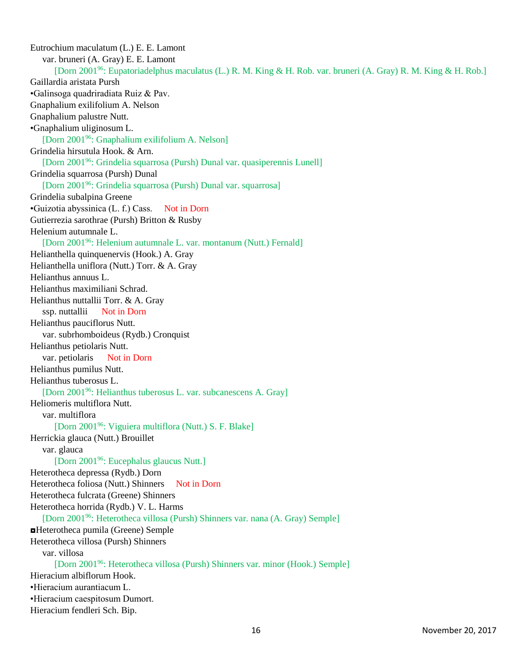Eutrochium maculatum (L.) E. E. Lamont var. bruneri (A. Gray) E. E. Lamont [Dorn 2001<sup>96</sup>: Eupatoriadelphus maculatus (L.) R. M. King & H. Rob. var. bruneri (A. Gray) R. M. King & H. Rob.] Gaillardia aristata Pursh •Galinsoga quadriradiata Ruiz & Pav. Gnaphalium exilifolium A. Nelson Gnaphalium palustre Nutt. •Gnaphalium uliginosum L. [Dorn 2001<sup>96</sup>: Gnaphalium exilifolium A. Nelson] Grindelia hirsutula Hook. & Arn. [Dorn 2001<sup>96</sup>: Grindelia squarrosa (Pursh) Dunal var. quasiperennis Lunell] Grindelia squarrosa (Pursh) Dunal [Dorn 2001<sup>96</sup>: Grindelia squarrosa (Pursh) Dunal var. squarrosa] Grindelia subalpina Greene •Guizotia abyssinica (L. f.) Cass. Not in Dorn Gutierrezia sarothrae (Pursh) Britton & Rusby Helenium autumnale L. [Dorn 2001<sup>96</sup>: Helenium autumnale L. var. montanum (Nutt.) Fernald] Helianthella quinquenervis (Hook.) A. Gray Helianthella uniflora (Nutt.) Torr. & A. Gray Helianthus annuus L. Helianthus maximiliani Schrad. Helianthus nuttallii Torr. & A. Gray ssp. nuttallii Not in Dorn Helianthus pauciflorus Nutt. var. subrhomboideus (Rydb.) Cronquist Helianthus petiolaris Nutt. var. petiolaris Not in Dorn Helianthus pumilus Nutt. Helianthus tuberosus L. [Dorn 2001<sup>96</sup>: Helianthus tuberosus L. var. subcanescens A. Gray] Heliomeris multiflora Nutt. var. multiflora [Dorn 2001<sup>96</sup>: Viguiera multiflora (Nutt.) S. F. Blake] Herrickia glauca (Nutt.) Brouillet var. glauca [Dorn 2001<sup>96</sup>: Eucephalus glaucus Nutt.] Heterotheca depressa (Rydb.) Dorn Heterotheca foliosa (Nutt.) Shinners Not in Dorn Heterotheca fulcrata (Greene) Shinners Heterotheca horrida (Rydb.) V. L. Harms [Dorn 2001<sup>96</sup>: Heterotheca villosa (Pursh) Shinners var. nana (A. Gray) Semple] ◘Heterotheca pumila (Greene) Semple Heterotheca villosa (Pursh) Shinners var. villosa [Dorn 2001<sup>96</sup>: Heterotheca villosa (Pursh) Shinners var. minor (Hook.) Semple] Hieracium albiflorum Hook. •Hieracium aurantiacum L. •Hieracium caespitosum Dumort. Hieracium fendleri Sch. Bip.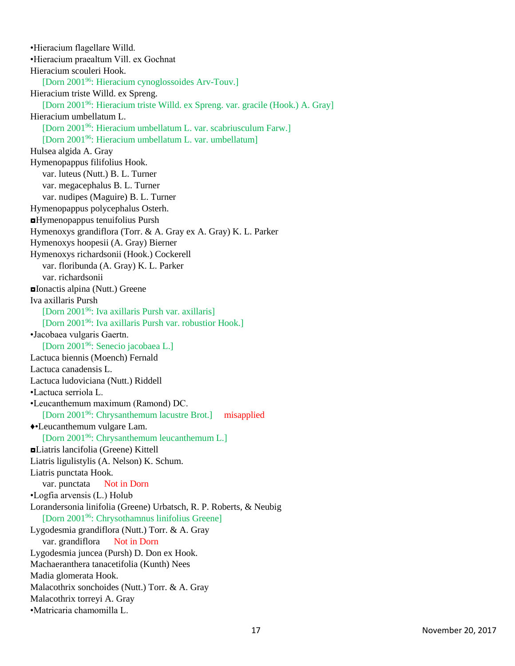•Hieracium flagellare Willd. •Hieracium praealtum Vill. ex Gochnat Hieracium scouleri Hook. [Dorn 2001<sup>96</sup>: Hieracium cynoglossoides Arv-Touv.] Hieracium triste Willd. ex Spreng. [Dorn 2001<sup>96</sup>: Hieracium triste Willd. ex Spreng. var. gracile (Hook.) A. Gray] Hieracium umbellatum L. [Dorn 2001<sup>96</sup>: Hieracium umbellatum L. var. scabriusculum Farw.] [Dorn 2001<sup>96</sup>: Hieracium umbellatum L. var. umbellatum] Hulsea algida A. Gray Hymenopappus filifolius Hook. var. luteus (Nutt.) B. L. Turner var. megacephalus B. L. Turner var. nudipes (Maguire) B. L. Turner Hymenopappus polycephalus Osterh. ◘Hymenopappus tenuifolius Pursh Hymenoxys grandiflora (Torr. & A. Gray ex A. Gray) K. L. Parker Hymenoxys hoopesii (A. Gray) Bierner Hymenoxys richardsonii (Hook.) Cockerell var. floribunda (A. Gray) K. L. Parker var. richardsonii ◘Ionactis alpina (Nutt.) Greene Iva axillaris Pursh [Dorn 2001<sup>96</sup>: Iva axillaris Pursh var. axillaris] [Dorn 2001<sup>96</sup>: Iva axillaris Pursh var. robustior Hook.] •Jacobaea vulgaris Gaertn. [Dorn 2001<sup>96</sup>: Senecio jacobaea L.] Lactuca biennis (Moench) Fernald Lactuca canadensis L. Lactuca ludoviciana (Nutt.) Riddell •Lactuca serriola L. •Leucanthemum maximum (Ramond) DC. [Dorn 2001<sup>96</sup>: Chrysanthemum lacustre Brot.] misapplied ♦•Leucanthemum vulgare Lam. [Dorn 2001<sup>96</sup>: Chrysanthemum leucanthemum L.] ◘Liatris lancifolia (Greene) Kittell Liatris ligulistylis (A. Nelson) K. Schum. Liatris punctata Hook. var. punctata Not in Dorn •Logfia arvensis (L.) Holub Lorandersonia linifolia (Greene) Urbatsch, R. P. Roberts, & Neubig [Dorn 2001<sup>96</sup>: Chrysothamnus linifolius Greene] Lygodesmia grandiflora (Nutt.) Torr. & A. Gray var. grandiflora Not in Dorn Lygodesmia juncea (Pursh) D. Don ex Hook. Machaeranthera tanacetifolia (Kunth) Nees Madia glomerata Hook. Malacothrix sonchoides (Nutt.) Torr. & A. Gray Malacothrix torreyi A. Gray •Matricaria chamomilla L.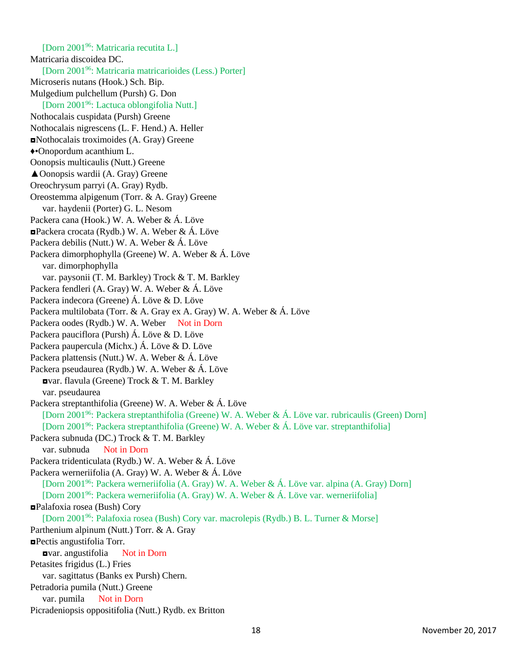[Dorn 2001<sup>96</sup>: Matricaria recutita L.] Matricaria discoidea DC. [Dorn 2001<sup>96</sup>: Matricaria matricarioides (Less.) Porter] Microseris nutans (Hook.) Sch. Bip. Mulgedium pulchellum (Pursh) G. Don [Dorn 2001<sup>96</sup>: Lactuca oblongifolia Nutt.] Nothocalais cuspidata (Pursh) Greene Nothocalais nigrescens (L. F. Hend.) A. Heller ◘Nothocalais troximoides (A. Gray) Greene ♦•Onopordum acanthium L. Oonopsis multicaulis (Nutt.) Greene ▲Oonopsis wardii (A. Gray) Greene Oreochrysum parryi (A. Gray) Rydb. Oreostemma alpigenum (Torr. & A. Gray) Greene var. haydenii (Porter) G. L. Nesom Packera cana (Hook.) W. A. Weber & Á. Löve ◘Packera crocata (Rydb.) W. A. Weber & Á. Löve Packera debilis (Nutt.) W. A. Weber & Á. Löve Packera dimorphophylla (Greene) W. A. Weber & Á. Löve var. dimorphophylla var. paysonii (T. M. Barkley) Trock & T. M. Barkley Packera fendleri (A. Gray) W. A. Weber & Á. Löve Packera indecora (Greene) Á. Löve & D. Löve Packera multilobata (Torr. & A. Gray ex A. Gray) W. A. Weber & Á. Löve Packera oodes (Rydb.) W. A. Weber Not in Dorn Packera pauciflora (Pursh) Á. Löve & D. Löve Packera paupercula (Michx.) Á. Löve & D. Löve Packera plattensis (Nutt.) W. A. Weber & Á. Löve Packera pseudaurea (Rydb.) W. A. Weber & Á. Löve ◘var. flavula (Greene) Trock & T. M. Barkley var. pseudaurea Packera streptanthifolia (Greene) W. A. Weber & Á. Löve [Dorn 2001<sup>96</sup>: Packera streptanthifolia (Greene) W. A. Weber & Á. Löve var. rubricaulis (Green) Dorn] [Dorn 2001<sup>96</sup>: Packera streptanthifolia (Greene) W. A. Weber & Á. Löve var. streptanthifolia] Packera subnuda (DC.) Trock & T. M. Barkley var. subnuda Not in Dorn Packera tridenticulata (Rydb.) W. A. Weber & Á. Löve Packera werneriifolia (A. Gray) W. A. Weber & Á. Löve [Dorn 2001<sup>96</sup>: Packera werneriifolia (A. Gray) W. A. Weber & Á. Löve var. alpina (A. Gray) Dorn] [Dorn 2001<sup>96</sup>: Packera werneriifolia (A. Gray) W. A. Weber & Á. Löve var. werneriifolia] ◘Palafoxia rosea (Bush) Cory [Dorn 2001<sup>96</sup>: Palafoxia rosea (Bush) Cory var. macrolepis (Rydb.) B. L. Turner & Morse] Parthenium alpinum (Nutt.) Torr. & A. Gray ◘Pectis angustifolia Torr. ◘var. angustifolia Not in Dorn Petasites frigidus (L.) Fries var. sagittatus (Banks ex Pursh) Chern. Petradoria pumila (Nutt.) Greene var. pumila Not in Dorn Picradeniopsis oppositifolia (Nutt.) Rydb. ex Britton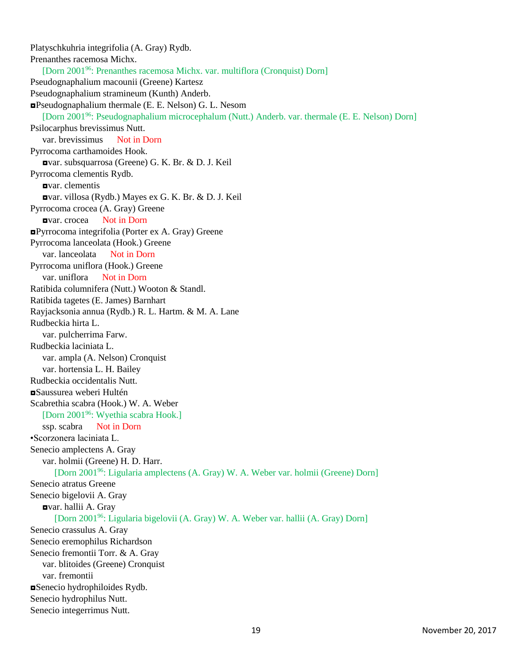Platyschkuhria integrifolia (A. Gray) Rydb. Prenanthes racemosa Michx. [Dorn 2001<sup>96</sup>: Prenanthes racemosa Michx. var. multiflora (Cronquist) Dorn] Pseudognaphalium macounii (Greene) Kartesz Pseudognaphalium stramineum (Kunth) Anderb. ◘Pseudognaphalium thermale (E. E. Nelson) G. L. Nesom [Dorn 2001<sup>96</sup>: Pseudognaphalium microcephalum (Nutt.) Anderb. var. thermale (E. E. Nelson) Dorn] Psilocarphus brevissimus Nutt. var. brevissimus Not in Dorn Pyrrocoma carthamoides Hook. ◘var. subsquarrosa (Greene) G. K. Br. & D. J. Keil Pyrrocoma clementis Rydb. ◘var. clementis ◘var. villosa (Rydb.) Mayes ex G. K. Br. & D. J. Keil Pyrrocoma crocea (A. Gray) Greene ◘var. crocea Not in Dorn ◘Pyrrocoma integrifolia (Porter ex A. Gray) Greene Pyrrocoma lanceolata (Hook.) Greene var. lanceolata Not in Dorn Pyrrocoma uniflora (Hook.) Greene var. uniflora Not in Dorn Ratibida columnifera (Nutt.) Wooton & Standl. Ratibida tagetes (E. James) Barnhart Rayjacksonia annua (Rydb.) R. L. Hartm. & M. A. Lane Rudbeckia hirta L. var. pulcherrima Farw. Rudbeckia laciniata L. var. ampla (A. Nelson) Cronquist var. hortensia L. H. Bailey Rudbeckia occidentalis Nutt. ◘Saussurea weberi Hultén Scabrethia scabra (Hook.) W. A. Weber [Dorn 2001<sup>96</sup>: Wyethia scabra Hook.] ssp. scabra Not in Dorn •Scorzonera laciniata L. Senecio amplectens A. Gray var. holmii (Greene) H. D. Harr. [Dorn 2001<sup>96</sup>: Ligularia amplectens (A. Gray) W. A. Weber var. holmii (Greene) Dorn] Senecio atratus Greene Senecio bigelovii A. Gray ◘var. hallii A. Gray [Dorn 2001<sup>96</sup>: Ligularia bigelovii (A. Gray) W. A. Weber var. hallii (A. Gray) Dorn] Senecio crassulus A. Gray Senecio eremophilus Richardson Senecio fremontii Torr. & A. Gray var. blitoides (Greene) Cronquist var. fremontii ◘Senecio hydrophiloides Rydb. Senecio hydrophilus Nutt. Senecio integerrimus Nutt.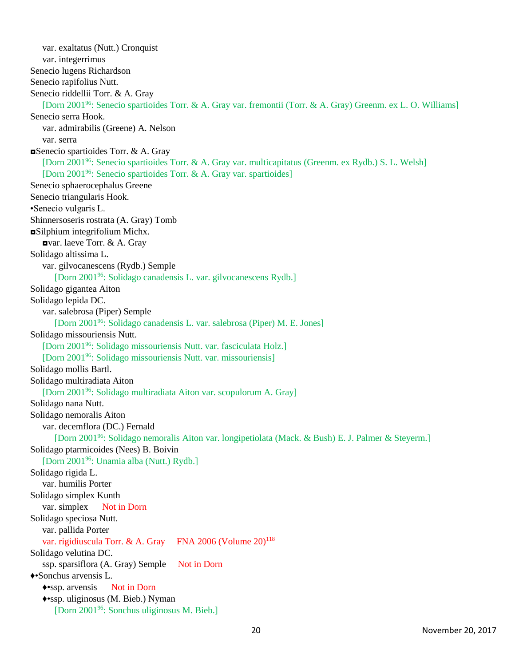var. exaltatus (Nutt.) Cronquist var. integerrimus Senecio lugens Richardson Senecio rapifolius Nutt. Senecio riddellii Torr. & A. Gray [Dorn 2001<sup>96</sup>: Senecio spartioides Torr. & A. Gray var. fremontii (Torr. & A. Gray) Greenm. ex L. O. Williams] Senecio serra Hook. var. admirabilis (Greene) A. Nelson var. serra ◘Senecio spartioides Torr. & A. Gray [Dorn 2001<sup>96</sup>: Senecio spartioides Torr. & A. Gray var. multicapitatus (Greenm. ex Rydb.) S. L. Welsh] [Dorn 2001<sup>96</sup>: Senecio spartioides Torr. & A. Gray var. spartioides] Senecio sphaerocephalus Greene Senecio triangularis Hook. •Senecio vulgaris L. Shinnersoseris rostrata (A. Gray) Tomb ◘Silphium integrifolium Michx. ◘var. laeve Torr. & A. Gray Solidago altissima L. var. gilvocanescens (Rydb.) Semple [Dorn 2001<sup>96</sup>: Solidago canadensis L. var. gilvocanescens Rydb.] Solidago gigantea Aiton Solidago lepida DC. var. salebrosa (Piper) Semple [Dorn 2001<sup>96</sup>: Solidago canadensis L. var. salebrosa (Piper) M. E. Jones] Solidago missouriensis Nutt. [Dorn 2001<sup>96</sup>: Solidago missouriensis Nutt. var. fasciculata Holz.] [Dorn 2001<sup>96</sup>: Solidago missouriensis Nutt. var. missouriensis] Solidago mollis Bartl. Solidago multiradiata Aiton [Dorn 2001<sup>96</sup>: Solidago multiradiata Aiton var. scopulorum A. Gray] Solidago nana Nutt. Solidago nemoralis Aiton var. decemflora (DC.) Fernald [Dorn 2001<sup>96</sup>: Solidago nemoralis Aiton var. longipetiolata (Mack. & Bush) E. J. Palmer & Steyerm.] Solidago ptarmicoides (Nees) B. Boivin [Dorn 2001<sup>96</sup>: Unamia alba (Nutt.) Rydb.] Solidago rigida L. var. humilis Porter Solidago simplex Kunth var. simplex Not in Dorn Solidago speciosa Nutt. var. pallida Porter var. rigidiuscula Torr. & A. Gray FNA 2006 (Volume 20)<sup>118</sup> Solidago velutina DC. ssp. sparsiflora (A. Gray) Semple Not in Dorn ♦•Sonchus arvensis L. ♦•ssp. arvensis Not in Dorn ♦•ssp. uliginosus (M. Bieb.) Nyman [Dorn 200196: Sonchus uliginosus M. Bieb.]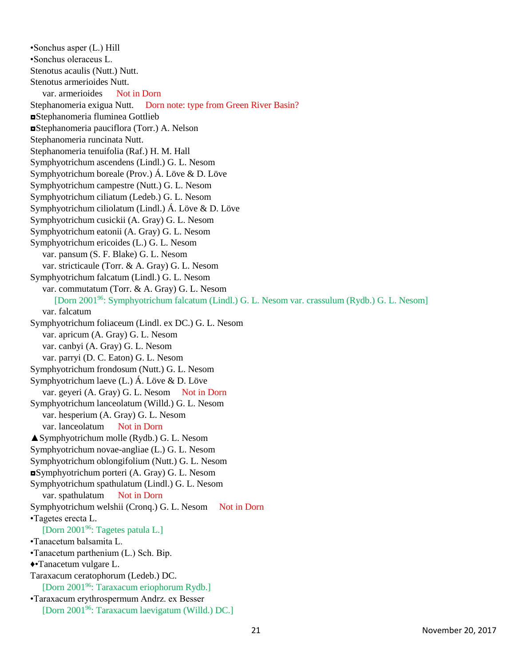•Sonchus asper (L.) Hill •Sonchus oleraceus L. Stenotus acaulis (Nutt.) Nutt. Stenotus armerioides Nutt. var. armerioides Not in Dorn Stephanomeria exigua Nutt. Dorn note: type from Green River Basin? ◘Stephanomeria fluminea Gottlieb ◘Stephanomeria pauciflora (Torr.) A. Nelson Stephanomeria runcinata Nutt. Stephanomeria tenuifolia (Raf.) H. M. Hall Symphyotrichum ascendens (Lindl.) G. L. Nesom Symphyotrichum boreale (Prov.) Á. Löve & D. Löve Symphyotrichum campestre (Nutt.) G. L. Nesom Symphyotrichum ciliatum (Ledeb.) G. L. Nesom Symphyotrichum ciliolatum (Lindl.) Á. Löve & D. Löve Symphyotrichum cusickii (A. Gray) G. L. Nesom Symphyotrichum eatonii (A. Gray) G. L. Nesom Symphyotrichum ericoides (L.) G. L. Nesom var. pansum (S. F. Blake) G. L. Nesom var. stricticaule (Torr. & A. Gray) G. L. Nesom Symphyotrichum falcatum (Lindl.) G. L. Nesom var. commutatum (Torr. & A. Gray) G. L. Nesom [Dorn 2001<sup>96</sup>: Symphyotrichum falcatum (Lindl.) G. L. Nesom var. crassulum (Rydb.) G. L. Nesom] var. falcatum Symphyotrichum foliaceum (Lindl. ex DC.) G. L. Nesom var. apricum (A. Gray) G. L. Nesom var. canbyi (A. Gray) G. L. Nesom var. parryi (D. C. Eaton) G. L. Nesom Symphyotrichum frondosum (Nutt.) G. L. Nesom Symphyotrichum laeve (L.) Á. Löve & D. Löve var. geyeri (A. Gray) G. L. Nesom Not in Dorn Symphyotrichum lanceolatum (Willd.) G. L. Nesom var. hesperium (A. Gray) G. L. Nesom var. lanceolatum Not in Dorn ▲Symphyotrichum molle (Rydb.) G. L. Nesom Symphyotrichum novae-angliae (L.) G. L. Nesom Symphyotrichum oblongifolium (Nutt.) G. L. Nesom ◘Symphyotrichum porteri (A. Gray) G. L. Nesom Symphyotrichum spathulatum (Lindl.) G. L. Nesom var. spathulatum Not in Dorn Symphyotrichum welshii (Cronq.) G. L. Nesom Not in Dorn •Tagetes erecta L. [Dorn 2001<sup>96</sup>: Tagetes patula L.] •Tanacetum balsamita L. •Tanacetum parthenium (L.) Sch. Bip. ♦•Tanacetum vulgare L. Taraxacum ceratophorum (Ledeb.) DC. [Dorn 2001<sup>96</sup>: Taraxacum eriophorum Rydb.] •Taraxacum erythrospermum Andrz. ex Besser [Dorn 200196: Taraxacum laevigatum (Willd.) DC.]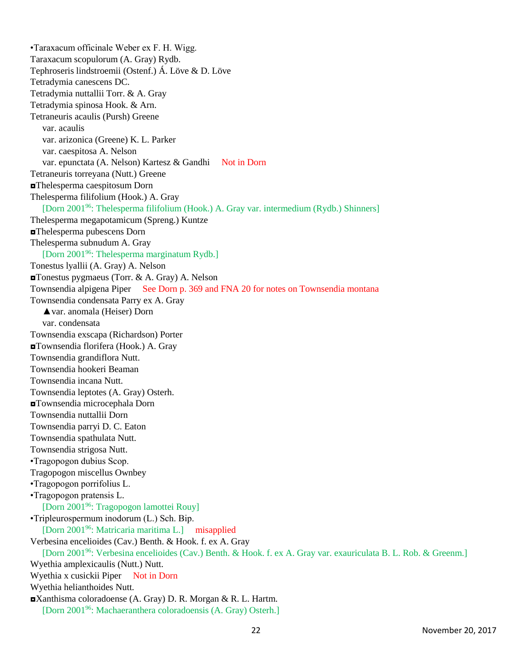•Taraxacum officinale Weber ex F. H. Wigg. Taraxacum scopulorum (A. Gray) Rydb. Tephroseris lindstroemii (Ostenf.) Á. Löve & D. Löve Tetradymia canescens DC. Tetradymia nuttallii Torr. & A. Gray Tetradymia spinosa Hook. & Arn. Tetraneuris acaulis (Pursh) Greene var. acaulis var. arizonica (Greene) K. L. Parker var. caespitosa A. Nelson var. epunctata (A. Nelson) Kartesz & Gandhi Not in Dorn Tetraneuris torreyana (Nutt.) Greene ◘Thelesperma caespitosum Dorn Thelesperma filifolium (Hook.) A. Gray [Dorn 2001<sup>96</sup>: Thelesperma filifolium (Hook.) A. Gray var. intermedium (Rydb.) Shinners] Thelesperma megapotamicum (Spreng.) Kuntze ◘Thelesperma pubescens Dorn Thelesperma subnudum A. Gray [Dorn 2001<sup>96</sup>: Thelesperma marginatum Rydb.] Tonestus lyallii (A. Gray) A. Nelson ◘Tonestus pygmaeus (Torr. & A. Gray) A. Nelson Townsendia alpigena Piper See Dorn p. 369 and FNA 20 for notes on Townsendia montana Townsendia condensata Parry ex A. Gray ▲var. anomala (Heiser) Dorn var. condensata Townsendia exscapa (Richardson) Porter ◘Townsendia florifera (Hook.) A. Gray Townsendia grandiflora Nutt. Townsendia hookeri Beaman Townsendia incana Nutt. Townsendia leptotes (A. Gray) Osterh. ◘Townsendia microcephala Dorn Townsendia nuttallii Dorn Townsendia parryi D. C. Eaton Townsendia spathulata Nutt. Townsendia strigosa Nutt. •Tragopogon dubius Scop. Tragopogon miscellus Ownbey •Tragopogon porrifolius L. •Tragopogon pratensis L. [Dorn 2001<sup>96</sup>: Tragopogon lamottei Rouy] •Tripleurospermum inodorum (L.) Sch. Bip. [Dorn 2001<sup>96</sup>: Matricaria maritima L.] misapplied Verbesina encelioides (Cav.) Benth. & Hook. f. ex A. Gray [Dorn 2001<sup>96</sup>: Verbesina encelioides (Cav.) Benth. & Hook. f. ex A. Gray var. exauriculata B. L. Rob. & Greenm.] Wyethia amplexicaulis (Nutt.) Nutt. Wyethia x cusickii Piper Not in Dorn Wyethia helianthoides Nutt. ◘Xanthisma coloradoense (A. Gray) D. R. Morgan & R. L. Hartm. [Dorn 2001<sup>96</sup>: Machaeranthera coloradoensis (A. Gray) Osterh.]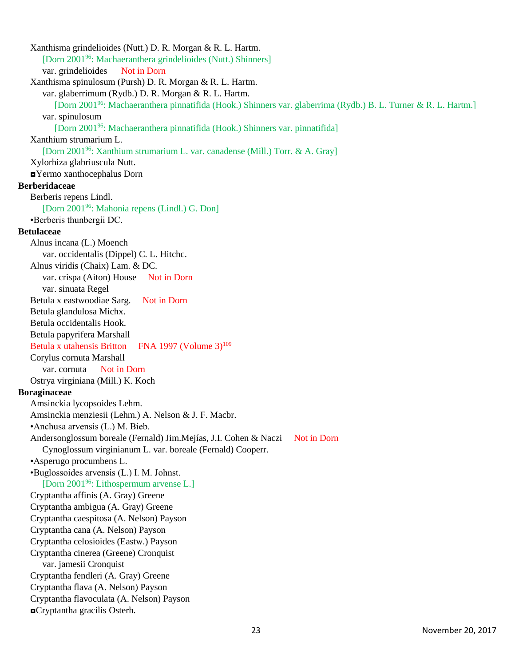Xanthisma grindelioides (Nutt.) D. R. Morgan & R. L. Hartm. [Dorn 2001<sup>96</sup>: Machaeranthera grindelioides (Nutt.) Shinners] var. grindelioides Not in Dorn Xanthisma spinulosum (Pursh) D. R. Morgan & R. L. Hartm. var. glaberrimum (Rydb.) D. R. Morgan & R. L. Hartm. [Dorn 2001<sup>96</sup>: Machaeranthera pinnatifida (Hook.) Shinners var. glaberrima (Rydb.) B. L. Turner & R. L. Hartm.] var. spinulosum [Dorn 2001<sup>96</sup>: Machaeranthera pinnatifida (Hook.) Shinners var. pinnatifida] Xanthium strumarium L. [Dorn 2001<sup>96</sup>: Xanthium strumarium L. var. canadense (Mill.) Torr. & A. Gray] Xylorhiza glabriuscula Nutt. ◘Yermo xanthocephalus Dorn **Berberidaceae** Berberis repens Lindl. [Dorn 2001<sup>96</sup>: Mahonia repens (Lindl.) G. Don] •Berberis thunbergii DC. **Betulaceae** Alnus incana (L.) Moench var. occidentalis (Dippel) C. L. Hitchc. Alnus viridis (Chaix) Lam. & DC. var. crispa (Aiton) House Not in Dorn var. sinuata Regel Betula x eastwoodiae Sarg. Not in Dorn Betula glandulosa Michx. Betula occidentalis Hook. Betula papyrifera Marshall Betula x utahensis Britton FNA 1997 (Volume 3)<sup>109</sup> Corylus cornuta Marshall var. cornuta Not in Dorn Ostrya virginiana (Mill.) K. Koch **Boraginaceae** Amsinckia lycopsoides Lehm. Amsinckia menziesii (Lehm.) A. Nelson & J. F. Macbr. •Anchusa arvensis (L.) M. Bieb. Andersonglossum boreale (Fernald) Jim.Mejías, J.I. Cohen & Naczi Not in Dorn Cynoglossum virginianum L. var. boreale (Fernald) Cooperr. •Asperugo procumbens L. •Buglossoides arvensis (L.) I. M. Johnst. [Dorn 2001<sup>96</sup>: Lithospermum arvense L.] Cryptantha affinis (A. Gray) Greene Cryptantha ambigua (A. Gray) Greene Cryptantha caespitosa (A. Nelson) Payson Cryptantha cana (A. Nelson) Payson Cryptantha celosioides (Eastw.) Payson Cryptantha cinerea (Greene) Cronquist var. jamesii Cronquist Cryptantha fendleri (A. Gray) Greene Cryptantha flava (A. Nelson) Payson Cryptantha flavoculata (A. Nelson) Payson ◘Cryptantha gracilis Osterh.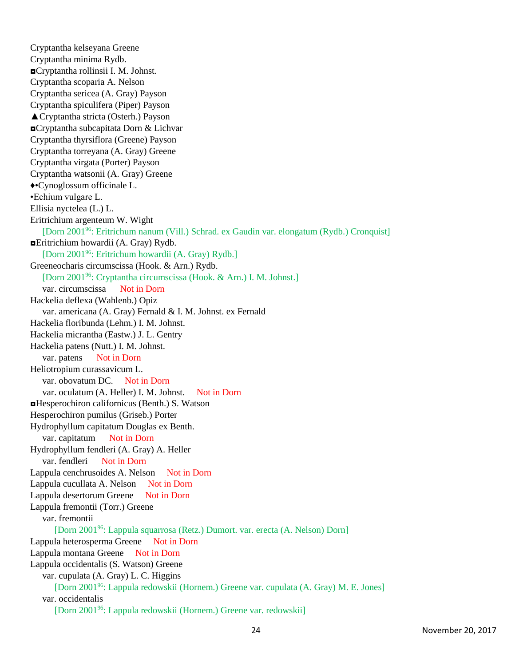Cryptantha kelseyana Greene Cryptantha minima Rydb. ◘Cryptantha rollinsii I. M. Johnst. Cryptantha scoparia A. Nelson Cryptantha sericea (A. Gray) Payson Cryptantha spiculifera (Piper) Payson ▲Cryptantha stricta (Osterh.) Payson ◘Cryptantha subcapitata Dorn & Lichvar Cryptantha thyrsiflora (Greene) Payson Cryptantha torreyana (A. Gray) Greene Cryptantha virgata (Porter) Payson Cryptantha watsonii (A. Gray) Greene ♦•Cynoglossum officinale L. •Echium vulgare L. Ellisia nyctelea (L.) L. Eritrichium argenteum W. Wight [Dorn 2001<sup>96</sup>: Eritrichum nanum (Vill.) Schrad. ex Gaudin var. elongatum (Rydb.) Cronquist] ◘Eritrichium howardii (A. Gray) Rydb. [Dorn 2001<sup>96</sup>: Eritrichum howardii (A. Gray) Rydb.] Greeneocharis circumscissa (Hook. & Arn.) Rydb. [Dorn 2001<sup>96</sup>: Cryptantha circumscissa (Hook. & Arn.) I. M. Johnst.] var. circumscissa Not in Dorn Hackelia deflexa (Wahlenb.) Opiz var. americana (A. Gray) Fernald & I. M. Johnst. ex Fernald Hackelia floribunda (Lehm.) I. M. Johnst. Hackelia micrantha (Eastw.) J. L. Gentry Hackelia patens (Nutt.) I. M. Johnst. var. patens Not in Dorn Heliotropium curassavicum L. var. obovatum DC. Not in Dorn var. oculatum (A. Heller) I. M. Johnst. Not in Dorn ◘Hesperochiron californicus (Benth.) S. Watson Hesperochiron pumilus (Griseb.) Porter Hydrophyllum capitatum Douglas ex Benth. var. capitatum Not in Dorn Hydrophyllum fendleri (A. Gray) A. Heller var. fendleri Not in Dorn Lappula cenchrusoides A. Nelson Not in Dorn Lappula cucullata A. Nelson Not in Dorn Lappula desertorum Greene Not in Dorn Lappula fremontii (Torr.) Greene var. fremontii [Dorn 2001<sup>96</sup>: Lappula squarrosa (Retz.) Dumort. var. erecta (A. Nelson) Dorn] Lappula heterosperma Greene Not in Dorn Lappula montana Greene Not in Dorn Lappula occidentalis (S. Watson) Greene var. cupulata (A. Gray) L. C. Higgins [Dorn 2001<sup>96</sup>: Lappula redowskii (Hornem.) Greene var. cupulata (A. Gray) M. E. Jones] var. occidentalis [Dorn 200196: Lappula redowskii (Hornem.) Greene var. redowskii]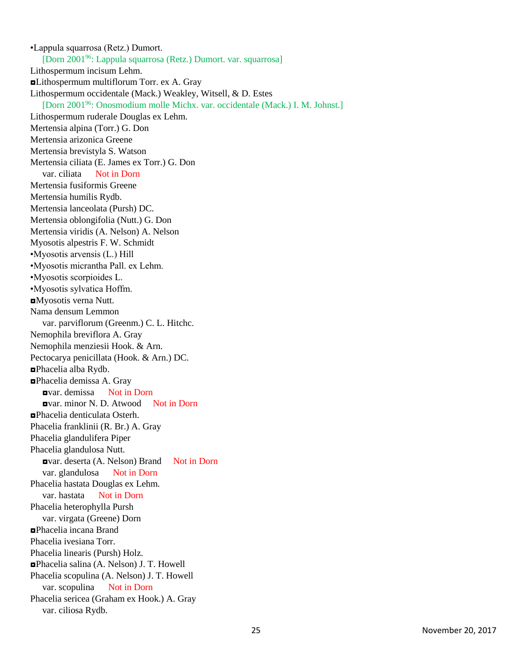•Lappula squarrosa (Retz.) Dumort. [Dorn 2001<sup>96</sup>: Lappula squarrosa (Retz.) Dumort. var. squarrosa] Lithospermum incisum Lehm. ◘Lithospermum multiflorum Torr. ex A. Gray Lithospermum occidentale (Mack.) Weakley, Witsell, & D. Estes [Dorn 2001<sup>96</sup>: Onosmodium molle Michx. var. occidentale (Mack.) I. M. Johnst.] Lithospermum ruderale Douglas ex Lehm. Mertensia alpina (Torr.) G. Don Mertensia arizonica Greene Mertensia brevistyla S. Watson Mertensia ciliata (E. James ex Torr.) G. Don var. ciliata Not in Dorn Mertensia fusiformis Greene Mertensia humilis Rydb. Mertensia lanceolata (Pursh) DC. Mertensia oblongifolia (Nutt.) G. Don Mertensia viridis (A. Nelson) A. Nelson Myosotis alpestris F. W. Schmidt •Myosotis arvensis (L.) Hill •Myosotis micrantha Pall. ex Lehm. •Myosotis scorpioides L. •Myosotis sylvatica Hoffm. ◘Myosotis verna Nutt. Nama densum Lemmon var. parviflorum (Greenm.) C. L. Hitchc. Nemophila breviflora A. Gray Nemophila menziesii Hook. & Arn. Pectocarya penicillata (Hook. & Arn.) DC. ◘Phacelia alba Rydb. ◘Phacelia demissa A. Gray ◘var. demissa Not in Dorn ◘var. minor N. D. Atwood Not in Dorn ◘Phacelia denticulata Osterh. Phacelia franklinii (R. Br.) A. Gray Phacelia glandulifera Piper Phacelia glandulosa Nutt. ◘var. deserta (A. Nelson) Brand Not in Dorn var. glandulosa Not in Dorn Phacelia hastata Douglas ex Lehm. var. hastata Not in Dorn Phacelia heterophylla Pursh var. virgata (Greene) Dorn ◘Phacelia incana Brand Phacelia ivesiana Torr. Phacelia linearis (Pursh) Holz. ◘Phacelia salina (A. Nelson) J. T. Howell Phacelia scopulina (A. Nelson) J. T. Howell var. scopulina Not in Dorn Phacelia sericea (Graham ex Hook.) A. Gray var. ciliosa Rydb.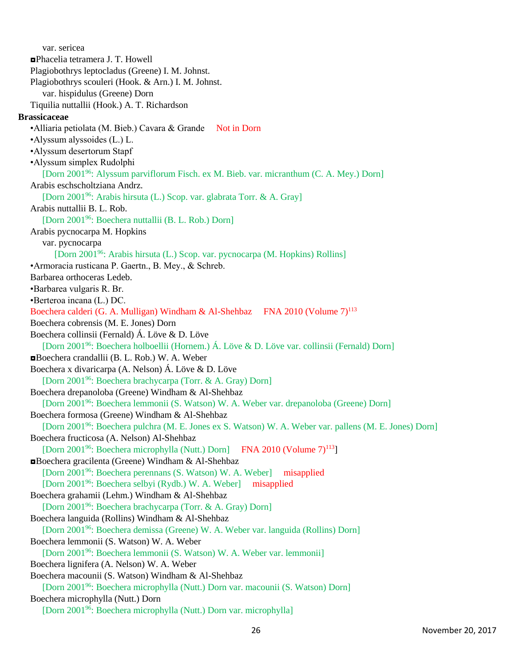var. sericea ◘Phacelia tetramera J. T. Howell Plagiobothrys leptocladus (Greene) I. M. Johnst. Plagiobothrys scouleri (Hook. & Arn.) I. M. Johnst. var. hispidulus (Greene) Dorn Tiquilia nuttallii (Hook.) A. T. Richardson **Brassicaceae** •Alliaria petiolata (M. Bieb.) Cavara & Grande Not in Dorn •Alyssum alyssoides (L.) L. •Alyssum desertorum Stapf •Alyssum simplex Rudolphi [Dorn 2001<sup>96</sup>: Alyssum parviflorum Fisch. ex M. Bieb. var. micranthum (C. A. Mey.) Dorn] Arabis eschscholtziana Andrz. [Dorn 2001<sup>96</sup>: Arabis hirsuta (L.) Scop. var. glabrata Torr. & A. Gray] Arabis nuttallii B. L. Rob. [Dorn 2001<sup>96</sup>: Boechera nuttallii (B. L. Rob.) Dorn] Arabis pycnocarpa M. Hopkins var. pycnocarpa [Dorn 2001<sup>96</sup>: Arabis hirsuta (L.) Scop. var. pycnocarpa (M. Hopkins) Rollins] •Armoracia rusticana P. Gaertn., B. Mey., & Schreb. Barbarea orthoceras Ledeb. •Barbarea vulgaris R. Br. •Berteroa incana (L.) DC. Boechera calderi (G. A. Mulligan) Windham & Al-Shehbaz FNA 2010 (Volume 7)<sup>113</sup> Boechera cobrensis (M. E. Jones) Dorn Boechera collinsii (Fernald) Á. Löve & D. Löve [Dorn 2001<sup>96</sup>: Boechera holboellii (Hornem.) Á. Löve & D. Löve var. collinsii (Fernald) Dorn] ◘Boechera crandallii (B. L. Rob.) W. A. Weber Boechera x divaricarpa (A. Nelson) Á. Löve & D. Löve [Dorn 2001<sup>96</sup>: Boechera brachycarpa (Torr. & A. Gray) Dorn] Boechera drepanoloba (Greene) Windham & Al-Shehbaz [Dorn 2001<sup>96</sup>: Boechera lemmonii (S. Watson) W. A. Weber var. drepanoloba (Greene) Dorn] Boechera formosa (Greene) Windham & Al-Shehbaz [Dorn 2001<sup>96</sup>: Boechera pulchra (M. E. Jones ex S. Watson) W. A. Weber var. pallens (M. E. Jones) Dorn] Boechera fructicosa (A. Nelson) Al-Shehbaz [Dorn 2001<sup>96</sup>: Boechera microphylla (Nutt.) Dorn] FNA 2010 (Volume  $7$ )<sup>113</sup>] ◘Boechera gracilenta (Greene) Windham & Al-Shehbaz [Dorn 2001<sup>96</sup>: Boechera perennans (S. Watson) W. A. Weber] misapplied [Dorn 2001<sup>96</sup>: Boechera selbyi (Rydb.) W. A. Weber] misapplied Boechera grahamii (Lehm.) Windham & Al-Shehbaz [Dorn 2001<sup>96</sup>: Boechera brachycarpa (Torr. & A. Gray) Dorn] Boechera languida (Rollins) Windham & Al-Shehbaz [Dorn 2001<sup>96</sup>: Boechera demissa (Greene) W. A. Weber var. languida (Rollins) Dorn] Boechera lemmonii (S. Watson) W. A. Weber [Dorn 2001<sup>96</sup>: Boechera lemmonii (S. Watson) W. A. Weber var. lemmonii] Boechera lignifera (A. Nelson) W. A. Weber Boechera macounii (S. Watson) Windham & Al-Shehbaz [Dorn 2001<sup>96</sup>: Boechera microphylla (Nutt.) Dorn var. macounii (S. Watson) Dorn] Boechera microphylla (Nutt.) Dorn [Dorn 200196: Boechera microphylla (Nutt.) Dorn var. microphylla]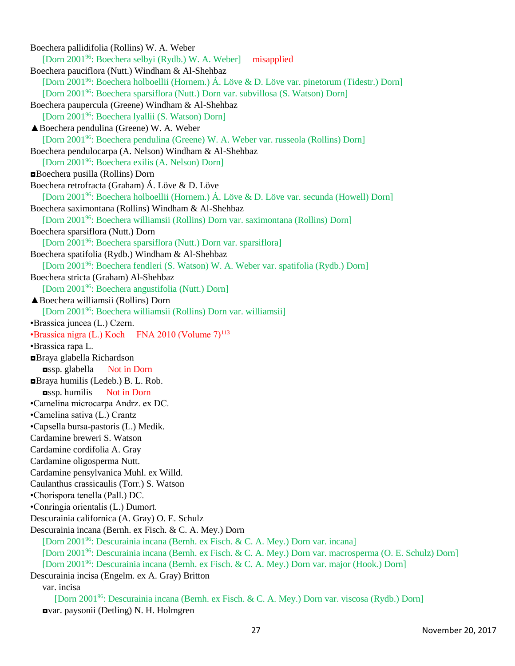Boechera pallidifolia (Rollins) W. A. Weber [Dorn 2001<sup>96</sup>: Boechera selbyi (Rydb.) W. A. Weber] misapplied Boechera pauciflora (Nutt.) Windham & Al-Shehbaz [Dorn 2001<sup>96</sup>: Boechera holboellii (Hornem.) Á. Löve & D. Löve var. pinetorum (Tidestr.) Dorn] [Dorn 2001<sup>96</sup>: Boechera sparsiflora (Nutt.) Dorn var. subvillosa (S. Watson) Dorn] Boechera paupercula (Greene) Windham & Al-Shehbaz [Dorn 2001<sup>96</sup>: Boechera lyallii (S. Watson) Dorn] ▲Boechera pendulina (Greene) W. A. Weber [Dorn 2001<sup>96</sup>: Boechera pendulina (Greene) W. A. Weber var. russeola (Rollins) Dorn] Boechera pendulocarpa (A. Nelson) Windham & Al-Shehbaz [Dorn 2001<sup>96</sup>: Boechera exilis (A. Nelson) Dorn] ◘Boechera pusilla (Rollins) Dorn Boechera retrofracta (Graham) Á. Löve & D. Löve [Dorn 2001<sup>96</sup>: Boechera holboellii (Hornem.) Á. Löve & D. Löve var. secunda (Howell) Dorn] Boechera saximontana (Rollins) Windham & Al-Shehbaz [Dorn 2001<sup>96</sup>: Boechera williamsii (Rollins) Dorn var. saximontana (Rollins) Dorn] Boechera sparsiflora (Nutt.) Dorn [Dorn 2001<sup>96</sup>: Boechera sparsiflora (Nutt.) Dorn var. sparsiflora] Boechera spatifolia (Rydb.) Windham & Al-Shehbaz [Dorn 2001<sup>96</sup>: Boechera fendleri (S. Watson) W. A. Weber var. spatifolia (Rydb.) Dorn] Boechera stricta (Graham) Al-Shehbaz [Dorn 2001<sup>96</sup>: Boechera angustifolia (Nutt.) Dorn] ▲Boechera williamsii (Rollins) Dorn [Dorn 2001<sup>96</sup>: Boechera williamsii (Rollins) Dorn var. williamsii] •Brassica juncea (L.) Czern.  $\cdot$ Brassica nigra (L.) Koch FNA 2010 (Volume  $7)^{113}$ •Brassica rapa L. ◘Braya glabella Richardson ◘ssp. glabella Not in Dorn ◘Braya humilis (Ledeb.) B. L. Rob. ◘ssp. humilis Not in Dorn •Camelina microcarpa Andrz. ex DC. •Camelina sativa (L.) Crantz •Capsella bursa-pastoris (L.) Medik. Cardamine breweri S. Watson Cardamine cordifolia A. Gray Cardamine oligosperma Nutt. Cardamine pensylvanica Muhl. ex Willd. Caulanthus crassicaulis (Torr.) S. Watson •Chorispora tenella (Pall.) DC. •Conringia orientalis (L.) Dumort. Descurainia californica (A. Gray) O. E. Schulz Descurainia incana (Bernh. ex Fisch. & C. A. Mey.) Dorn [Dorn 2001<sup>96</sup>: Descurainia incana (Bernh. ex Fisch. & C. A. Mey.) Dorn var. incana] [Dorn 2001<sup>96</sup>: Descurainia incana (Bernh. ex Fisch. & C. A. Mey.) Dorn var. macrosperma (O. E. Schulz) Dorn] [Dorn 2001<sup>96</sup>: Descurainia incana (Bernh. ex Fisch. & C. A. Mey.) Dorn var. major (Hook.) Dorn] Descurainia incisa (Engelm. ex A. Gray) Britton var. incisa [Dorn 2001<sup>96</sup>: Descurainia incana (Bernh. ex Fisch. & C. A. Mey.) Dorn var. viscosa (Rydb.) Dorn] ◘var. paysonii (Detling) N. H. Holmgren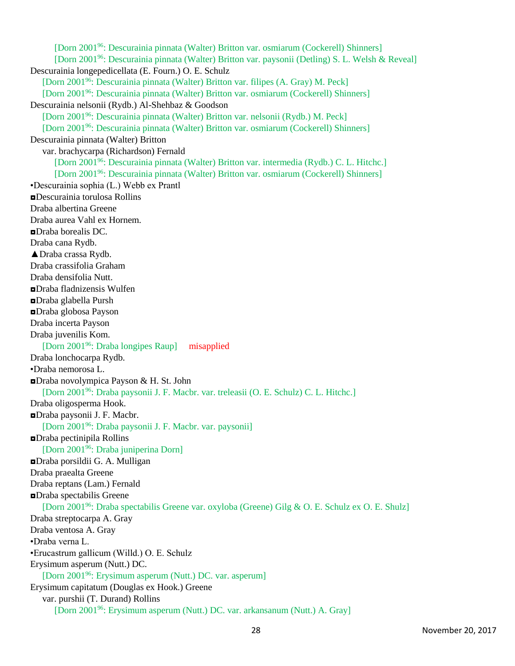[Dorn 2001<sup>96</sup>: Descurainia pinnata (Walter) Britton var. osmiarum (Cockerell) Shinners] [Dorn 2001<sup>96</sup>: Descurainia pinnata (Walter) Britton var. paysonii (Detling) S. L. Welsh & Reveal] Descurainia longepedicellata (E. Fourn.) O. E. Schulz [Dorn 2001<sup>96</sup>: Descurainia pinnata (Walter) Britton var. filipes (A. Gray) M. Peck] [Dorn 2001<sup>96</sup>: Descurainia pinnata (Walter) Britton var. osmiarum (Cockerell) Shinners] Descurainia nelsonii (Rydb.) Al-Shehbaz & Goodson [Dorn 2001<sup>96</sup>: Descurainia pinnata (Walter) Britton var. nelsonii (Rydb.) M. Peck] [Dorn 2001<sup>96</sup>: Descurainia pinnata (Walter) Britton var. osmiarum (Cockerell) Shinners] Descurainia pinnata (Walter) Britton var. brachycarpa (Richardson) Fernald [Dorn 2001<sup>96</sup>: Descurainia pinnata (Walter) Britton var. intermedia (Rydb.) C. L. Hitchc.] [Dorn 2001<sup>96</sup>: Descurainia pinnata (Walter) Britton var. osmiarum (Cockerell) Shinners] •Descurainia sophia (L.) Webb ex Prantl ◘Descurainia torulosa Rollins Draba albertina Greene Draba aurea Vahl ex Hornem. ◘Draba borealis DC. Draba cana Rydb. ▲Draba crassa Rydb. Draba crassifolia Graham Draba densifolia Nutt. ◘Draba fladnizensis Wulfen ◘Draba glabella Pursh ◘Draba globosa Payson Draba incerta Payson Draba juvenilis Kom. [Dorn 2001<sup>96</sup>: Draba longipes Raup] misapplied Draba lonchocarpa Rydb. •Draba nemorosa L. ◘Draba novolympica Payson & H. St. John [Dorn 2001<sup>96</sup>: Draba paysonii J. F. Macbr. var. treleasii (O. E. Schulz) C. L. Hitchc.] Draba oligosperma Hook. ◘Draba paysonii J. F. Macbr. [Dorn 2001<sup>96</sup>: Draba paysonii J. F. Macbr. var. paysonii] ◘Draba pectinipila Rollins [Dorn 2001<sup>96</sup>: Draba juniperina Dorn] ◘Draba porsildii G. A. Mulligan Draba praealta Greene Draba reptans (Lam.) Fernald ◘Draba spectabilis Greene [Dorn 2001<sup>96</sup>: Draba spectabilis Greene var. oxyloba (Greene) Gilg & O. E. Schulz ex O. E. Shulz] Draba streptocarpa A. Gray Draba ventosa A. Gray •Draba verna L. •Erucastrum gallicum (Willd.) O. E. Schulz Erysimum asperum (Nutt.) DC. [Dorn 2001<sup>96</sup>: Erysimum asperum (Nutt.) DC. var. asperum] Erysimum capitatum (Douglas ex Hook.) Greene var. purshii (T. Durand) Rollins [Dorn 200196: Erysimum asperum (Nutt.) DC. var. arkansanum (Nutt.) A. Gray]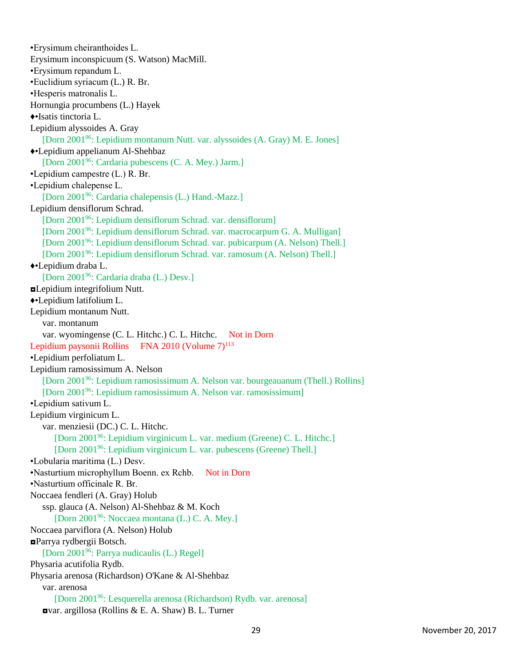•Erysimum cheiranthoides L. Erysimum inconspicuum (S. Watson) MacMill. •Erysimum repandum L. •Euclidium syriacum (L.) R. Br. •Hesperis matronalis L. Hornungia procumbens (L.) Hayek ♦•Isatis tinctoria L. Lepidium alyssoides A. Gray [Dorn 2001<sup>96</sup>: Lepidium montanum Nutt. var. alyssoides (A. Gray) M. E. Jones] ♦•Lepidium appelianum Al-Shehbaz [Dorn 2001<sup>96</sup>: Cardaria pubescens (C. A. Mey.) Jarm.] •Lepidium campestre (L.) R. Br. •Lepidium chalepense L. [Dorn 2001<sup>96</sup>: Cardaria chalepensis (L.) Hand.-Mazz.] Lepidium densiflorum Schrad. [Dorn 2001<sup>96</sup>: Lepidium densiflorum Schrad. var. densiflorum] [Dorn 2001 <sup>96</sup>: Lepidium densiflorum Schrad. var. macrocarpum G. A. Mulligan] [Dorn 2001<sup>96</sup>: Lepidium densiflorum Schrad. var. pubicarpum (A. Nelson) Thell.] [Dorn 2001<sup>96</sup>: Lepidium densiflorum Schrad. var. ramosum (A. Nelson) Thell.] ♦•Lepidium draba L. [Dorn 2001<sup>96</sup>: Cardaria draba (L.) Desv.] ◘Lepidium integrifolium Nutt. ♦•Lepidium latifolium L. Lepidium montanum Nutt. var. montanum var. wyomingense (C. L. Hitchc.) C. L. Hitchc. Not in Dorn Lepidium paysonii Rollins FNA 2010 (Volume  $7)^{113}$ •Lepidium perfoliatum L. Lepidium ramosissimum A. Nelson [Dorn 2001<sup>96</sup>: Lepidium ramosissimum A. Nelson var. bourgeauanum (Thell.) Rollins] [Dorn 2001<sup>96</sup>: Lepidium ramosissimum A. Nelson var. ramosissimum] •Lepidium sativum L. Lepidium virginicum L. var. menziesii (DC.) C. L. Hitchc. [Dorn 2001<sup>96</sup>: Lepidium virginicum L. var. medium (Greene) C. L. Hitchc.] [Dorn 2001<sup>96</sup>: Lepidium virginicum L. var. pubescens (Greene) Thell.] •Lobularia maritima (L.) Desv. •Nasturtium microphyllum Boenn. ex Rchb. Not in Dorn •Nasturtium officinale R. Br. Noccaea fendleri (A. Gray) Holub ssp. glauca (A. Nelson) Al-Shehbaz & M. Koch [Dorn 2001<sup>96</sup>: Noccaea montana (L.) C. A. Mey.] Noccaea parviflora (A. Nelson) Holub ◘Parrya rydbergii Botsch. [Dorn 2001<sup>96</sup>: Parrya nudicaulis (L.) Regel] Physaria acutifolia Rydb. Physaria arenosa (Richardson) O'Kane & Al-Shehbaz var. arenosa [Dorn 2001<sup>96</sup>: Lesquerella arenosa (Richardson) Rydb. var. arenosa] ◘var. argillosa (Rollins & E. A. Shaw) B. L. Turner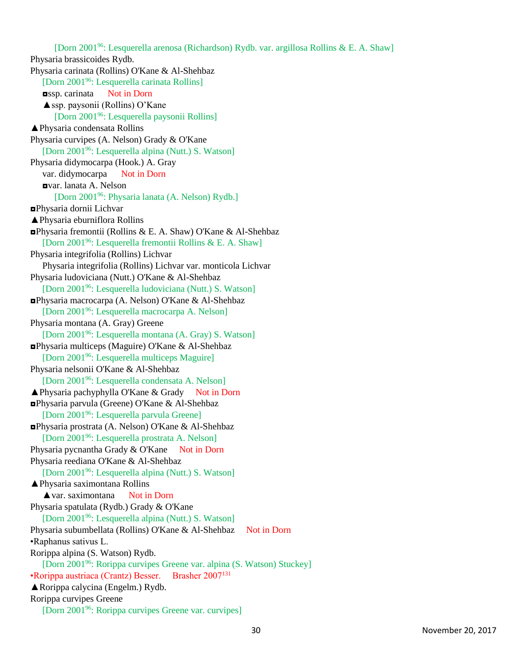[Dorn 2001<sup>96</sup>: Lesquerella arenosa (Richardson) Rydb. var. argillosa Rollins & E. A. Shaw] Physaria brassicoides Rydb. Physaria carinata (Rollins) O'Kane & Al-Shehbaz [Dorn 2001<sup>96</sup>: Lesquerella carinata Rollins] ◘ssp. carinata Not in Dorn ▲ssp. paysonii (Rollins) O'Kane [Dorn 2001<sup>96</sup>: Lesquerella paysonii Rollins] ▲Physaria condensata Rollins Physaria curvipes (A. Nelson) Grady & O'Kane [Dorn 2001<sup>96</sup>: Lesquerella alpina (Nutt.) S. Watson] Physaria didymocarpa (Hook.) A. Gray var. didymocarpa Not in Dorn ◘var. lanata A. Nelson [Dorn 2001<sup>96</sup>: Physaria lanata (A. Nelson) Rydb.] ◘Physaria dornii Lichvar ▲Physaria eburniflora Rollins ◘Physaria fremontii (Rollins & E. A. Shaw) O'Kane & Al-Shehbaz [Dorn 2001<sup>96</sup>: Lesquerella fremontii Rollins & E. A. Shaw] Physaria integrifolia (Rollins) Lichvar Physaria integrifolia (Rollins) Lichvar var. monticola Lichvar Physaria ludoviciana (Nutt.) O'Kane & Al-Shehbaz [Dorn 2001<sup>96</sup>: Lesquerella ludoviciana (Nutt.) S. Watson] ◘Physaria macrocarpa (A. Nelson) O'Kane & Al-Shehbaz [Dorn 2001<sup>96</sup>: Lesquerella macrocarpa A. Nelson] Physaria montana (A. Gray) Greene [Dorn 2001<sup>96</sup>: Lesquerella montana (A. Gray) S. Watson] ◘Physaria multiceps (Maguire) O'Kane & Al-Shehbaz [Dorn 2001<sup>96</sup>: Lesquerella multiceps Maguire] Physaria nelsonii O'Kane & Al-Shehbaz [Dorn 2001<sup>96</sup>: Lesquerella condensata A. Nelson]  $\triangle$  Physaria pachyphylla O'Kane & Grady Not in Dorn ◘Physaria parvula (Greene) O'Kane & Al-Shehbaz [Dorn 2001<sup>96</sup>: Lesquerella parvula Greene] ◘Physaria prostrata (A. Nelson) O'Kane & Al-Shehbaz [Dorn 2001<sup>96</sup>: Lesquerella prostrata A. Nelson] Physaria pycnantha Grady & O'Kane Not in Dorn Physaria reediana O'Kane & Al-Shehbaz [Dorn 2001<sup>96</sup>: Lesquerella alpina (Nutt.) S. Watson] ▲Physaria saximontana Rollins ▲var. saximontana Not in Dorn Physaria spatulata (Rydb.) Grady & O'Kane [Dorn 2001<sup>96</sup>: Lesquerella alpina (Nutt.) S. Watson] Physaria subumbellata (Rollins) O'Kane & Al-Shehbaz Not in Dorn •Raphanus sativus L. Rorippa alpina (S. Watson) Rydb. [Dorn 2001<sup>96</sup>: Rorippa curvipes Greene var. alpina (S. Watson) Stuckey] •Rorippa austriaca (Crantz) Besser. Brasher 2007<sup>131</sup> ▲Rorippa calycina (Engelm.) Rydb. Rorippa curvipes Greene [Dorn 200196: Rorippa curvipes Greene var. curvipes]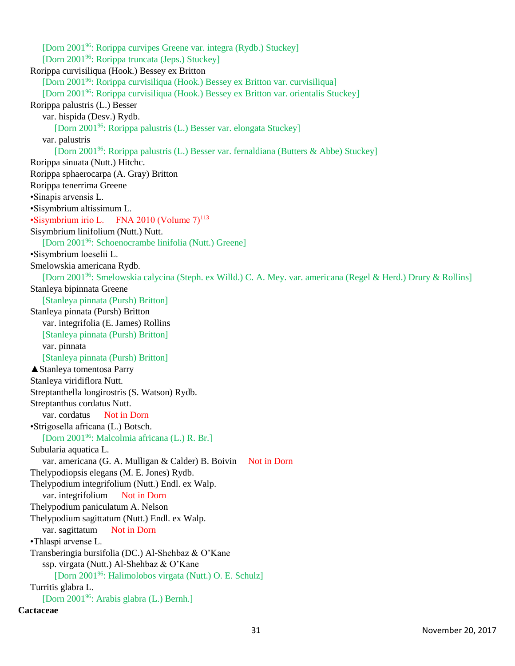[Dorn 2001<sup>96</sup>: Rorippa curvipes Greene var. integra (Rydb.) Stuckey] [Dorn 2001<sup>96</sup>: Rorippa truncata (Jeps.) Stuckey] Rorippa curvisiliqua (Hook.) Bessey ex Britton [Dorn 2001<sup>96</sup>: Rorippa curvisiliqua (Hook.) Bessey ex Britton var. curvisiliqua] [Dorn 2001<sup>96</sup>: Rorippa curvisiliqua (Hook.) Bessey ex Britton var. orientalis Stuckey] Rorippa palustris (L.) Besser var. hispida (Desv.) Rydb. [Dorn 2001<sup>96</sup>: Rorippa palustris (L.) Besser var. elongata Stuckey] var. palustris [Dorn 2001<sup>96</sup>: Rorippa palustris (L.) Besser var. fernaldiana (Butters & Abbe) Stuckey] Rorippa sinuata (Nutt.) Hitchc. Rorippa sphaerocarpa (A. Gray) Britton Rorippa tenerrima Greene •Sinapis arvensis L. •Sisymbrium altissimum L. •Sisymbrium irio L. FNA 2010 (Volume  $7)^{113}$ Sisymbrium linifolium (Nutt.) Nutt. [Dorn 2001<sup>96</sup>: Schoenocrambe linifolia (Nutt.) Greene] •Sisymbrium loeselii L. Smelowskia americana Rydb. [Dorn 2001<sup>96</sup>: Smelowskia calycina (Steph. ex Willd.) C. A. Mey. var. americana (Regel & Herd.) Drury & Rollins] Stanleya bipinnata Greene [Stanleya pinnata (Pursh) Britton] Stanleya pinnata (Pursh) Britton var. integrifolia (E. James) Rollins [Stanleya pinnata (Pursh) Britton] var. pinnata [Stanleya pinnata (Pursh) Britton] ▲Stanleya tomentosa Parry Stanleya viridiflora Nutt. Streptanthella longirostris (S. Watson) Rydb. Streptanthus cordatus Nutt. var. cordatus Not in Dorn •Strigosella africana (L.) Botsch. [Dorn 2001<sup>96</sup>: Malcolmia africana (L.) R. Br.] Subularia aquatica L. var. americana (G. A. Mulligan & Calder) B. Boivin Not in Dorn Thelypodiopsis elegans (M. E. Jones) Rydb. Thelypodium integrifolium (Nutt.) Endl. ex Walp. var. integrifolium Not in Dorn Thelypodium paniculatum A. Nelson Thelypodium sagittatum (Nutt.) Endl. ex Walp. var. sagittatum Not in Dorn •Thlaspi arvense L. Transberingia bursifolia (DC.) Al-Shehbaz & O'Kane ssp. virgata (Nutt.) Al-Shehbaz & O'Kane [Dorn 2001<sup>96</sup>: Halimolobos virgata (Nutt.) O. E. Schulz] Turritis glabra L. [Dorn 2001<sup>96</sup>: Arabis glabra (L.) Bernh.]

## **Cactaceae**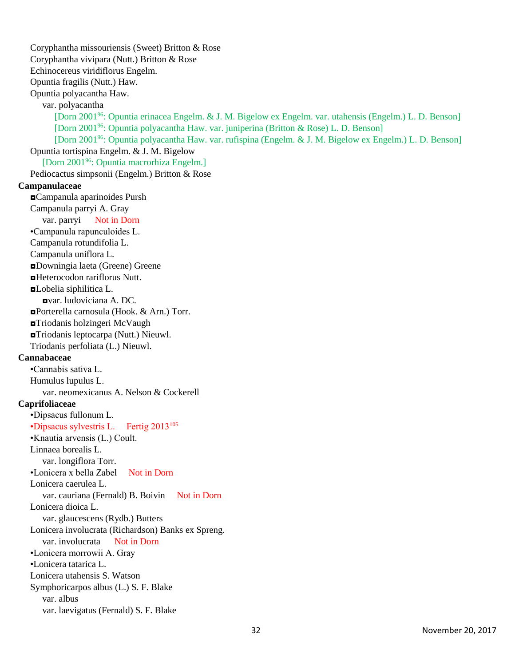Coryphantha missouriensis (Sweet) Britton & Rose Coryphantha vivipara (Nutt.) Britton & Rose Echinocereus viridiflorus Engelm. Opuntia fragilis (Nutt.) Haw. Opuntia polyacantha Haw. var. polyacantha [Dorn 2001<sup>96</sup>: Opuntia erinacea Engelm. & J. M. Bigelow ex Engelm. var. utahensis (Engelm.) L. D. Benson] [Dorn 2001<sup>96</sup>: Opuntia polyacantha Haw. var. juniperina (Britton & Rose) L. D. Benson] [Dorn 2001<sup>96</sup>: Opuntia polyacantha Haw. var. rufispina (Engelm. & J. M. Bigelow ex Engelm.) L. D. Benson] Opuntia tortispina Engelm. & J. M. Bigelow [Dorn 2001<sup>96</sup>: Opuntia macrorhiza Engelm.] Pediocactus simpsonii (Engelm.) Britton & Rose **Campanulaceae** ◘Campanula aparinoides Pursh Campanula parryi A. Gray var. parryi Not in Dorn •Campanula rapunculoides L. Campanula rotundifolia L. Campanula uniflora L. ◘Downingia laeta (Greene) Greene ◘Heterocodon rariflorus Nutt. ◘Lobelia siphilitica L. ◘var. ludoviciana A. DC. ◘Porterella carnosula (Hook. & Arn.) Torr. ◘Triodanis holzingeri McVaugh ◘Triodanis leptocarpa (Nutt.) Nieuwl. Triodanis perfoliata (L.) Nieuwl. **Cannabaceae** •Cannabis sativa L. Humulus lupulus L. var. neomexicanus A. Nelson & Cockerell **Caprifoliaceae** •Dipsacus fullonum L. •Dipsacus sylvestris L. Fertig 2013<sup>105</sup> •Knautia arvensis (L.) Coult. Linnaea borealis L. var. longiflora Torr. •Lonicera x bella Zabel Not in Dorn Lonicera caerulea L. var. cauriana (Fernald) B. Boivin Not in Dorn Lonicera dioica L. var. glaucescens (Rydb.) Butters Lonicera involucrata (Richardson) Banks ex Spreng. var. involucrata Not in Dorn •Lonicera morrowii A. Gray •Lonicera tatarica L. Lonicera utahensis S. Watson Symphoricarpos albus (L.) S. F. Blake var. albus var. laevigatus (Fernald) S. F. Blake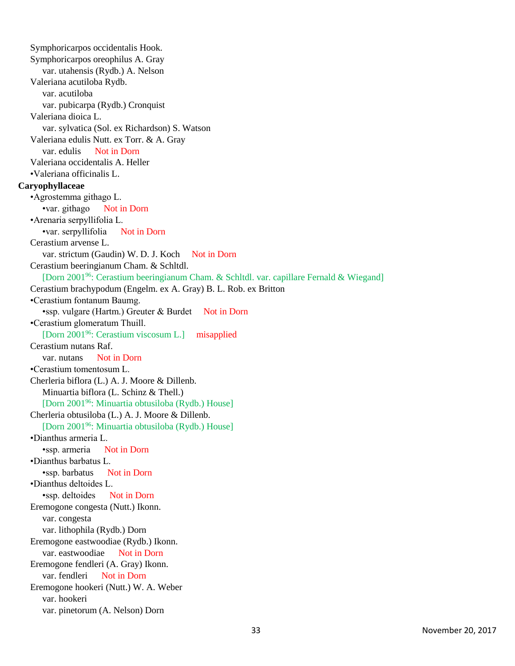Symphoricarpos occidentalis Hook. Symphoricarpos oreophilus A. Gray var. utahensis (Rydb.) A. Nelson Valeriana acutiloba Rydb. var. acutiloba var. pubicarpa (Rydb.) Cronquist Valeriana dioica L. var. sylvatica (Sol. ex Richardson) S. Watson Valeriana edulis Nutt. ex Torr. & A. Gray var. edulis Not in Dorn Valeriana occidentalis A. Heller •Valeriana officinalis L. **Caryophyllaceae** •Agrostemma githago L. •var. githago Not in Dorn •Arenaria serpyllifolia L. •var. serpyllifolia Not in Dorn Cerastium arvense L. var. strictum (Gaudin) W. D. J. Koch Not in Dorn Cerastium beeringianum Cham. & Schltdl. [Dorn 2001<sup>96</sup>: Cerastium beeringianum Cham. & Schltdl. var. capillare Fernald & Wiegand] Cerastium brachypodum (Engelm. ex A. Gray) B. L. Rob. ex Britton •Cerastium fontanum Baumg. •ssp. vulgare (Hartm.) Greuter & Burdet Not in Dorn •Cerastium glomeratum Thuill. [Dorn 2001<sup>96</sup>: Cerastium viscosum L.] misapplied Cerastium nutans Raf. var. nutans Not in Dorn •Cerastium tomentosum L. Cherleria biflora (L.) A. J. Moore & Dillenb. Minuartia biflora (L. Schinz & Thell.) [Dorn 2001<sup>96</sup>: Minuartia obtusiloba (Rydb.) House] Cherleria obtusiloba (L.) A. J. Moore & Dillenb. [Dorn 2001<sup>96</sup>: Minuartia obtusiloba (Rydb.) House] •Dianthus armeria L. •ssp. armeria Not in Dorn •Dianthus barbatus L. •ssp. barbatus Not in Dorn •Dianthus deltoides L. •ssp. deltoides Not in Dorn Eremogone congesta (Nutt.) Ikonn. var. congesta var. lithophila (Rydb.) Dorn Eremogone eastwoodiae (Rydb.) Ikonn. var. eastwoodiae Not in Dorn Eremogone fendleri (A. Gray) Ikonn. var. fendleri Not in Dorn Eremogone hookeri (Nutt.) W. A. Weber var. hookeri var. pinetorum (A. Nelson) Dorn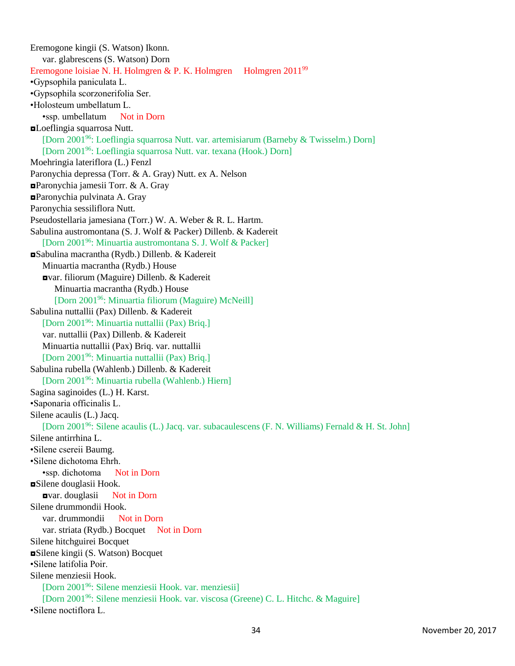Eremogone kingii (S. Watson) Ikonn. var. glabrescens (S. Watson) Dorn Eremogone loisiae N. H. Holmgren & P. K. Holmgren Holmgren  $2011^{99}$ •Gypsophila paniculata L. •Gypsophila scorzonerifolia Ser. •Holosteum umbellatum L. •ssp. umbellatum Not in Dorn ◘Loeflingia squarrosa Nutt. [Dorn 2001<sup>96</sup>: Loeflingia squarrosa Nutt. var. artemisiarum (Barneby & Twisselm.) Dorn] [Dorn 2001<sup>96</sup>: Loeflingia squarrosa Nutt. var. texana (Hook.) Dorn] Moehringia lateriflora (L.) Fenzl Paronychia depressa (Torr. & A. Gray) Nutt. ex A. Nelson ◘Paronychia jamesii Torr. & A. Gray ◘Paronychia pulvinata A. Gray Paronychia sessiliflora Nutt. Pseudostellaria jamesiana (Torr.) W. A. Weber & R. L. Hartm. Sabulina austromontana (S. J. Wolf & Packer) Dillenb. & Kadereit [Dorn 2001<sup>96</sup>: Minuartia austromontana S. J. Wolf & Packer] ◘Sabulina macrantha (Rydb.) Dillenb. & Kadereit Minuartia macrantha (Rydb.) House ◘var. filiorum (Maguire) Dillenb. & Kadereit Minuartia macrantha (Rydb.) House [Dorn 2001<sup>96</sup>: Minuartia filiorum (Maguire) McNeill] Sabulina nuttallii (Pax) Dillenb. & Kadereit [Dorn 2001<sup>96</sup>: Minuartia nuttallii (Pax) Briq.] var. nuttallii (Pax) Dillenb. & Kadereit Minuartia nuttallii (Pax) Briq. var. nuttallii [Dorn 2001<sup>96</sup>: Minuartia nuttallii (Pax) Briq.] Sabulina rubella (Wahlenb.) Dillenb. & Kadereit [Dorn 2001<sup>96</sup>: Minuartia rubella (Wahlenb.) Hiern] Sagina saginoides (L.) H. Karst. •Saponaria officinalis L. Silene acaulis (L.) Jacq. [Dorn 2001<sup>96</sup>: Silene acaulis (L.) Jacq. var. subacaulescens (F. N. Williams) Fernald & H. St. John] Silene antirrhina L. •Silene csereii Baumg. •Silene dichotoma Ehrh. •ssp. dichotoma Not in Dorn ◘Silene douglasii Hook. ◘var. douglasii Not in Dorn Silene drummondii Hook. var. drummondii Not in Dorn var. striata (Rydb.) Bocquet Not in Dorn Silene hitchguirei Bocquet ◘Silene kingii (S. Watson) Bocquet •Silene latifolia Poir. Silene menziesii Hook. [Dorn 2001<sup>96</sup>: Silene menziesii Hook. var. menziesii] [Dorn 2001<sup>96</sup>: Silene menziesii Hook. var. viscosa (Greene) C. L. Hitchc. & Maguire] •Silene noctiflora L.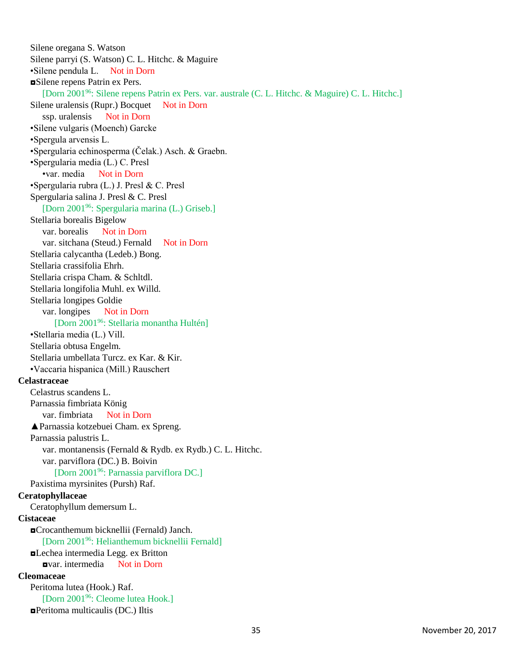Silene oregana S. Watson Silene parryi (S. Watson) C. L. Hitchc. & Maguire •Silene pendula L. Not in Dorn ◘Silene repens Patrin ex Pers. [Dorn 2001<sup>96</sup>: Silene repens Patrin ex Pers. var. australe (C. L. Hitchc. & Maguire) C. L. Hitchc.] Silene uralensis (Rupr.) Bocquet Not in Dorn ssp. uralensis Not in Dorn •Silene vulgaris (Moench) Garcke •Spergula arvensis L. •Spergularia echinosperma (Čelak.) Asch. & Graebn. •Spergularia media (L.) C. Presl •var. media Not in Dorn •Spergularia rubra (L.) J. Presl & C. Presl Spergularia salina J. Presl & C. Presl [Dorn 2001<sup>96</sup>: Spergularia marina (L.) Griseb.] Stellaria borealis Bigelow var. borealis Not in Dorn var. sitchana (Steud.) Fernald Not in Dorn Stellaria calycantha (Ledeb.) Bong. Stellaria crassifolia Ehrh. Stellaria crispa Cham. & Schltdl. Stellaria longifolia Muhl. ex Willd. Stellaria longipes Goldie var. longipes Not in Dorn [Dorn 2001<sup>96</sup>: Stellaria monantha Hultén] •Stellaria media (L.) Vill. Stellaria obtusa Engelm. Stellaria umbellata Turcz. ex Kar. & Kir. •Vaccaria hispanica (Mill.) Rauschert **Celastraceae** Celastrus scandens L. Parnassia fimbriata König var. fimbriata Not in Dorn ▲Parnassia kotzebuei Cham. ex Spreng. Parnassia palustris L. var. montanensis (Fernald & Rydb. ex Rydb.) C. L. Hitchc. var. parviflora (DC.) B. Boivin [Dorn 2001<sup>96</sup>: Parnassia parviflora DC.] Paxistima myrsinites (Pursh) Raf. **Ceratophyllaceae** Ceratophyllum demersum L. **Cistaceae** ◘Crocanthemum bicknellii (Fernald) Janch. [Dorn 2001<sup>96</sup>: Helianthemum bicknellii Fernald] ◘Lechea intermedia Legg. ex Britton ◘var. intermedia Not in Dorn **Cleomaceae** Peritoma lutea (Hook.) Raf. [Dorn 2001<sup>96</sup>: Cleome lutea Hook.] ◘Peritoma multicaulis (DC.) Iltis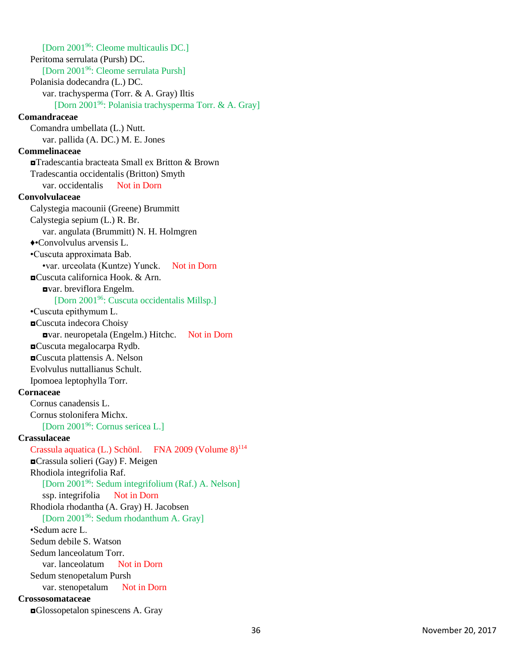[Dorn 2001<sup>96</sup>: Cleome multicaulis DC.] Peritoma serrulata (Pursh) DC. [Dorn 2001<sup>96</sup>: Cleome serrulata Pursh] Polanisia dodecandra (L.) DC. var. trachysperma (Torr. & A. Gray) Iltis [Dorn 2001<sup>96</sup>: Polanisia trachysperma Torr. & A. Gray] **Comandraceae** Comandra umbellata (L.) Nutt. var. pallida (A. DC.) M. E. Jones **Commelinaceae** ◘Tradescantia bracteata Small ex Britton & Brown Tradescantia occidentalis (Britton) Smyth var. occidentalis Not in Dorn **Convolvulaceae** Calystegia macounii (Greene) Brummitt Calystegia sepium (L.) R. Br. var. angulata (Brummitt) N. H. Holmgren ♦•Convolvulus arvensis L. •Cuscuta approximata Bab. •var. urceolata (Kuntze) Yunck. Not in Dorn ◘Cuscuta californica Hook. & Arn. ◘var. breviflora Engelm. [Dorn 2001<sup>96</sup>: Cuscuta occidentalis Millsp.] •Cuscuta epithymum L. ◘Cuscuta indecora Choisy ◘var. neuropetala (Engelm.) Hitchc. Not in Dorn ◘Cuscuta megalocarpa Rydb. ◘Cuscuta plattensis A. Nelson Evolvulus nuttallianus Schult. Ipomoea leptophylla Torr. **Cornaceae** Cornus canadensis L. Cornus stolonifera Michx. [Dorn 2001<sup>96</sup>: Cornus sericea L.] **Crassulaceae** Crassula aquatica (L.) Schönl. FNA 2009 (Volume  $8$ )<sup>114</sup> ◘Crassula solieri (Gay) F. Meigen Rhodiola integrifolia Raf. [Dorn 2001<sup>96</sup>: Sedum integrifolium (Raf.) A. Nelson] ssp. integrifolia Not in Dorn Rhodiola rhodantha (A. Gray) H. Jacobsen [Dorn 2001<sup>96</sup>: Sedum rhodanthum A. Gray] •Sedum acre L. Sedum debile S. Watson Sedum lanceolatum Torr. var. lanceolatum Not in Dorn Sedum stenopetalum Pursh var. stenopetalum Not in Dorn **Crossosomataceae** ◘Glossopetalon spinescens A. Gray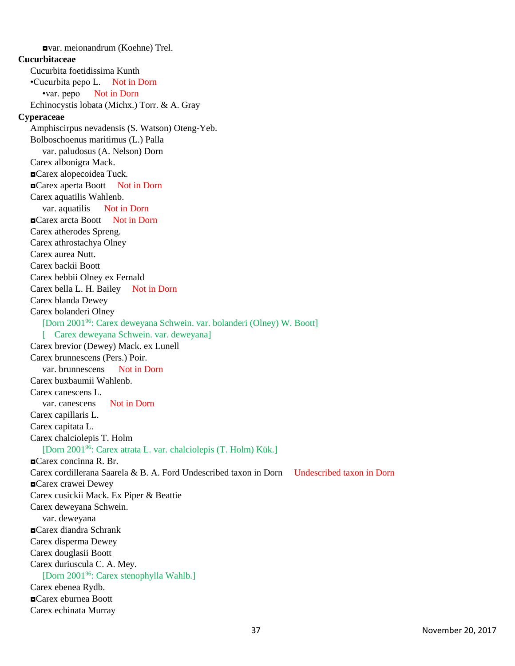◘var. meionandrum (Koehne) Trel. **Cucurbitaceae** Cucurbita foetidissima Kunth •Cucurbita pepo L. Not in Dorn •var. pepo Not in Dorn Echinocystis lobata (Michx.) Torr. & A. Gray **Cyperaceae** Amphiscirpus nevadensis (S. Watson) Oteng-Yeb. Bolboschoenus maritimus (L.) Palla var. paludosus (A. Nelson) Dorn Carex albonigra Mack. ◘Carex alopecoidea Tuck. ◘Carex aperta Boott Not in Dorn Carex aquatilis Wahlenb. var. aquatilis Not in Dorn ◘Carex arcta Boott Not in Dorn Carex atherodes Spreng. Carex athrostachya Olney Carex aurea Nutt. Carex backii Boott Carex bebbii Olney ex Fernald Carex bella L. H. Bailey Not in Dorn Carex blanda Dewey Carex bolanderi Olney [Dorn 2001<sup>96</sup>: Carex deweyana Schwein. var. bolanderi (Olney) W. Boott] [ Carex deweyana Schwein. var. deweyana] Carex brevior (Dewey) Mack. ex Lunell Carex brunnescens (Pers.) Poir. var. brunnescens Not in Dorn Carex buxbaumii Wahlenb. Carex canescens L. var. can escens Not in Dorn Carex capillaris L. Carex capitata L. Carex chalciolepis T. Holm [Dorn 2001<sup>96</sup>: Carex atrata L. var. chalciolepis (T. Holm) Kük.] ◘Carex concinna R. Br. Carex cordillerana Saarela & B. A. Ford Undescribed taxon in Dorn Undescribed taxon in Dorn ◘Carex crawei Dewey Carex cusickii Mack. Ex Piper & Beattie Carex deweyana Schwein. var. deweyana ◘Carex diandra Schrank Carex disperma Dewey Carex douglasii Boott Carex duriuscula C. A. Mey. [Dorn 2001<sup>96</sup>: Carex stenophylla Wahlb.] Carex ebenea Rydb. ◘Carex eburnea Boott Carex echinata Murray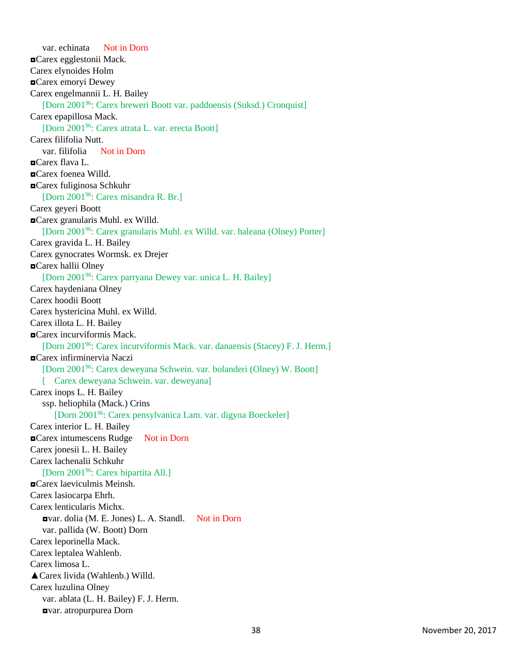var. echinata Not in Dorn ◘Carex egglestonii Mack. Carex elynoides Holm ◘Carex emoryi Dewey Carex engelmannii L. H. Bailey [Dorn 2001<sup>96</sup>: Carex breweri Boott var. paddoensis (Suksd.) Cronquist] Carex epapillosa Mack. [Dorn 2001<sup>96</sup>: Carex atrata L. var. erecta Boott] Carex filifolia Nutt. var. filifolia Not in Dorn ◘Carex flava L. ◘Carex foenea Willd. ◘Carex fuliginosa Schkuhr [Dorn 2001<sup>96</sup>: Carex misandra R. Br.] Carex geyeri Boott ◘Carex granularis Muhl. ex Willd. [Dorn 2001<sup>96</sup>: Carex granularis Muhl. ex Willd. var. haleana (Olney) Porter] Carex gravida L. H. Bailey Carex gynocrates Wormsk. ex Drejer ◘Carex hallii Olney [Dorn 2001<sup>96</sup>: Carex parryana Dewey var. unica L. H. Bailey] Carex haydeniana Olney Carex hoodii Boott Carex hystericina Muhl. ex Willd. Carex illota L. H. Bailey ◘Carex incurviformis Mack. [Dorn 2001<sup>96</sup>: Carex incurviformis Mack. var. danaensis (Stacey) F. J. Herm.] ◘Carex infirminervia Naczi [Dorn 2001<sup>96</sup>: Carex deweyana Schwein. var. bolanderi (Olney) W. Boott] [ Carex deweyana Schwein. var. deweyana] Carex inops L. H. Bailey ssp. heliophila (Mack.) Crins [Dorn 2001<sup>96</sup>: Carex pensylvanica Lam. var. digyna Boeckeler] Carex interior L. H. Bailey ◘Carex intumescens Rudge Not in Dorn Carex jonesii L. H. Bailey Carex lachenalii Schkuhr [Dorn 2001<sup>96</sup>: Carex bipartita All.] ◘Carex laeviculmis Meinsh. Carex lasiocarpa Ehrh. Carex lenticularis Michx. ◘var. dolia (M. E. Jones) L. A. Standl. Not in Dorn var. pallida (W. Boott) Dorn Carex leporinella Mack. Carex leptalea Wahlenb. Carex limosa L. ▲Carex livida (Wahlenb.) Willd. Carex luzulina Olney var. ablata (L. H. Bailey) F. J. Herm. ◘var. atropurpurea Dorn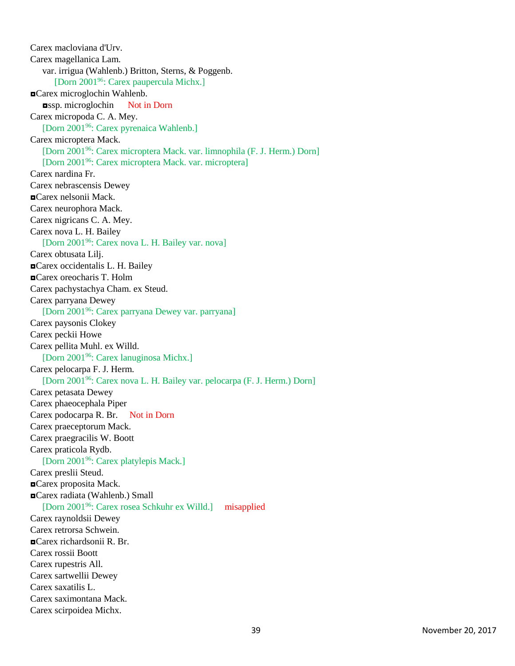Carex macloviana d'Urv. Carex magellanica Lam. var. irrigua (Wahlenb.) Britton, Sterns, & Poggenb. [Dorn 2001<sup>96</sup>: Carex paupercula Michx.] ◘Carex microglochin Wahlenb. ◘ssp. microglochin Not in Dorn Carex micropoda C. A. Mey. [Dorn 2001<sup>96</sup>: Carex pyrenaica Wahlenb.] Carex microptera Mack. [Dorn 2001<sup>96</sup>: Carex microptera Mack. var. limnophila (F. J. Herm.) Dorn] [Dorn 2001<sup>96</sup>: Carex microptera Mack. var. microptera] Carex nardina Fr. Carex nebrascensis Dewey ◘Carex nelsonii Mack. Carex neurophora Mack. Carex nigricans C. A. Mey. Carex nova L. H. Bailey [Dorn 2001<sup>96</sup>: Carex nova L. H. Bailey var. nova] Carex obtusata Lilj. ◘Carex occidentalis L. H. Bailey ◘Carex oreocharis T. Holm Carex pachystachya Cham. ex Steud. Carex parryana Dewey [Dorn 2001<sup>96</sup>: Carex parryana Dewey var. parryana] Carex paysonis Clokey Carex peckii Howe Carex pellita Muhl. ex Willd. [Dorn 2001<sup>96</sup>: Carex lanuginosa Michx.] Carex pelocarpa F. J. Herm. [Dorn 2001<sup>96</sup>: Carex nova L. H. Bailey var. pelocarpa (F. J. Herm.) Dorn] Carex petasata Dewey Carex phaeocephala Piper Carex podocarpa R. Br. Not in Dorn Carex praeceptorum Mack. Carex praegracilis W. Boott Carex praticola Rydb. [Dorn 2001<sup>96</sup>: Carex platylepis Mack.] Carex preslii Steud. ◘Carex proposita Mack. ◘Carex radiata (Wahlenb.) Small [Dorn 2001<sup>96</sup>: Carex rosea Schkuhr ex Willd.] misapplied Carex raynoldsii Dewey Carex retrorsa Schwein. ◘Carex richardsonii R. Br. Carex rossii Boott Carex rupestris All. Carex sartwellii Dewey Carex saxatilis L. Carex saximontana Mack. Carex scirpoidea Michx.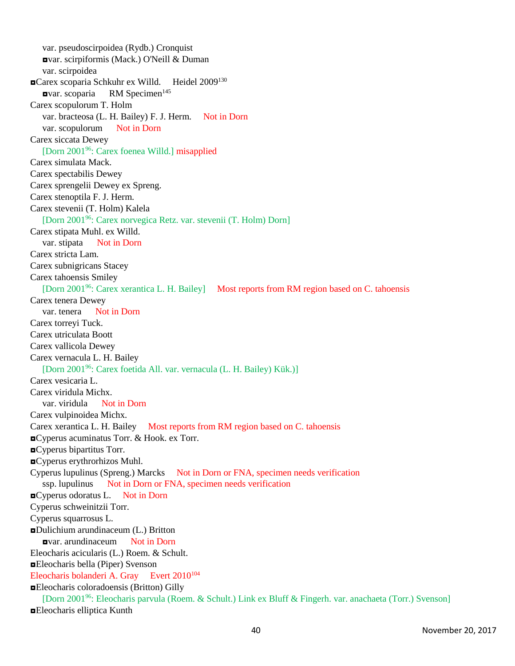var. pseudoscirpoidea (Rydb.) Cronquist ◘var. scirpiformis (Mack.) O'Neill & Duman var. scirpoidea ■Carex scoparia Schkuhr ex Willd. Heidel 2009<sup>130</sup>  $\bullet$ **var.** scoparia RM Specimen<sup>145</sup> Carex scopulorum T. Holm var. bracteosa (L. H. Bailey) F. J. Herm. Not in Dorn var. scopulorum Not in Dorn Carex siccata Dewey [Dorn 2001<sup>96</sup>: Carex foenea Willd.] misapplied Carex simulata Mack. Carex spectabilis Dewey Carex sprengelii Dewey ex Spreng. Carex stenoptila F. J. Herm. Carex stevenii (T. Holm) Kalela [Dorn 2001<sup>96</sup>: Carex norvegica Retz. var. stevenii (T. Holm) Dorn] Carex stipata Muhl. ex Willd. var. stipata Not in Dorn Carex stricta Lam. Carex subnigricans Stacey Carex tahoensis Smiley [Dorn 2001<sup>96</sup>: Carex xerantica L. H. Bailey] **Most reports from RM region based on C. tahoensis** Carex tenera Dewey var. tenera Not in Dorn Carex torreyi Tuck. Carex utriculata Boott Carex vallicola Dewey Carex vernacula L. H. Bailey [Dorn 2001<sup>96</sup>: Carex foetida All. var. vernacula (L. H. Bailey) Kük.)] Carex vesicaria L. Carex viridula Michx. var. viridula Not in Dorn Carex vulpinoidea Michx. Carex xerantica L. H. Bailey Most reports from RM region based on C. tahoensis ◘Cyperus acuminatus Torr. & Hook. ex Torr. ◘Cyperus bipartitus Torr. ◘Cyperus erythrorhizos Muhl. Cyperus lupulinus (Spreng.) Marcks Not in Dorn or FNA, specimen needs verification ssp. lupulinus Not in Dorn or FNA, specimen needs verification ◘Cyperus odoratus L. Not in Dorn Cyperus schweinitzii Torr. Cyperus squarrosus L. ◘Dulichium arundinaceum (L.) Britton ◘var. arundinaceum Not in Dorn Eleocharis acicularis (L.) Roem. & Schult. ◘Eleocharis bella (Piper) Svenson Eleocharis bolanderi A. Gray Evert 2010<sup>104</sup> ◘Eleocharis coloradoensis (Britton) Gilly [Dorn 2001<sup>96</sup>: Eleocharis parvula (Roem. & Schult.) Link ex Bluff & Fingerh. var. anachaeta (Torr.) Svenson] ◘Eleocharis elliptica Kunth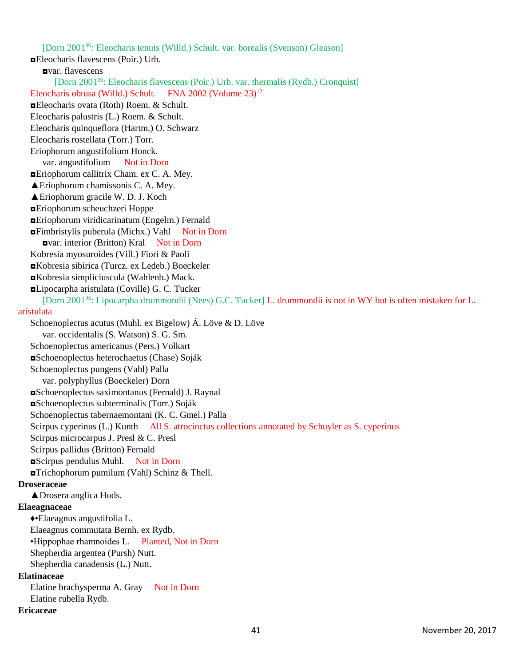[Dorn 2001<sup>96</sup>: Eleocharis tenuis (Willd.) Schult. var. borealis (Svenson) Gleason] ◘Eleocharis flavescens (Poir.) Urb. ◘var. flavescens [Dorn 2001<sup>96</sup>: Eleocharis flavescens (Poir.) Urb. var. thermalis (Rydb.) Cronquist] Eleocharis obtusa (Willd.) Schult. FNA 2002 (Volume 23)<sup>121</sup> ◘Eleocharis ovata (Roth) Roem. & Schult. Eleocharis palustris (L.) Roem. & Schult. Eleocharis quinqueflora (Hartm.) O. Schwarz Eleocharis rostellata (Torr.) Torr. Eriophorum angustifolium Honck. var. angustifolium Not in Dorn ◘Eriophorum callitrix Cham. ex C. A. Mey. ▲Eriophorum chamissonis C. A. Mey. ▲Eriophorum gracile W. D. J. Koch ◘Eriophorum scheuchzeri Hoppe ◘Eriophorum viridicarinatum (Engelm.) Fernald ◘Fimbristylis puberula (Michx.) Vahl Not in Dorn ◘var. interior (Britton) Kral Not in Dorn Kobresia myosuroides (Vill.) Fiori & Paoli ◘Kobresia sibirica (Turcz. ex Ledeb.) Boeckeler ◘Kobresia simpliciuscula (Wahlenb.) Mack. ◘Lipocarpha aristulata (Coville) G. C. Tucker [Dorn 2001<sup>96</sup>: Lipocarpha drummondii (Nees) G.C. Tucker] L. drummondii is not in WY but is often mistaken for L. aristulata Schoenoplectus acutus (Muhl. ex Bigelow) Á. Löve & D. Löve var. occidentalis (S. Watson) S. G. Sm. Schoenoplectus americanus (Pers.) Volkart ◘Schoenoplectus heterochaetus (Chase) Soják Schoenoplectus pungens (Vahl) Palla var. polyphyllus (Boeckeler) Dorn ◘Schoenoplectus saximontanus (Fernald) J. Raynal ◘Schoenoplectus subterminalis (Torr.) Soják Schoenoplectus tabernaemontani (K. C. Gmel.) Palla Scirpus cyperinus (L.) Kunth All S. atrocinctus collections annotated by Schuyler as S. cyperinus Scirpus microcarpus J. Presl & C. Presl Scirpus pallidus (Britton) Fernald ◘Scirpus pendulus Muhl. Not in Dorn ◘Trichophorum pumilum (Vahl) Schinz & Thell. **Droseraceae** ▲Drosera anglica Huds. **Elaeagnaceae** ♦•Elaeagnus angustifolia L. Elaeagnus commutata Bernh. ex Rydb. •Hippophae rhamnoides L. Planted, Not in Dorn Shepherdia argentea (Pursh) Nutt. Shepherdia canadensis (L.) Nutt. **Elatinaceae** Elatine brachysperma A. Gray Not in Dorn Elatine rubella Rydb. **Ericaceae**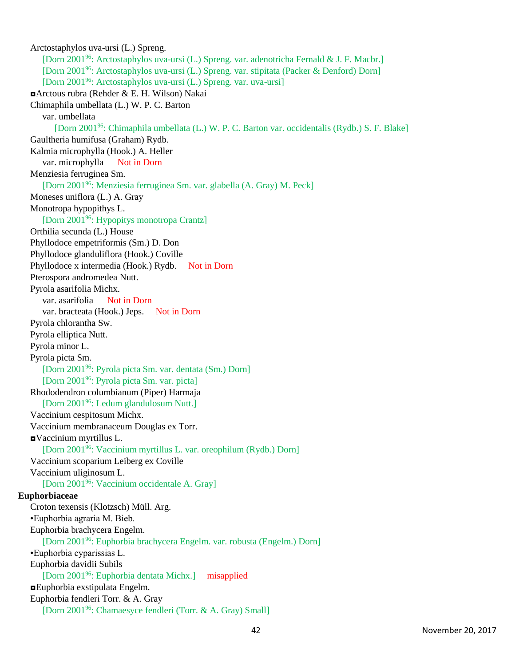Arctostaphylos uva-ursi (L.) Spreng. [Dorn 2001<sup>96</sup>: Arctostaphylos uva-ursi (L.) Spreng. var. adenotricha Fernald & J. F. Macbr.] [Dorn 2001<sup>96</sup>: Arctostaphylos uva-ursi (L.) Spreng. var. stipitata (Packer & Denford) Dorn] [Dorn 2001<sup>96</sup>: Arctostaphylos uva-ursi (L.) Spreng. var. uva-ursi] ◘Arctous rubra (Rehder & E. H. Wilson) Nakai Chimaphila umbellata (L.) W. P. C. Barton var. umbellata [Dorn 2001<sup>96</sup>: Chimaphila umbellata (L.) W. P. C. Barton var. occidentalis (Rydb.) S. F. Blake] Gaultheria humifusa (Graham) Rydb. Kalmia microphylla (Hook.) A. Heller var. microphylla Not in Dorn Menziesia ferruginea Sm. [Dorn 2001<sup>96</sup>: Menziesia ferruginea Sm. var. glabella (A. Gray) M. Peck] Moneses uniflora (L.) A. Gray Monotropa hypopithys L. [Dorn 2001<sup>96</sup>: Hypopitys monotropa Crantz] Orthilia secunda (L.) House Phyllodoce empetriformis (Sm.) D. Don Phyllodoce glanduliflora (Hook.) Coville Phyllodoce x intermedia (Hook.) Rydb. Not in Dorn Pterospora andromedea Nutt. Pyrola asarifolia Michx. var. asarifolia Not in Dorn var. bracteata (Hook.) Jeps. Not in Dorn Pyrola chlorantha Sw. Pyrola elliptica Nutt. Pyrola minor L. Pyrola picta Sm. [Dorn 2001<sup>96</sup>: Pyrola picta Sm. var. dentata (Sm.) Dorn] [Dorn 2001<sup>96</sup>: Pyrola picta Sm. var. picta] Rhododendron columbianum (Piper) Harmaja [Dorn 2001<sup>96</sup>: Ledum glandulosum Nutt.] Vaccinium cespitosum Michx. Vaccinium membranaceum Douglas ex Torr. ◘Vaccinium myrtillus L. [Dorn 2001<sup>96</sup>: Vaccinium myrtillus L. var. oreophilum (Rydb.) Dorn] Vaccinium scoparium Leiberg ex Coville Vaccinium uliginosum L. [Dorn 2001<sup>96</sup>: Vaccinium occidentale A. Gray] **Euphorbiaceae** Croton texensis (Klotzsch) Müll. Arg. •Euphorbia agraria M. Bieb. Euphorbia brachycera Engelm. [Dorn 2001<sup>96</sup>: Euphorbia brachycera Engelm. var. robusta (Engelm.) Dorn] •Euphorbia cyparissias L. Euphorbia davidii Subils [Dorn 2001<sup>96</sup>: Euphorbia dentata Michx.] misapplied ◘Euphorbia exstipulata Engelm. Euphorbia fendleri Torr. & A. Gray [Dorn 200196: Chamaesyce fendleri (Torr. & A. Gray) Small]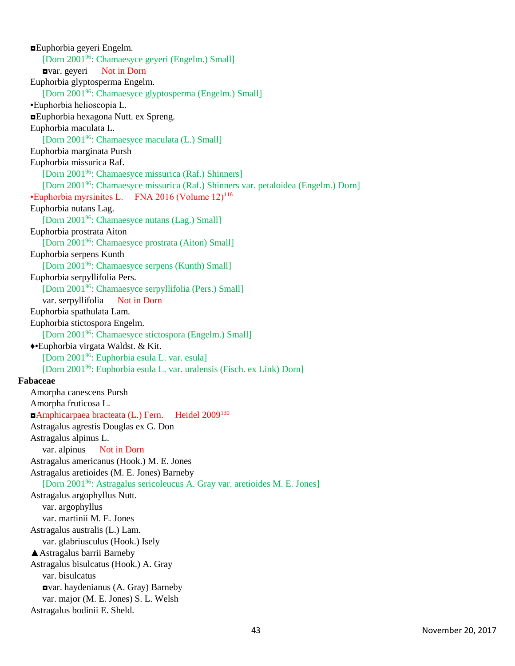◘Euphorbia geyeri Engelm. [Dorn 2001<sup>96</sup>: Chamaesyce geyeri (Engelm.) Small] ◘var. geyeri Not in Dorn Euphorbia glyptosperma Engelm. [Dorn 2001<sup>96</sup>: Chamaesyce glyptosperma (Engelm.) Small] •Euphorbia helioscopia L. ◘Euphorbia hexagona Nutt. ex Spreng. Euphorbia maculata L. [Dorn 2001<sup>96</sup>: Chamaesyce maculata (L.) Small] Euphorbia marginata Pursh Euphorbia missurica Raf. [Dorn 2001<sup>96</sup>: Chamaesyce missurica (Raf.) Shinners] [Dorn 2001<sup>96</sup>: Chamaesyce missurica (Raf.) Shinners var. petaloidea (Engelm.) Dorn]  $\cdot$ Euphorbia myrsinites L. FNA 2016 (Volume 12)<sup>116</sup> Euphorbia nutans Lag. [Dorn 2001<sup>96</sup>: Chamaesyce nutans (Lag.) Small] Euphorbia prostrata Aiton [Dorn 2001<sup>96</sup>: Chamaesyce prostrata (Aiton) Small] Euphorbia serpens Kunth [Dorn 2001<sup>96</sup>: Chamaesyce serpens (Kunth) Small] Euphorbia serpyllifolia Pers. [Dorn 2001<sup>96</sup>: Chamaesyce serpyllifolia (Pers.) Small] var. serpyllifolia Not in Dorn Euphorbia spathulata Lam. Euphorbia stictospora Engelm. [Dorn 2001<sup>96</sup>: Chamaesyce stictospora (Engelm.) Small] ♦•Euphorbia virgata Waldst. & Kit. [Dorn 2001<sup>96</sup>: Euphorbia esula L. var. esula] [Dorn 2001<sup>96</sup>: Euphorbia esula L. var. uralensis (Fisch. ex Link) Dorn] **Fabaceae** Amorpha canescens Pursh Amorpha fruticosa L. ◘Amphicarpaea bracteata (L.) Fern. Heidel 2009<sup>130</sup> Astragalus agrestis Douglas ex G. Don Astragalus alpinus L. var. alpinus Not in Dorn Astragalus americanus (Hook.) M. E. Jones Astragalus aretioides (M. E. Jones) Barneby [Dorn 2001<sup>96</sup>: Astragalus sericoleucus A. Gray var. aretioides M. E. Jones] Astragalus argophyllus Nutt. var. argophyllus var. martinii M. E. Jones Astragalus australis (L.) Lam. var. glabriusculus (Hook.) Isely ▲Astragalus barrii Barneby Astragalus bisulcatus (Hook.) A. Gray var. bisulcatus ◘var. haydenianus (A. Gray) Barneby var. major (M. E. Jones) S. L. Welsh Astragalus bodinii E. Sheld.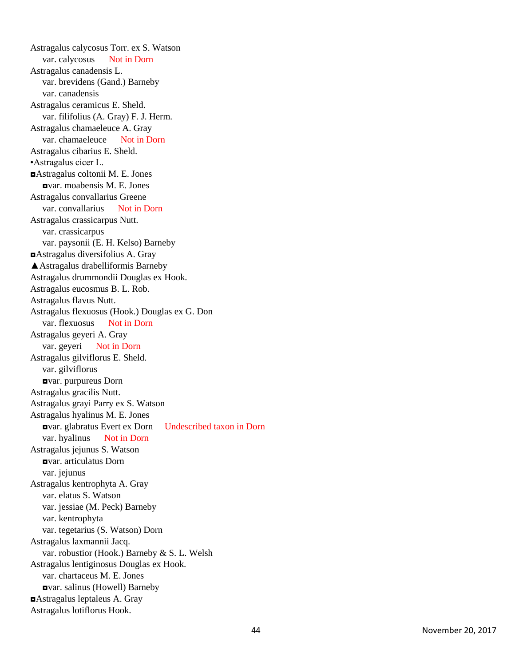Astragalus calycosus Torr. ex S. Watson var. calycosus Not in Dorn Astragalus canadensis L. var. brevidens (Gand.) Barneby var. canadensis Astragalus ceramicus E. Sheld. var. filifolius (A. Gray) F. J. Herm. Astragalus chamaeleuce A. Gray var. chamaeleuce Not in Dorn Astragalus cibarius E. Sheld. •Astragalus cicer L. ◘Astragalus coltonii M. E. Jones ◘var. moabensis M. E. Jones Astragalus convallarius Greene var. convallarius Not in Dorn Astragalus crassicarpus Nutt. var. crassicarpus var. paysonii (E. H. Kelso) Barneby ◘Astragalus diversifolius A. Gray ▲Astragalus drabelliformis Barneby Astragalus drummondii Douglas ex Hook. Astragalus eucosmus B. L. Rob. Astragalus flavus Nutt. Astragalus flexuosus (Hook.) Douglas ex G. Don var. flexuosus Not in Dorn Astragalus geyeri A. Gray var. geyeri Not in Dorn Astragalus gilviflorus E. Sheld. var. gilviflorus<br>**Dorn**<br>**Dorn** Astragalus gracilis Nutt. Astragalus grayi Parry ex S. Watson Astragalus hyalinus M. E. Jones ◘var. glabratus Evert ex Dorn Undescribed taxon in Dorn var. hyalinus Not in Dorn Astragalus jejunus S. Watson ◘var. articulatus Dorn var. jejunus Astragalus kentrophyta A. Gray var. elatus S. Watson var. jessiae (M. Peck) Barneby var. kentrophyta var. tegetarius (S. Watson) Dorn Astragalus laxmannii Jacq. var. robustior (Hook.) Barneby & S. L. Welsh Astragalus lentiginosus Douglas ex Hook. var. chartaceus M. E. Jones ◘var. salinus (Howell) Barneby ◘Astragalus leptaleus A. Gray Astragalus lotiflorus Hook.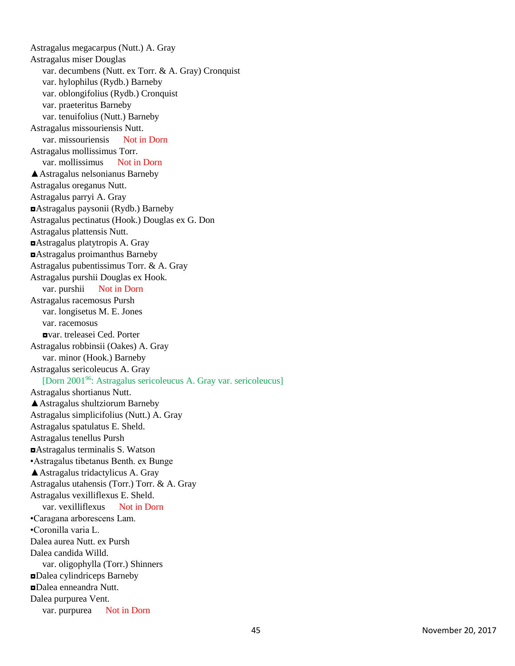Astragalus megacarpus (Nutt.) A. Gray Astragalus miser Douglas var. decumbens (Nutt. ex Torr. & A. Gray) Cronquist var. hylophilus (Rydb.) Barneby var. oblongifolius (Rydb.) Cronquist var. praeteritus Barneby var. tenuifolius (Nutt.) Barneby Astragalus missouriensis Nutt. var. missouriensis Not in Dorn Astragalus mollissimus Torr. var. mollissimus Not in Dorn ▲Astragalus nelsonianus Barneby Astragalus oreganus Nutt. Astragalus parryi A. Gray ◘Astragalus paysonii (Rydb.) Barneb y Astragalus pectinatus (Hook.) Douglas ex G. Don Astragalus plattensis Nutt. ◘Astragalus platytropis A. Gray ◘Astragalus proimanthus Barneby Astragalus pubentissimus Torr. & A. Gray Astragalus purshii Douglas ex Hook. var. purshii Not in Dorn Astragalus racemosus Pursh var. longisetus M. E. Jones var. racemosus<br>**Dansen Ced. Porter** Astragalus robbinsii (Oakes) A. Gray var. minor (Hook.) Barneby Astragalus sericoleucus A. Gray [Dorn 2001<sup>96</sup>: Astragalus sericoleucus A. Gray var. sericoleucus] Astragalus shortianus Nutt. ▲Astragalus shultziorum Barneby Astragalus simplicifolius (Nutt.) A. Gray Astragalus spatulatus E. Sheld. Astragalus tenellus Pursh ◘Astragalus terminalis S. Watson •Astragalus tibetanus Benth. ex Bunge ▲Astragalus tridactylicus A. Gray Astragalus utahensis (Torr.) Torr. & A. Gray Astragalus vexilliflexus E. Sheld. var. vexilliflexus Not in Dorn •Caragana arborescens Lam. •Coronilla varia L. Dalea aurea Nutt. ex Pursh Dalea candida Willd. var. oligophylla (Torr.) Shinners ◘Dalea cylindriceps Barneby ◘Dalea enneandra Nutt. Dalea purpurea Vent. var. purpurea Not in Dorn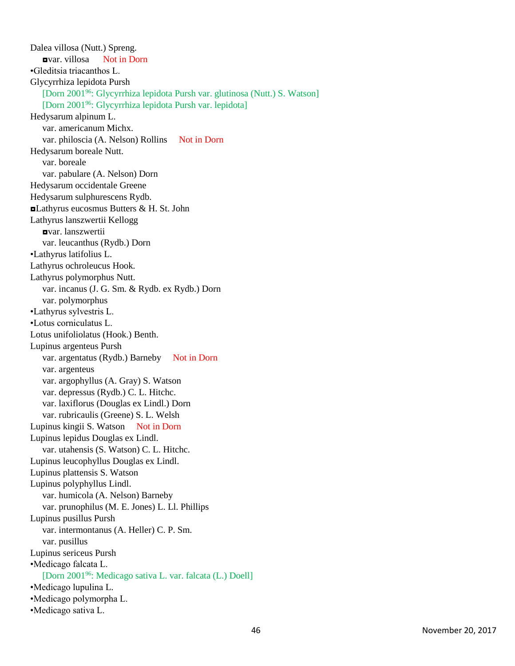Dalea villosa (Nutt.) Spreng. ◘var. villosa Not in Dorn •Gleditsia triacanthos L. Glycyrrhiza lepidota Pursh [Dorn 2001<sup>96</sup>: Glycyrrhiza lepidota Pursh var. glutinosa (Nutt.) S. Watson] [Dorn 2001<sup>96</sup>: Glycyrrhiza lepidota Pursh var. lepidota] Hedysarum alpinum L. var. americanum Michx. var. philoscia (A. Nelson) Rollins Not in Dorn Hedysarum boreale Nutt. var. boreale var. pabulare (A. Nelson) Dorn Hedysarum occidentale Greene Hedysarum sulphurescens Rydb. ◘Lathyrus eucosmus Butters & H. St. John Lathyrus lanszwertii Kellogg ◘var. lanszwertii var. leucanthus (Rydb.) Dorn •Lathyrus latifolius L. Lathyrus ochroleucus Hook. Lathyrus polymorphus Nutt. var. incanus (J. G. Sm. & Rydb. ex Rydb.) Dorn var. polymorphus •Lathyrus sylvestris L. •Lotus corniculatus L. Lotus unifoliolatus (Hook.) Benth. Lupinus argenteus Pursh var. argentatus (Rydb.) Barneby Not in Dorn var. argenteus var. argophyllus (A. Gray) S. Watson var. depressus (Rydb.) C. L. Hitchc. var. laxiflorus (Douglas ex Lindl.) Dorn var. rubricaulis (Greene) S. L. Welsh Lupinus kingii S. Watson Not in Dorn Lupinus lepidus Douglas ex Lindl. var. utahensis (S. Watson) C. L. Hitchc. Lupinus leucophyllus Douglas ex Lindl. Lupinus plattensis S. Watson Lupinus polyphyllus Lindl. var. humicola (A. Nelson) Barneby var. prunophilus (M. E. Jones) L. Ll. Phillips Lupinus pusillus Pursh var. intermontanus (A. Heller) C. P. Sm. var. pusillus Lupinus sericeus Pursh •Medicago falcata L. [Dorn 2001<sup>96</sup>: Medicago sativa L. var. falcata (L.) Doell] •Medicago lupulina L. •Medicago polymorpha L. •Medicago sativa L.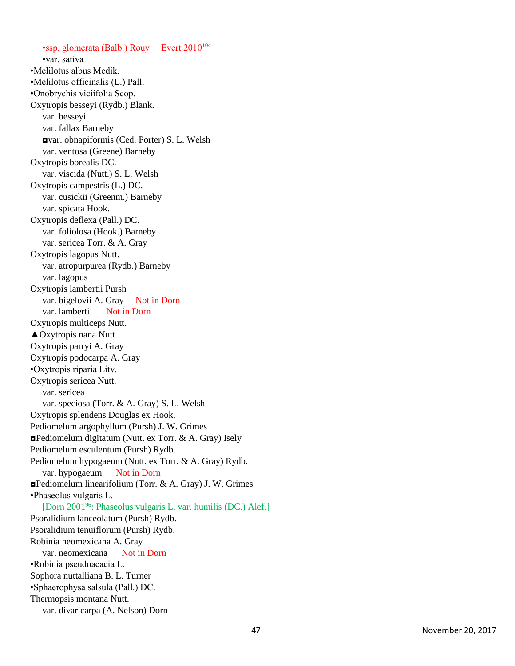•ssp. glomerata (Balb.) Rouy Evert 2010<sup>104</sup> •var. sativa •Melilotus albus Medik. •Melilotus officinalis (L.) Pall. •Onobrychis viciifolia Scop. Oxytropis besseyi (Rydb.) Blank. var. besseyi var. fallax Barneby ◘var. obnapiformis (Ced. Porter) S. L. Welsh var. ventosa (Greene) Barneby Oxytropis borealis DC. var. viscida (Nutt.) S. L. Welsh Oxytropis campestris (L.) DC. var. cusickii (Greenm.) Barneby var. spicata Hook. Oxytropis deflexa (Pall.) DC. var. foliolosa (Hook.) Barneby var. sericea Torr. & A. Gray Oxytropis lagopus Nutt. var. atropurpurea (Rydb.) Barneby var. lagopus Oxytropis lambertii Pursh var. bigelovii A. Gray Not in Dorn var. lambertii Not in Dorn Oxytropis multiceps Nutt. ▲Oxytropis nana Nutt. Oxytropis parryi A. Gray Oxytropis podocarpa A. Gray •Oxytropis riparia Litv. Oxytropis sericea Nutt. var. sericea var. speciosa (Torr. & A. Gray) S. L. Welsh Oxytropis splendens Douglas ex Hook. Pediomelum argophyllum (Pursh) J. W. Grimes ◘Pediomelum digitatum (Nutt. ex Torr. & A. Gray) Isely Pediomelum esculentum (Pursh) Rydb. Pediomelum hypogaeum (Nutt. ex Torr. & A. Gray) Rydb. var. hypogaeum Not in Dorn ◘Pediomelum linearifolium (Torr. & A. Gray) J. W. Grimes •Phaseolus vulgaris L. [Dorn 2001<sup>96</sup>: Phaseolus vulgaris L. var. humilis (DC.) Alef.] Psoralidium lanceolatum (Pursh) Rydb. Psoralidium tenuiflorum (Pursh) Rydb. Robinia neomexicana A. Gray var. neomexicana Not in Dorn •Robinia pseudoacacia L. Sophora nuttalliana B. L. Turner •Sphaerophysa salsula (Pall.) DC. Thermopsis montana Nutt. var. divaricarpa (A. Nelson) Dorn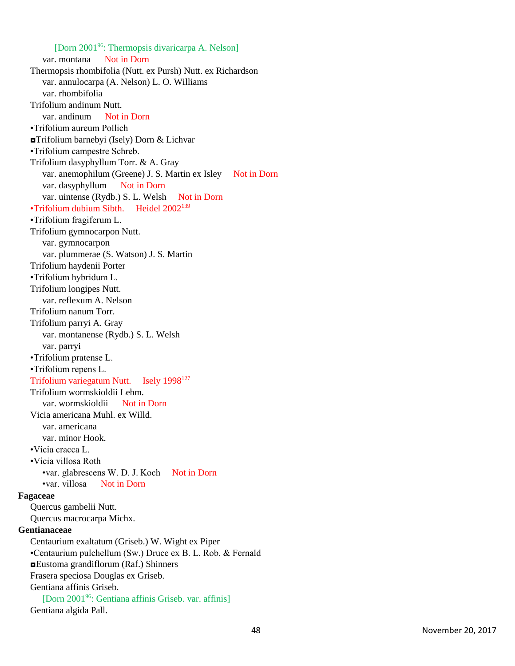[Dorn 2001<sup>96</sup>: Thermopsis divaricarpa A. Nelson] var. montana Not in Dorn Thermopsis rhombifolia (Nutt. ex Pursh) Nutt. ex Richardson var. annulocarpa (A. Nelson) L. O. Williams var. rhombifolia Trifolium andinum Nutt. var. andinum Not in Dorn •Trifolium aureum Pollich ◘Trifolium barnebyi (Isely) Dorn & Lichvar •Trifolium campestre Schreb. Trifolium dasyphyllum Torr. & A. Gray var. anemophilum (Greene) J. S. Martin ex Isley Not in Dorn var. dasyphyllum Not in Dorn var. uintense (Rydb.) S. L. Welsh Not in Dorn •Trifolium dubium Sibth. Heidel 2002<sup>139</sup> •Trifolium fragiferum L. Trifolium gymnocarpon Nutt. var. gymnocarpon var. plummerae (S. Watson) J. S. Martin Trifolium haydenii Porter •Trifolium hybridum L. Trifolium longipes Nutt. var. reflexum A. Nelson Trifolium nanum Torr. Trifolium parryi A. Gray var. montanense (Rydb.) S. L. Welsh var. parryi •Trifolium pratense L. •Trifolium repens L. Trifolium variegatum Nutt. Isely 1998<sup>127</sup> Trifolium wormskioldii Lehm. var. wormskioldii Not in Dorn Vicia americana Muhl. ex Willd. var. americana var. minor Hook. •Vicia cracca L. •Vicia villosa Roth •var. glabrescens W. D. J. Koch Not in Dorn •var. villosa Not in Dorn **Fagaceae** Quercus gambelii Nutt. Quercus macrocarpa Michx. **Gentianaceae** Centaurium exaltatum (Griseb.) W. Wight ex Piper •Centaurium pulchellum (Sw.) Druce ex B. L. Rob. & Fernald ◘Eustoma grandiflorum (Raf.) Shinners Frasera speciosa Douglas ex Griseb. Gentiana affinis Griseb. [Dorn 2001<sup>96</sup>: Gentiana affinis Griseb. var. affinis] Gentiana algida Pall.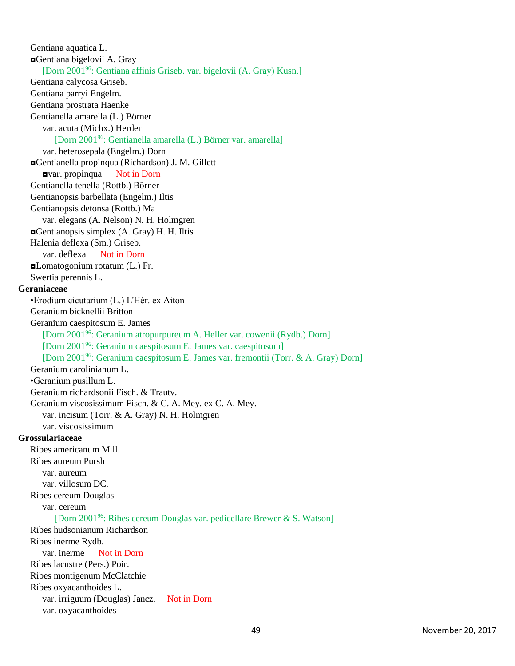Gentiana aquatica L. ◘Gentiana bigelovii A. Gray [Dorn 2001<sup>96</sup>: Gentiana affinis Griseb. var. bigelovii (A. Gray) Kusn.] Gentiana calycosa Griseb. Gentiana parryi Engelm. Gentiana prostrata Haenke Gentianella amarella (L.) Börner var. acuta (Michx.) Herder [Dorn 2001<sup>96</sup>: Gentianella amarella (L.) Börner var. amarella] var. heterosepala (Engelm.) Dorn ◘Gentianella propinqua (Richardson) J. M. Gillett ◘var. propinqua Not in Dorn Gentianella tenella (Rottb.) Börner Gentianopsis barbellata (Engelm.) Iltis Gentianopsis detonsa (Rottb.) Ma var. elegans (A. Nelson) N. H. Holmgren ◘Gentianopsis simplex (A. Gray) H. H. Iltis Halenia deflexa (Sm.) Griseb. var. deflexa Not in Dorn ◘Lomatogonium rotatum (L.) Fr. Swertia perennis L. **Geraniaceae** •Erodium cicutarium (L.) L'Hér. ex Aiton Geranium bicknellii Britton Geranium caespitosum E. James [Dorn 2001<sup>96</sup>: Geranium atropurpureum A. Heller var. cowenii (Rydb.) Dorn] [Dorn 2001<sup>96</sup>: Geranium caespitosum E. James var. caespitosum] [Dorn 2001<sup>96</sup>: Geranium caespitosum E. James var. fremontii (Torr. & A. Gray) Dorn] Geranium carolinianum L. •Geranium pusillum L. Geranium richardsonii Fisch. & Trautv. Geranium viscosissimum Fisch. & C. A. Mey. ex C. A. Mey. var. incisum (Torr. & A. Gray) N. H. Holmgren var. viscosissimum **Grossulariaceae** Ribes americanum Mill. Ribes aureum Pursh var. aureum var. villosum DC. Ribes cereum Douglas var. cereum [Dorn 2001<sup>96</sup>: Ribes cereum Douglas var. pedicellare Brewer & S. Watson] Ribes hudsonianum Richardson Ribes inerme Rydb. var. inerme Not in Dorn Ribes lacustre (Pers.) Poir. Ribes montigenum McClatchie Ribes oxyacanthoides L. var. irriguum (Douglas) Jancz. Not in Dorn var. oxyacanthoides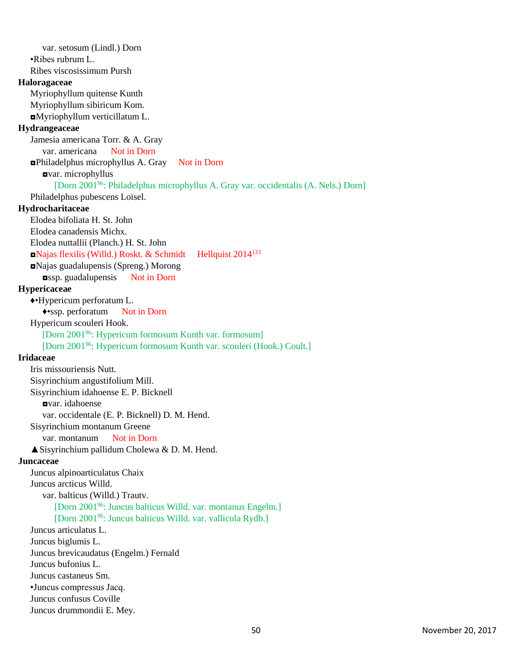var. setosum (Lindl.) Dorn •Ribes rubrum L. Ribes viscosissimum Pursh **Haloragaceae** Myriophyllum quitense Kunth Myriophyllum sibiricum Kom. ◘Myriophyllum verticillatum L. **Hydrangeaceae** Jamesia americana Torr. & A. Gray var. americana Not in Dorn ◘Philadelphus microphyllus A. Gray Not in Dorn ◘var. microphyllus [Dorn 2001<sup>96</sup>: Philadelphus microphyllus A. Gray var. occidentalis (A. Nels.) Dorn] Philadelphus pubescens Loisel. **Hydrocharitaceae** Elodea bifoliata H. St. John Elodea canadensis Michx. Elodea nuttallii (Planch.) H. St. John ◘Najas flexilis (Willd.) Roskt. & Schmidt Hellquist 2014<sup>133</sup> ◘Najas guadalupensis (Spreng.) Morong ◘ssp. guadalupensis Not in Dorn **Hypericaceae** ♦•Hypericum perforatum L. ♦•ssp. perforatum Not in Dorn Hypericum scouleri Hook. [Dorn 2001<sup>96</sup>: Hypericum formosum Kunth var. formosum] [Dorn 2001<sup>96</sup>: Hypericum formosum Kunth var. scouleri (Hook.) Coult.] **Iridaceae** Iris missouriensis Nutt. Sisyrinchium angustifolium Mill. Sisyrinchium idahoense E. P. Bicknell ◘var. idahoense var. occidentale (E. P. Bicknell) D. M. Hend. Sisyrinchium montanum Greene var. montanum Not in Dorn  $\triangle$  Sisyrinchium pallidum Cholewa & D. M. Hend. **Juncaceae** Juncus alpinoarticulatus Chaix Juncus arcticus Willd. var. balticus (Willd.) Trautv. [Dorn 2001<sup>96</sup>: Juncus balticus Willd. var. montanus Engelm.] [Dorn 2001<sup>96</sup>: Juncus balticus Willd. var. vallicola Rydb.] Juncus articulatus L. Juncus biglumis L. Juncus brevicaudatus (Engelm.) Fernald Juncus bufonius L. Juncus castaneus Sm. •Juncus compressus Jacq. Juncus confusus Coville Juncus drummondii E. Mey.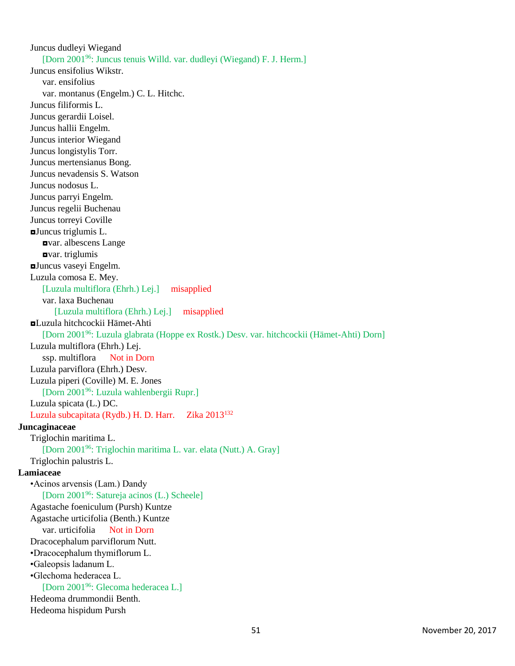Juncus dudleyi Wiegand [Dorn 2001<sup>96</sup>: Juncus tenuis Willd. var. dudleyi (Wiegand) F. J. Herm.] Juncus ensifolius Wikstr. var. ensifolius var. montanus (Engelm.) C. L. Hitchc. Juncus filiformis L. Juncus gerardii Loisel. Juncus hallii Engelm. Juncus interior Wiegand Juncus longistylis Torr. Juncus mertensianus Bong. Juncus nevadensis S. Watson Juncus nodosus L. Juncus parryi Engelm. Juncus regelii Buchenau Juncus torreyi Coville ◘Juncus triglumis L. ◘var. albescens Lange ◘var. triglumis ◘Juncus vaseyi Engelm. Luzula comosa E. Mey. [Luzula multiflora (Ehrh.) Lej.] misapplied var. laxa Buchenau [Luzula multiflora (Ehrh.) Lej.] misapplied ◘Luzula hitchcockii Hämet-Ahti [Dorn 2001<sup>96</sup>: Luzula glabrata (Hoppe ex Rostk.) Desv. var. hitchcockii (Hämet-Ahti) Dorn] Luzula multiflora (Ehrh.) Lej. ssp. multiflora Not in Dorn Luzula parviflora (Ehrh.) Desv. Luzula piperi (Coville) M. E. Jones [Dorn 2001<sup>96</sup>: Luzula wahlenbergii Rupr.] Luzula spicata (L.) DC. Luzula subcapitata (Rydb.) H. D. Harr. Zika 2013<sup>132</sup> **Juncaginaceae** Triglochin maritima L. [Dorn 2001<sup>96</sup>: Triglochin maritima L. var. elata (Nutt.) A. Gray] Triglochin palustris L. **Lamiaceae** •Acinos arvensis (Lam.) Dandy [Dorn 2001<sup>96</sup>: Satureja acinos (L.) Scheele] Agastache foeniculum (Pursh) Kuntze Agastache urticifolia (Benth.) Kuntze var. urticifolia Not in Dorn Dracocephalum parviflorum Nutt. •Dracocephalum thymiflorum L. •Galeopsis ladanum L. •Glechoma hederacea L. [Dorn 2001<sup>96</sup>: Glecoma hederacea L.] Hedeoma drummondii Benth. Hedeoma hispidum Pursh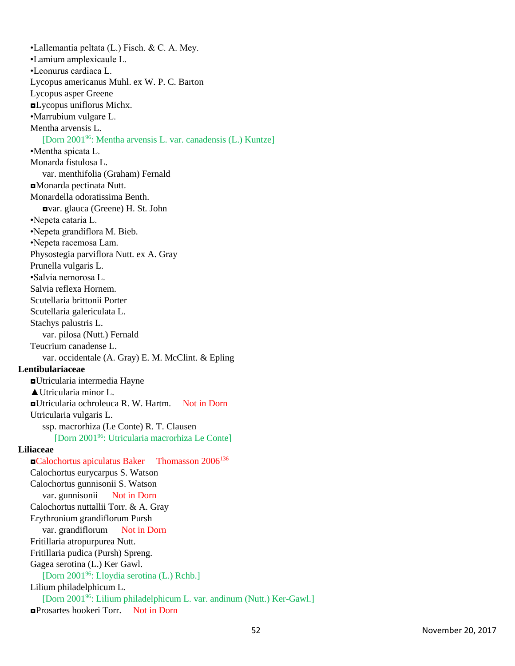•Lallemantia peltata (L.) Fisch. & C. A. Mey. •Lamium amplexicaule L. •Leonurus cardiaca L. Lycopus americanus Muhl. ex W. P. C. Barton Lycopus asper Greene ◘Lycopus uniflorus Michx. •Marrubium vulgare L. Mentha arvensis L. [Dorn 2001<sup>96</sup>: Mentha arvensis L. var. canadensis (L.) Kuntze] •Mentha spicata L. Monarda fistulosa L. var. menthifolia (Graham) Fernald ◘Monarda pectinata Nutt. Monardella odoratissima Benth. ◘var. glauca (Greene) H. St. John •Nepeta cataria L. •Nepeta grandiflora M. Bieb. •Nepeta racemosa Lam. Physostegia parviflora Nutt. ex A. Gray Prunella vulgaris L. •Salvia nemorosa L. Salvia reflexa Hornem. Scutellaria brittonii Porter Scutellaria galericulata L. Stachys palustris L. var. pilosa (Nutt.) Fernald Teucrium canadense L. var. occidentale (A. Gray) E. M. McClint. & Epling **Lentibulariaceae** ◘Utricularia intermedia Hayne ▲Utricularia minor L. ◘Utricularia ochroleuca R. W. Hartm. Not in Dorn Utricularia vulgaris L. ssp. macrorhiza (Le Conte) R. T. Clausen [Dorn 2001<sup>96</sup>: Utricularia macrorhiza Le Conte] **Liliaceae** ◘Calochortus apiculatus Baker Thomasson 2006<sup>136</sup> Calochortus eurycarpus S. Watson Calochortus gunnisonii S. Watson var. gunnisonii Not in Dorn Calochortus nuttallii Torr. & A. Gray Erythronium grandiflorum Pursh var. grandiflorum Not in Dorn Fritillaria atropurpurea Nutt. Fritillaria pudica (Pursh) Spreng. Gagea serotina (L.) Ker Gawl. [Dorn 2001<sup>96</sup>: Lloydia serotina (L.) Rchb.] Lilium philadelphicum L. [Dorn 2001<sup>96</sup>: Lilium philadelphicum L. var. andinum (Nutt.) Ker-Gawl.] ◘Prosartes hookeri Torr. Not in Dorn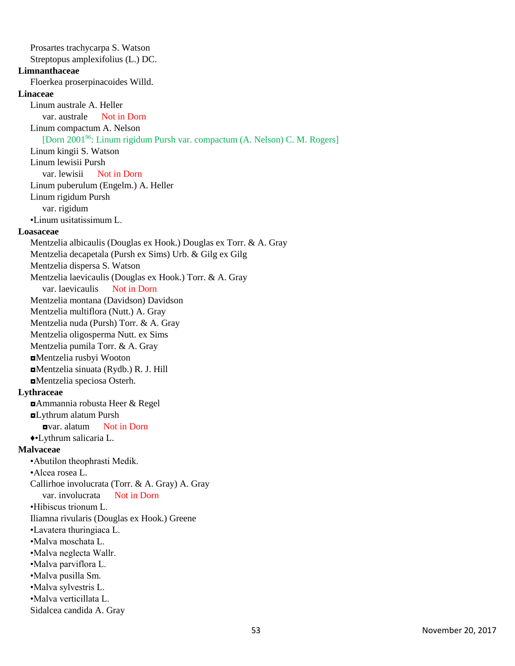Prosartes trachycarpa S. Watson Streptopus amplexifolius (L.) DC. **Limnanthaceae** Floerkea proserpinacoides Willd. **Linaceae** Linum australe A. Heller var. australe Not in Dorn Linum compactum A. Nelson [Dorn 2001<sup>96</sup>: Linum rigidum Pursh var. compactum (A. Nelson) C. M. Rogers] Linum kingii S. Watson Linum lewisii Pursh var. lewisii Not in Dorn Linum puberulum (Engelm.) A. Heller Linum rigidum Pursh var. rigidum •Linum usitatissimum L. **Loasaceae** Mentzelia albicaulis (Douglas ex Hook.) Douglas ex Torr. & A. Gray Mentzelia decapetala (Pursh ex Sims) Urb. & Gilg ex Gilg Mentzelia dispersa S. Watson Mentzelia laevicaulis (Douglas ex Hook.) Torr. & A. Gray var. laevicaulis Not in Dorn Mentzelia montana (Davidson) Davidson Mentzelia multiflora (Nutt.) A. Gray Mentzelia nuda (Pursh) Torr. & A. Gray Mentzelia oligosperma Nutt. ex Sims Mentzelia pumila Torr. & A. Gray ◘Mentzelia rusbyi Wooton ◘Mentzelia sinuata (Rydb.) R. J. Hill ◘Mentzelia speciosa Osterh. **Lythraceae** ◘Ammannia robusta Heer & Regel ◘Lythrum alatum Pursh ◘var. alatum Not in Dorn ♦•Lythrum salicaria L. **Malvaceae** •Abutilon theophrasti Medik. •Alcea rosea L. Callirhoe involucrata (Torr. & A. Gray) A. Gray var. involucrata Not in Dorn •Hibiscus trionum L. Iliamna rivularis (Douglas ex Hook.) Greene •Lavatera thuringiaca L. •Malva moschata L. •Malva neglecta Wallr. •Malva parviflora L. •Malva pusilla Sm. •Malva sylvestris L. •Malva verticillata L. Sidalcea candida A. Gray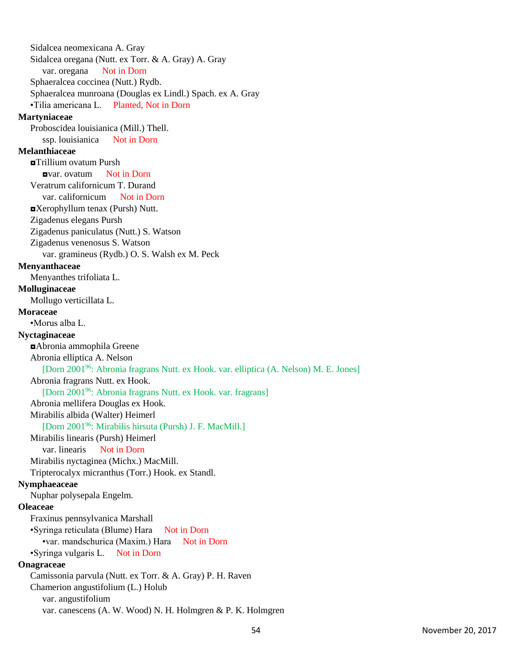Sidalcea neomexicana A. Gray Sidalcea oregana (Nutt. ex Torr. & A. Gray) A. Gray var. oregana Not in Dorn Sphaeralcea coccinea (Nutt.) Rydb. Sphaeralcea munroana (Douglas ex Lindl.) Spach. ex A. Gray •Tilia americana L. Planted, Not in Dorn **Martyniaceae** Proboscidea louisianica (Mill.) Thell. ssp. louisianica Not in Dorn **Melanthiaceae** ◘Trillium ovatum Pursh ◘var. ovatum Not in Dorn Veratrum californicum T. Durand var. californicum Not in Dorn ◘Xerophyllum tenax (Pursh) Nutt. Zigadenus elegans Pursh Zigadenus paniculatus (Nutt.) S. Watson Zigadenus venenosus S. Watson var. gramineus (Rydb.) O. S. Walsh ex M. Peck **Menyanthaceae** Menyanthes trifoliata L. **Molluginaceae** Mollugo verticillata L. **Moraceae** •Morus alba L. **Nyctaginaceae** ◘Abronia ammophila Greene Abronia elliptica A. Nelson [Dorn 2001<sup>96</sup>: Abronia fragrans Nutt. ex Hook. var. elliptica (A. Nelson) M. E. Jones] Abronia fragrans Nutt. ex Hook. [Dorn 2001<sup>96</sup>: Abronia fragrans Nutt. ex Hook. var. fragrans] Abronia mellifera Douglas ex Hook. Mirabilis albida (Walter) Heimerl [Dorn 2001<sup>96</sup>: Mirabilis hirsuta (Pursh) J. F. MacMill.] Mirabilis linearis (Pursh) Heimerl var. linearis Not in Dorn Mirabilis nyctaginea (Michx.) MacMill. Tripterocalyx micranthus (Torr.) Hook. ex Standl. **Nymphaeaceae** Nuphar polysepala Engelm. **Oleaceae** Fraxinus pennsylvanica Marshall •Syringa reticulata (Blume) Hara Not in Dorn •var. mandschurica (Maxim.) Hara Not in Dorn •Syringa vulgaris L. Not in Dorn **Onagraceae** Camissonia parvula (Nutt. ex Torr. & A. Gray) P. H. Raven Chamerion angustifolium (L.) Holub var. angustifolium var. canescens (A. W. Wood) N. H. Holmgren & P. K. Holmgren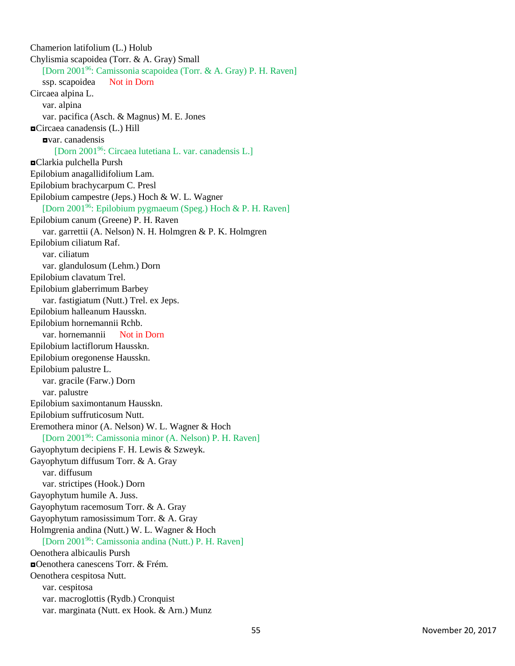Chamerion latifolium (L.) Holub Chylismia scapoidea (Torr. & A. Gray) Small [Dorn 2001<sup>96</sup>: Camissonia scapoidea (Torr. & A. Gray) P. H. Raven] ssp. scapoidea Not in Dorn Circaea alpina L. var. alpina var. pacifica (Asch. & Magnus) M. E. Jones ◘Circaea canadensis (L.) Hill ◘var. canadensis [Dorn 2001<sup>96</sup>: Circaea lutetiana L. var. canadensis L.] ◘Clarkia pulchella Pursh Epilobium anagallidifolium Lam. Epilobium brachycarpum C. Presl Epilobium campestre (Jeps.) Hoch & W. L. Wagner [Dorn 2001<sup>96</sup>: Epilobium pygmaeum (Speg.) Hoch & P. H. Raven] Epilobium canum (Greene) P. H. Raven var. garrettii (A. Nelson) N. H. Holmgren & P. K. Holmgren Epilobium ciliatum Raf. var. ciliatum var. glandulosum (Lehm.) Dorn Epilobium clavatum Trel. Epilobium glaberrimum Barbey var. fastigiatum (Nutt.) Trel. ex Jeps. Epilobium halleanum Hausskn. Epilobium hornemannii Rchb. var. hornemannii Not in Dorn Epilobium lactiflorum Hausskn. Epilobium oregonense Hausskn. Epilobium palustre L. var. gracile (Farw.) Dorn var. palustre Epilobium saximontanum Hausskn. Epilobium suffruticosum Nutt. Eremothera minor (A. Nelson) W. L. Wagner & Hoch [Dorn 2001<sup>96</sup>: Camissonia minor (A. Nelson) P. H. Raven] Gayophytum decipiens F. H. Lewis & Szweyk. Gayophytum diffusum Torr. & A. Gray var. diffusum var. strictipes (Hook.) Dorn Gayophytum humile A. Juss. Gayophytum racemosum Torr. & A. Gray Gayophytum ramosissimum Torr. & A. Gray Holmgrenia andina (Nutt.) W. L. Wagner & Hoch [Dorn 2001<sup>96</sup>: Camissonia andina (Nutt.) P. H. Raven] Oenothera albicaulis Pursh ◘Oenothera canescens Torr. & Frém. Oenothera cespitosa Nutt. var. cespitosa var. macroglottis (Rydb.) Cronquist var. marginata (Nutt. ex Hook. & Arn.) Munz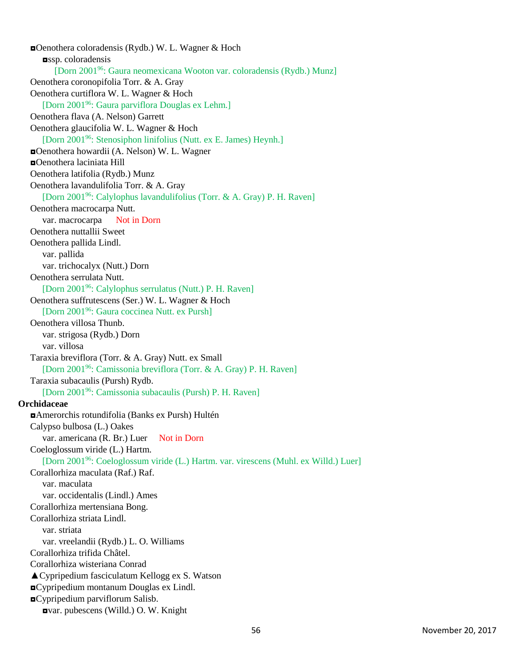◘Oenothera coloradensis (Rydb.) W. L. Wagner & Hoch ussp. coloradensis [Dorn 2001<sup>96</sup>: Gaura neomexicana Wooton var. coloradensis (Rydb.) Munz] Oenothera coronopifolia Torr. & A. Gray Oenothera curtiflora W. L. Wagner & Hoch [Dorn 2001<sup>96</sup>: Gaura parviflora Douglas ex Lehm.] Oenothera flava (A. Nelson) Garrett Oenothera glaucifolia W. L. Wagner & Hoch [Dorn 2001<sup>96</sup>: Stenosiphon linifolius (Nutt. ex E. James) Heynh.] ◘Oenothera howardii (A. Nelson) W. L. Wagner ◘Oenothera laciniata Hill Oenothera latifolia (Rydb.) Munz Oenothera lavandulifolia Torr. & A. Gray [Dorn 2001<sup>96</sup>: Calylophus lavandulifolius (Torr. & A. Gray) P. H. Raven] Oenothera macrocarpa Nutt. var. macrocarpa Not in Dorn Oenothera nuttallii Sweet Oenothera pallida Lindl. var. pallida var. trichocalyx (Nutt.) Dorn Oenothera serrulata Nutt. [Dorn 2001<sup>96</sup>: Calylophus serrulatus (Nutt.) P. H. Raven] Oenothera suffrutescens (Ser.) W. L. Wagner & Hoch [Dorn 2001<sup>96</sup>: Gaura coccinea Nutt. ex Pursh] Oenothera villosa Thunb. var. strigosa (Rydb.) Dorn var. villosa Taraxia breviflora (Torr. & A. Gray) Nutt. ex Small [Dorn 2001<sup>96</sup>: Camissonia breviflora (Torr. & A. Gray) P. H. Raven] Taraxia subacaulis (Pursh) Rydb. [Dorn 2001<sup>96</sup>: Camissonia subacaulis (Pursh) P. H. Raven] **Orchidaceae** ◘Amerorchis rotundifolia (Banks ex Pursh) Hultén Calypso bulbosa (L.) Oakes var. americana (R. Br.) Luer Not in Dorn Coeloglossum viride (L.) Hartm. [Dorn 2001<sup>96</sup>: Coeloglossum viride (L.) Hartm. var. virescens (Muhl. ex Willd.) Luer] Corallorhiza maculata (Raf.) Raf. var. maculata var. occidentalis (Lindl.) Ames Corallorhiza mertensiana Bong. Corallorhiza striata Lindl. var. striata var. vreelandii (Rydb.) L. O. Williams Corallorhiza trifida Châtel. Corallorhiza wisteriana Conrad ▲Cypripedium fasciculatum Kellogg ex S. Watson ◘Cypripedium montanum Douglas ex Lindl. ◘Cypripedium parviflorum Salisb. ◘var. pubescens (Willd.) O. W. Knight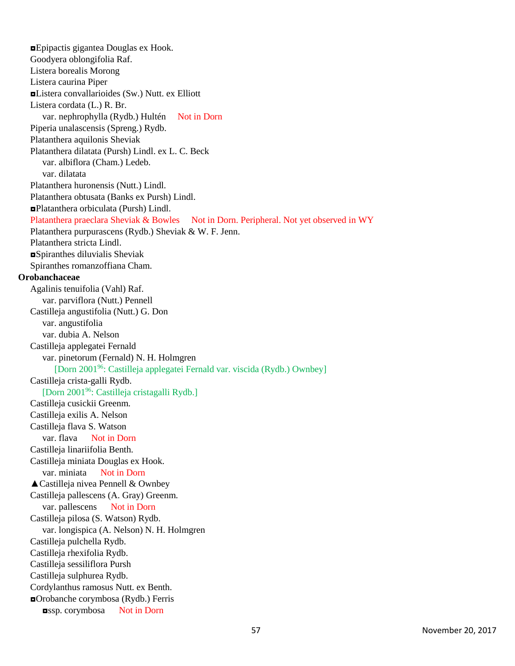◘Epipactis gigantea Douglas ex Hook. Goodyera oblongifolia Raf. Listera borealis Morong Listera caurina Piper ◘Listera convallarioides (Sw.) Nutt. ex Elliott Listera cordata (L.) R. Br. var. nephrophylla (Rydb.) Hultén Not in Dorn Piperia unalascensis (Spreng.) Rydb. Platanthera aquilonis Sheviak Platanthera dilatata (Pursh) Lindl. ex L. C. Beck var. albiflora (Cham.) Ledeb. var. dilatata Platanthera huronensis (Nutt.) Lindl. Platanthera obtusata (Banks ex Pursh) Lindl. ◘Platanthera orbiculata (Pursh) Lindl. Platanthera praeclara Sheviak & Bowles Not in Dorn. Peripheral. Not yet observed in WY Platanthera purpurascens (Rydb.) Sheviak & W. F. Jenn. Platanthera stricta Lindl. ◘Spiranthes diluvialis Sheviak Spiranthes romanzoffiana Cham. **Orobanchaceae** Agalinis tenuifolia (Vahl) Raf. var. parviflora (Nutt.) Pennell Castilleja angustifolia (Nutt.) G. Don var. angustifolia var. dubia A. Nelson Castilleja applegatei Fernald var. pinetorum (Fernald) N. H. Holmgren [Dorn 2001<sup>96</sup>: Castilleja applegatei Fernald var. viscida (Rydb.) Ownbey] Castilleja crista-galli Rydb. [Dorn 2001<sup>96</sup>: Castilleja cristagalli Rydb.] Castilleja cusickii Greenm. Castilleja exilis A. Nelson Castilleja flava S. Watson var. flava Not in Dorn Castilleja linariifolia Benth. Castilleja miniata Douglas ex Hook. var. miniata Not in Dorn ▲Castilleja nivea Pennell & Ownbey Castilleja pallescens (A. Gray) Greenm. var. pallescens Not in Dorn Castilleja pilosa (S. Watson) Rydb. var. longispica (A. Nelson) N. H. Holmgren Castilleja pulchella Rydb. Castilleja rhexifolia Rydb. Castilleja sessiliflora Pursh Castilleja sulphurea Rydb. Cordylanthus ramosus Nutt. ex Benth. ◘Orobanche corymbosa (Rydb.) Ferris ◘ssp. corymbosa Not in Dorn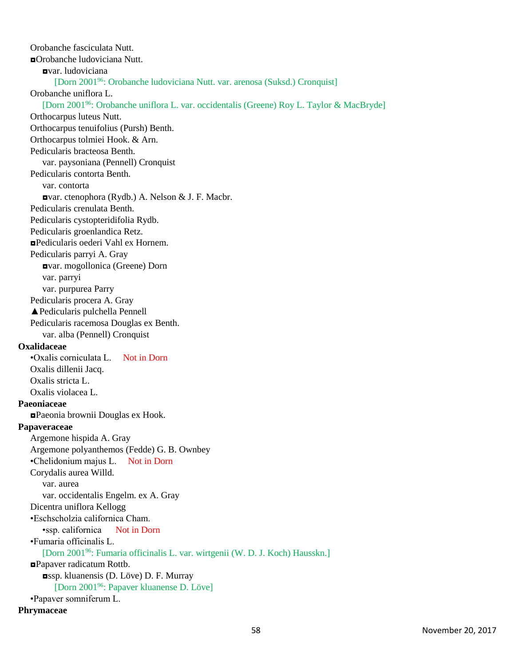Orobanche fasciculata Nutt. ◘Orobanche ludoviciana Nutt. ◘var. ludoviciana [Dorn 2001<sup>96</sup>: Orobanche ludoviciana Nutt. var. arenosa (Suksd.) Cronquist] Orobanche uniflora L. [Dorn 2001<sup>96</sup>: Orobanche uniflora L. var. occidentalis (Greene) Roy L. Taylor & MacBryde] Orthocarpus luteus Nutt. Orthocarpus tenuifolius (Pursh) Benth. Orthocarpus tolmiei Hook. & Arn. Pedicularis bracteosa Benth. var. paysoniana (Pennell) Cronquist Pedicularis contorta Benth. var. contorta ◘var. ctenophora (Rydb.) A. Nelson & J. F. Macbr. Pedicularis crenulata Benth. Pedicularis cystopteridifolia Rydb. Pedicularis groenlandica Retz. ◘Pedicularis oederi Vahl ex Hornem. Pedicularis parryi A. Gray ◘var. mogollonica (Greene) Dorn var. parryi var. purpurea Parry Pedicularis procera A. Gray ▲Pedicularis pulchella Pennell Pedicularis racemosa Douglas ex Benth. var. alba (Pennell) Cronquist **Oxalidaceae** •Oxalis corniculata L. Not in Dorn Oxalis dillenii Jacq. Oxalis stricta L. Oxalis violacea L. **Paeoniaceae** ◘Paeonia brownii Douglas ex Hook. **Papaveraceae** Argemone hispida A. Gray Argemone polyanthemos (Fedde) G. B. Ownbey •Chelidonium majus L. Not in Dorn Corydalis aurea Willd. var. aurea var. occidentalis Engelm. ex A. Gray Dicentra uniflora Kellogg •Eschscholzia californica Cham. •ssp. californica Not in Dorn •Fumaria officinalis L. [Dorn 2001<sup>96</sup>: Fumaria officinalis L. var. wirtgenii (W. D. J. Koch) Hausskn.] ◘Papaver radicatum Rottb. ◘ssp. kluanensis (D. Löve) D. F. Murray [Dorn 2001<sup>96</sup>: Papaver kluanense D. Löve] •Papaver somniferum L. **Phrymaceae**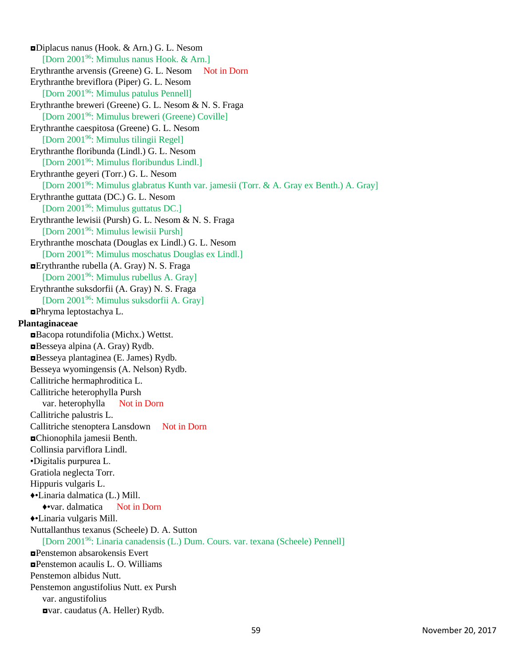◘Diplacus nanus (Hook. & Arn.) G. L. Nesom [Dorn 2001<sup>96</sup>: Mimulus nanus Hook. & Arn.] Erythranthe arvensis (Greene) G. L. Nesom Not in Dorn Erythranthe breviflora (Piper) G. L. Nesom [Dorn 2001<sup>96</sup>: Mimulus patulus Pennell] Erythranthe breweri (Greene) G. L. Nesom & N. S. Fraga [Dorn 2001<sup>96</sup>: Mimulus breweri (Greene) Coville] Erythranthe caespitosa (Greene) G. L. Nesom [Dorn 2001<sup>96</sup>: Mimulus tilingii Regel] Erythranthe floribunda (Lindl.) G. L. Nesom [Dorn 2001<sup>96</sup>: Mimulus floribundus Lindl.] Erythranthe geyeri (Torr.) G. L. Nesom [Dorn 2001<sup>96</sup>: Mimulus glabratus Kunth var. jamesii (Torr. & A. Gray ex Benth.) A. Gray] Erythranthe guttata (DC.) G. L. Nesom [Dorn 2001<sup>96</sup>: Mimulus guttatus DC.] Erythranthe lewisii (Pursh) G. L. Nesom & N. S. Fraga [Dorn 2001<sup>96</sup>: Mimulus lewisii Pursh] Erythranthe moschata (Douglas ex Lindl.) G. L. Nesom [Dorn 2001<sup>96</sup>: Mimulus moschatus Douglas ex Lindl.] ◘Erythranthe rubella (A. Gray) N. S. Fraga [Dorn 2001<sup>96</sup>: Mimulus rubellus A. Gray] Erythranthe suksdorfii (A. Gray) N. S. Fraga [Dorn 2001<sup>96</sup>: Mimulus suksdorfii A. Gray] ◘Phryma leptostachya L. **Plantaginaceae** ◘Bacopa rotundifolia (Michx.) Wettst. ◘Besseya alpina (A. Gray) Rydb. ◘Besseya plantaginea (E. James) Rydb. Besseya wyomingensis (A. Nelson) Rydb. Callitriche hermaphroditica L. Callitriche heterophylla Pursh var. heterophylla Not in Dorn Callitriche palustris L. Callitriche stenoptera Lansdown Not in Dorn ◘Chionophila jamesii Benth. Collinsia parviflora Lindl. •Digitalis purpurea L. Gratiola neglecta Torr. Hippuris vulgaris L. ♦•Linaria dalmatica (L.) Mill. ♦•var. dalmatica Not in Dorn ♦•Linaria vulgaris Mill. Nuttallanthus texanus (Scheele) D. A. Sutton [Dorn 2001<sup>96</sup>: Linaria canadensis (L.) Dum. Cours. var. texana (Scheele) Pennell] ◘Penstemon absarokensis Evert ◘Penstemon acaulis L. O. Williams Penstemon albidus Nutt. Penstemon angustifolius Nutt. ex Pursh var. angustifolius ◘var. caudatus (A. Heller) Rydb.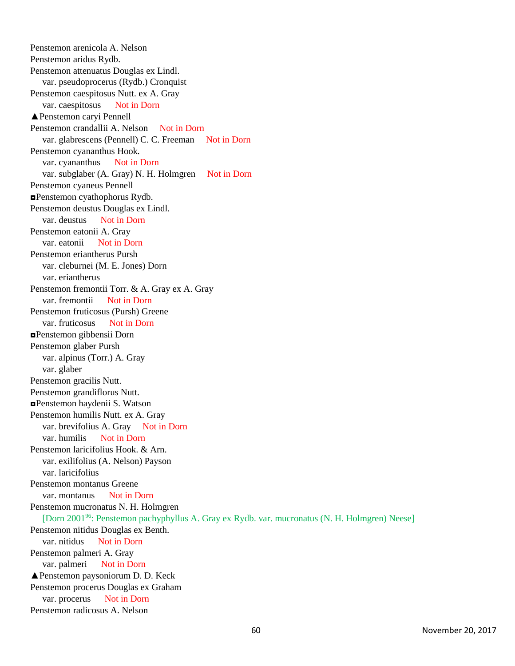Penstemon arenicola A. Nelson Penstemon aridus Rydb. Penstemon attenuatus Douglas ex Lindl. var. pseudoprocerus (Rydb.) Cronquist Penstemon caespitosus Nutt. ex A. Gray var. caespitosus Not in Dorn ▲Penstemon caryi Pennell Penstemon crandallii A. Nelson Not in Dorn var. glabrescens (Pennell) C. C. Freeman Not in Dorn Penstemon cyananthus Hook. var. cyananthus Not in Dorn var. subglaber (A. Gray) N. H. Holmgren Not in Dorn Penstemon cyaneus Pennell ◘Penstemon cyathophorus Rydb. Penstemon deustus Douglas ex Lindl. var. deustus Not in Dorn Penstemon eatonii A. Gray var. eatonii Not in Dorn Penstemon eriantherus Pursh var. cleburnei (M. E. Jones) Dorn var. eriantherus Penstemon fremontii Torr. & A. Gray ex A. Gray var. fremontii Not in Dorn Penstemon fruticosus (Pursh) Greene var. fruticosus Not in Dorn ◘Penstemon gibbensii Dorn Penstemon glaber Pursh var. alpinus (Torr.) A. Gray var. glaber Penstemon gracilis Nutt. Penstemon grandiflorus Nutt. ◘Penstemon haydenii S. Watson Penstemon humilis Nutt. ex A. Gray var. brevifolius A. Gray Not in Dorn var. humilis Not in Dorn Penstemon laricifolius Hook. & Arn. var. exilifolius (A. Nelson) Payson var. laricifolius Penstemon montanus Greene var. montanus Not in Dorn Penstemon mucronatus N. H. Holmgren [Dorn 2001<sup>96</sup>: Penstemon pachyphyllus A. Gray ex Rydb. var. mucronatus (N. H. Holmgren) Neese] Penstemon nitidus Douglas ex Benth. var. nitidus Not in Dorn Penstemon palmeri A. Gray var. palmeri Not in Dorn ▲Penstemon paysoniorum D. D. Keck Penstemon procerus Douglas ex Graham var. procerus Not in Dorn Penstemon radicosus A. Nelson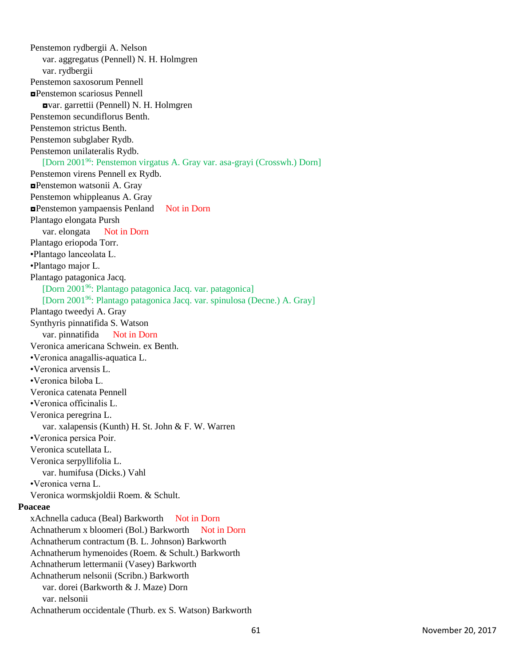Penstemon rydbergii A. Nelson var. aggregatus (Pennell) N. H. Holmgren var. rydbergii Penstemon saxosorum Pennell ◘Penstemon scariosus Pennell ◘var. garrettii (Pennell) N. H. Holmgren Penstemon secundiflorus Benth. Penstemon strictus Benth. Penstemon subglaber Rydb. Penstemon unilateralis Rydb. [Dorn 2001<sup>96</sup>: Penstemon virgatus A. Gray var. asa-grayi (Crosswh.) Dorn] Penstemon virens Pennell ex Rydb. ◘Penstemon watsonii A. Gray Penstemon whippleanus A. Gray ◘Penstemon yampaensis Penland Not in Dorn Plantago elongata Pursh var. elongata Not in Dorn Plantago eriopoda Torr. •Plantago lanceolata L. •Plantago major L. Plantago patagonica Jacq. [Dorn 2001<sup>96</sup>: Plantago patagonica Jacq. var. patagonica] [Dorn 2001<sup>96</sup>: Plantago patagonica Jacq. var. spinulosa (Decne.) A. Gray] Plantago tweedyi A. Gray Synthyris pinnatifida S. Watson var. pinnatifida Not in Dorn Veronica americana Schwein. ex Benth. •Veronica anagallis-aquatica L. •Veronica arvensis L. •Veronica biloba L. Veronica catenata Pennell •Veronica officinalis L. Veronica peregrina L. var. xalapensis (Kunth) H. St. John & F. W. Warren •Veronica persica Poir. Veronica scutellata L. Veronica serpyllifolia L. var. humifusa (Dicks.) Vahl •Veronica verna L. Veronica wormskjoldii Roem. & Schult. **Poaceae** xAchnella caduca (Beal) Barkworth Not in Dorn Achnatherum x bloomeri (Bol.) Barkworth Not in Dorn Achnatherum contractum (B. L. Johnson) Barkworth Achnatherum hymenoides (Roem. & Schult.) Barkworth Achnatherum lettermanii (Vasey) Barkworth Achnatherum nelsonii (Scribn.) Barkworth var. dorei (Barkworth & J. Maze) Dorn var. nelsonii Achnatherum occidentale (Thurb. ex S. Watson) Barkworth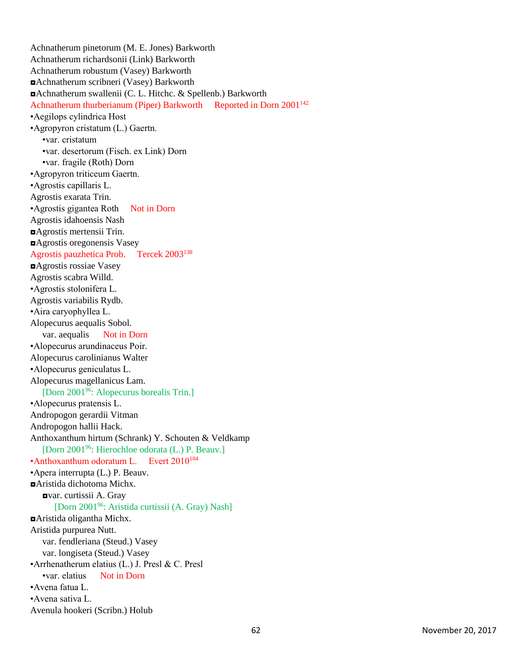Achnatherum pinetorum (M. E. Jones) Barkworth Achnatherum richardsonii (Link) Barkworth Achnatherum robustum (Vasey) Barkworth ◘Achnatherum scribneri (Vasey) Barkworth ◘Achnatherum swallenii (C. L. Hitchc. & Spellenb.) Barkworth Achnatherum thurberianum (Piper) Barkworth Reported in Dorn 2001<sup>142</sup> •Aegilops cylindrica Host •Agropyron cristatum (L.) Gaertn. •var. cristatum •var. desertorum (Fisch. ex Link) Dorn •var. fragile (Roth) Dorn •Agropyron triticeum Gaertn. •Agrostis capillaris L. Agrostis exarata Trin. •Agrostis gigantea Roth Not in Dorn Agrostis idahoensis Nash ◘Agrostis mertensii Trin. ◘Agrostis oregonensis Vasey Agrostis pauzhetica Prob. Tercek 2003<sup>138</sup> ◘Agrostis rossiae Vasey Agrostis scabra Willd. •Agrostis stolonifera L. Agrostis variabilis Rydb. •Aira caryophyllea L. Alopecurus aequalis Sobol. var. aequalis Not in Dorn •Alopecurus arundinaceus Poir. Alopecurus carolinianus Walter •Alopecurus geniculatus L. Alopecurus magellanicus Lam. [Dorn 2001<sup>96</sup>: Alopecurus borealis Trin.] •Alopecurus pratensis L. Andropogon gerardii Vitman Andropogon hallii Hack. Anthoxanthum hirtum (Schrank) Y. Schouten & Veldkamp [Dorn 2001<sup>96</sup>: Hierochloe odorata (L.) P. Beauv.] •Anthoxanthum odoratum L. Evert 2010<sup>104</sup> •Apera interrupta (L.) P. Beauv. ◘Aristida dichotoma Michx. ◘var. curtissii A. Gray [Dorn 2001<sup>96</sup>: Aristida curtissii (A. Gray) Nash] ◘Aristida oligantha Michx. Aristida purpurea Nutt. var. fendleriana (Steud.) Vasey var. longiseta (Steud.) Vasey •Arrhenatherum elatius (L.) J. Presl & C. Presl •var. elatius Not in Dorn •Avena fatua L. •Avena sativa L. Avenula hookeri (Scribn.) Holub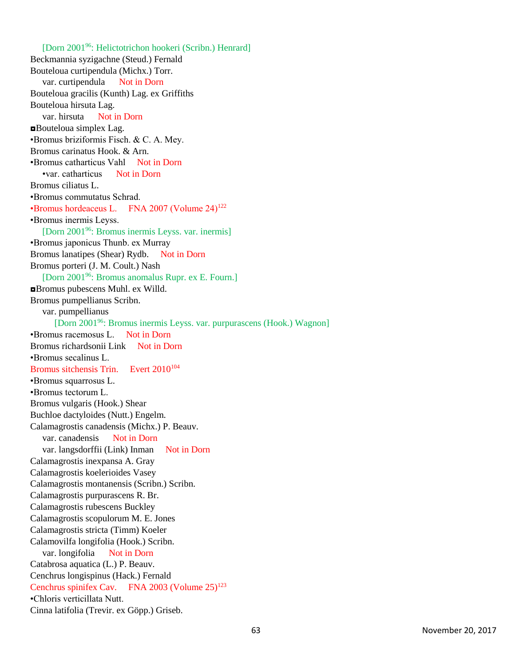[Dorn 2001<sup>96</sup>: Helictotrichon hookeri (Scribn.) Henrard] Beckmannia syzigachne (Steud.) Fernald Bouteloua curtipendula (Michx.) Torr. var. curtipendula Not in Dorn Bouteloua gracilis (Kunth) Lag. ex Griffiths Bouteloua hirsuta Lag. var. hirsuta Not in Dorn ◘Bouteloua simplex Lag. •Bromus briziformis Fisch. & C. A. Mey. Bromus carinatus Hook. & Arn. •Bromus catharticus Vahl Not in Dorn •var. catharticus Not in Dorn Bromus ciliatus L. •Bromus commutatus Schrad. •Bromus hordeaceus L. FNA 2007 (Volume 24)<sup>122</sup> •Bromus inermis Leyss. [Dorn 2001<sup>96</sup>: Bromus inermis Leyss. var. inermis] •Bromus japonicus Thunb. ex Murray Bromus lanatipes (Shear) Rydb. Not in Dorn Bromus porteri (J. M. Coult.) Nash [Dorn 2001<sup>96</sup>: Bromus anomalus Rupr. ex E. Fourn.] ◘Bromus pubescens Muhl. ex Willd. Bromus pumpellianus Scribn. var. pumpellianus [Dorn 2001<sup>96</sup>: Bromus inermis Leyss. var. purpurascens (Hook.) Wagnon] •Bromus racemosus L. Not in Dorn Bromus richardsonii Link Not in Dorn •Bromus secalinus L. Bromus sitchensis Trin. Evert 2010<sup>104</sup> •Bromus squarrosus L. •Bromus tectorum L. Bromus vulgaris (Hook.) Shear Buchloe dactyloides (Nutt.) Engelm. Calamagrostis canadensis (Michx.) P. Beauv. var. canadensis Not in Dorn var. langsdorffii (Link) Inman Not in Dorn Calamagrostis inexpansa A. Gray Calamagrostis koelerioides Vasey Calamagrostis montanensis (Scribn.) Scribn. Calamagrostis purpurascens R. Br. Calamagrostis rubescens Buckley Calamagrostis scopulorum M. E. Jones Calamagrostis stricta (Timm) Koeler Calamovilfa longifolia (Hook.) Scribn. var. longifolia Not in Dorn Catabrosa aquatica (L.) P. Beauv. Cenchrus longispinus (Hack.) Fernald Cenchrus spinifex Cav. FNA 2003 (Volume  $25)^{123}$ •Chloris verticillata Nutt. Cinna latifolia (Trevir. ex Göpp.) Griseb.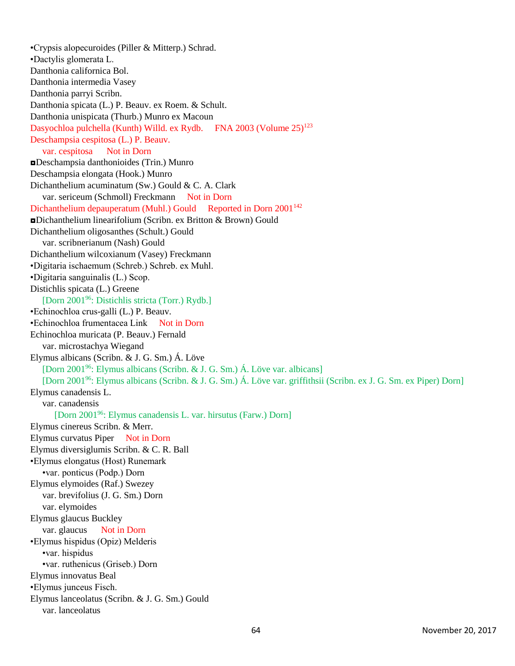•Crypsis alopecuroides (Piller & Mitterp.) Schrad. •Dactylis glomerata L. Danthonia californica Bol. Danthonia intermedia Vasey Danthonia parryi Scribn. Danthonia spicata (L.) P. Beauv. ex Roem. & Schult. Danthonia unispicata (Thurb.) Munro ex Macoun Dasyochloa pulchella (Kunth) Willd. ex Rydb. FNA 2003 (Volume  $25)^{123}$ Deschampsia cespitosa (L.) P. Beauv. var. cespitosa Not in Dorn ◘Deschampsia danthonioides (Trin.) Munro Deschampsia elongata (Hook.) Munro Dichanthelium acuminatum (Sw.) Gould & C. A. Clark var. sericeum (Schmoll) Freckmann Not in Dorn Dichanthelium depauperatum (Muhl.) Gould Reported in Dorn 2001<sup>142</sup> ◘Dichanthelium linearifolium (Scribn. ex Britton & Brown) Gould Dichanthelium oligosanthes (Schult.) Gould var. scribnerianum (Nash) Gould Dichanthelium wilcoxianum (Vasey) Freckmann •Digitaria ischaemum (Schreb.) Schreb. ex Muhl. •Digitaria sanguinalis (L.) Scop. Distichlis spicata (L.) Greene [Dorn 2001<sup>96</sup>: Distichlis stricta (Torr.) Rydb.] •Echinochloa crus-galli (L.) P. Beauv. •Echinochloa frumentacea Link Not in Dorn Echinochloa muricata (P. Beauv.) Fernald var. microstachya Wiegand Elymus albicans (Scribn. & J. G. Sm.) Á. Löve [Dorn 2001<sup>96</sup>: Elymus albicans (Scribn. & J. G. Sm.) Á. Löve var. albicans] [Dorn 2001<sup>96</sup>: Elymus albicans (Scribn. & J. G. Sm.) Á. Löve var. griffithsii (Scribn. ex J. G. Sm. ex Piper) Dorn] Elymus canadensis L. var. canadensis [Dorn 2001<sup>96</sup>: Elymus canadensis L. var. hirsutus (Farw.) Dorn] Elymus cinereus Scribn. & Merr. Elymus curvatus Piper Not in Dorn Elymus diversiglumis Scribn. & C. R. Ball •Elymus elongatus (Host) Runemark •var. ponticus (Podp.) Dorn Elymus elymoides (Raf.) Swezey var. brevifolius (J. G. Sm.) Dorn var. elymoides Elymus glaucus Buckley var. glaucus Not in Dorn •Elymus hispidus (Opiz) Melderis •var. hispidus •var. ruthenicus (Griseb.) Dorn Elymus innovatus Beal •Elymus junceus Fisch. Elymus lanceolatus (Scribn. & J. G. Sm.) Gould var. lanceolatus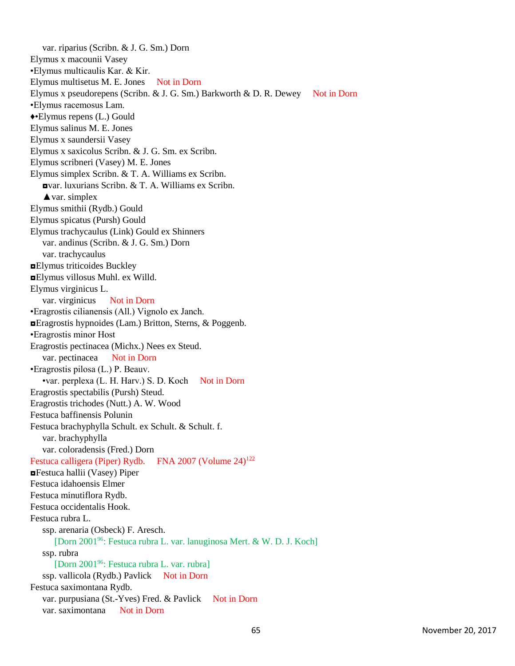var. riparius (Scribn. & J. G. Sm.) Dorn Elymus x macounii Vasey •Elymus multicaulis Kar. & Kir. Elymus multisetus M. E. Jones Not in Dorn Elymus x pseudorepens (Scribn. & J. G. Sm.) Barkworth & D. R. Dewey Not in Dorn •Elymus racemosus Lam. ♦•Elymus repens (L.) Gould Elymus salinus M. E. Jones Elymus x saundersii Vasey Elymus x saxicolus Scribn. & J. G. Sm. ex Scribn. Elymus scribneri (Vasey) M. E. Jones Elymus simplex Scribn. & T. A. Williams ex Scribn. ◘var. luxurians Scribn. & T. A. Williams ex Scribn. **▲var.** simplex Elymus smithii (Rydb.) Gould Elymus spicatus (Pursh) Gould Elymus trachycaulus (Link) Gould ex Shinners var. andinus (Scribn. & J. G. Sm.) Dorn var. trachycaulus ◘Elymus triticoides Buckley ◘Elymus villosus Muhl. ex Willd. Elymus virginicus L. var. virginicus Not in Dorn •Eragrostis cilianensis (All.) Vignolo ex Janch. ◘Eragrostis hypnoides (Lam.) Britton, Sterns, & Poggenb. •Eragrostis minor Host Eragrostis pectinacea (Michx.) Nees ex Steud. var. pectinacea Not in Dorn •Eragrostis pilosa (L.) P. Beauv. •var. perplexa (L. H. Harv.) S. D. Koch Not in Dorn Eragrostis spectabilis (Pursh) Steud. Eragrostis trichodes (Nutt.) A. W. Wood Festuca baffinensis Polunin Festuca brachyphylla Schult. ex Schult. & Schult. f. var. brachyphylla var. coloradensis (Fred.) Dorn Festuca calligera (Piper) Rydb. FNA 2007 (Volume 24)<sup>122</sup> ◘Festuca hallii (Vasey) Piper Festuca idahoensis Elmer Festuca minutiflora Rydb. Festuca occidentalis Hook. Festuca rubra L. ssp. arenaria (Osbeck) F. Aresch. [Dorn 2001<sup>96</sup>: Festuca rubra L. var. lanuginosa Mert. & W. D. J. Koch] ssp. rubra [Dorn 2001<sup>96</sup>: Festuca rubra L. var. rubra] ssp. vallicola (Rydb.) Pavlick Not in Dorn Festuca saximontana Rydb. var. purpusiana (St.-Yves) Fred. & Pavlick Not in Dorn var. saximontana Not in Dorn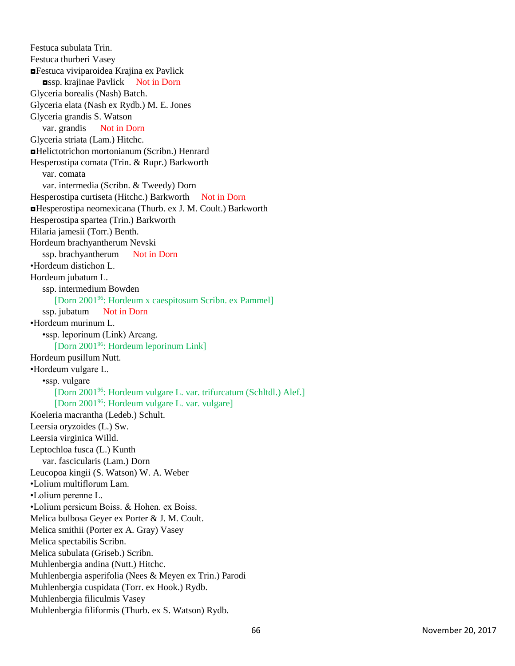Festuca subulata Trin. Festuca thurberi Vasey ◘Festuca viviparoidea Krajina ex Pavlick ◘ssp. krajinae Pavlick Not in Dorn Glyceria borealis (Nash) Batch. Glyceria elata (Nash ex Rydb.) M. E. Jones Glyceria grandis S. Watson var. grandis Not in Dorn Glyceria striata (Lam.) Hitchc. ◘Helictotrichon mortonianum (Scribn.) Henrard Hesperostipa comata (Trin. & Rupr.) Barkworth var. comata var. intermedia (Scribn. & Tweedy) Dorn Hesperostipa curtiseta (Hitchc.) Barkworth Not in Dorn ◘Hesperostipa neomexicana (Thurb. ex J. M. Coult.) Barkworth Hesperostipa spartea (Trin.) Barkworth Hilaria jamesii (Torr.) Benth. Hordeum brachyantherum Nevski ssp. brachyantherum Not in Dorn •Hordeum distichon L. Hordeum jubatum L. ssp. intermedium Bowden [Dorn 2001<sup>96</sup>: Hordeum x caespitosum Scribn. ex Pammel] ssp. jubatum Not in Dorn •Hordeum murinum L. •ssp. leporinum (Link) Arcang. [Dorn 2001<sup>96</sup>: Hordeum leporinum Link] Hordeum pusillum Nutt. •Hordeum vulgare L. •ssp. vulgare [Dorn 2001<sup>96</sup>: Hordeum vulgare L. var. trifurcatum (Schltdl.) Alef.] [Dorn 2001<sup>96</sup>: Hordeum vulgare L. var. vulgare] Koeleria macrantha (Ledeb.) Schult. Leersia oryzoides (L.) Sw. Leersia virginica Willd. Leptochloa fusca (L.) Kunth var. fascicularis (Lam.) Dorn Leucopoa kingii (S. Watson) W. A. Weber •Lolium multiflorum Lam. •Lolium perenne L. •Lolium persicum Boiss. & Hohen. ex Boiss. Melica bulbosa Geyer ex Porter & J. M. Coult. Melica smithii (Porter ex A. Gray) Vasey Melica spectabilis Scribn. Melica subulata (Griseb.) Scribn. Muhlenbergia andina (Nutt.) Hitchc. Muhlenbergia asperifolia (Nees & Meyen ex Trin.) Parodi Muhlenbergia cuspidata (Torr. ex Hook.) Rydb. Muhlenbergia filiculmis Vasey Muhlenbergia filiformis (Thurb. ex S. Watson) Rydb.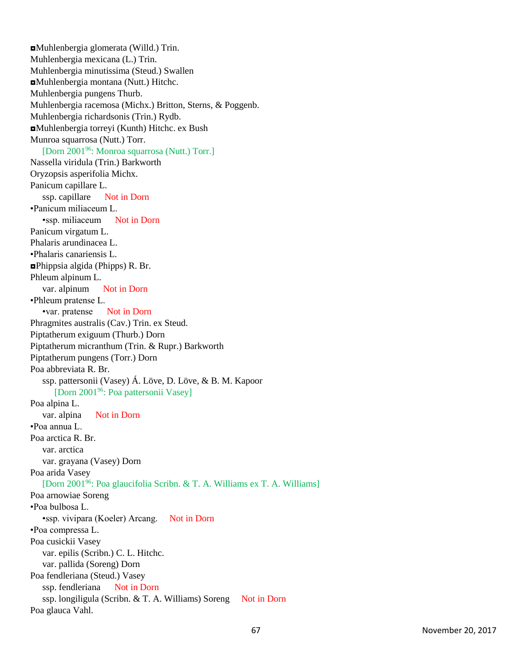◘Muhlenbergia glomerata (Willd.) Trin. Muhlenbergia mexicana (L.) Trin. Muhlenbergia minutissima (Steud.) Swallen ◘Muhlenbergia montana (Nutt.) Hitchc. Muhlenbergia pungens Thurb. Muhlenbergia racemosa (Michx.) Britton, Sterns, & Poggenb. Muhlenbergia richardsonis (Trin.) Rydb. ◘Muhlenbergia torreyi (Kunth) Hitchc. ex Bush Munroa squarrosa (Nutt.) Torr. [Dorn 2001<sup>96</sup>: Monroa squarrosa (Nutt.) Torr.] Nassella viridula (Trin.) Barkworth Oryzopsis asperifolia Michx. Panicum capillare L. ssp. capillare Not in Dorn •Panicum miliaceum L. •ssp. miliaceum Not in Dorn Panicum virgatum L. Phalaris arundinacea L. •Phalaris canariensis L. ◘Phippsia algida (Phipps) R. Br. Phleum alpinum L. var. alpinum Not in Dorn •Phleum pratense L. •var. pratense Not in Dorn Phragmites australis (Cav.) Trin. ex Steud. Piptatherum exiguum (Thurb.) Dorn Piptatherum micranthum (Trin. & Rupr.) Barkworth Piptatherum pungens (Torr.) Dorn Poa abbreviata R. Br. ssp. pattersonii (Vasey) Á. Löve, D. Löve, & B. M. Kapoor [Dorn 2001<sup>96</sup>: Poa pattersonii Vasey] Poa alpina L. var. alpina Not in Dorn •Poa annua L. Poa arctica R. Br. var. arctica var. grayana (Vasey) Dorn Poa arida Vasey [Dorn 2001<sup>96</sup>: Poa glaucifolia Scribn. & T. A. Williams ex T. A. Williams] Poa arnowiae Soreng •Poa bulbosa L. •ssp. vivipara (Koeler) Arcang. Not in Dorn •Poa compressa L. Poa cusickii Vasey var. epilis (Scribn.) C. L. Hitchc. var. pallida (Soreng) Dorn Poa fendleriana (Steud.) Vasey ssp. fendleriana Not in Dorn ssp. longiligula (Scribn. & T. A. Williams) Soreng Not in Dorn Poa glauca Vahl.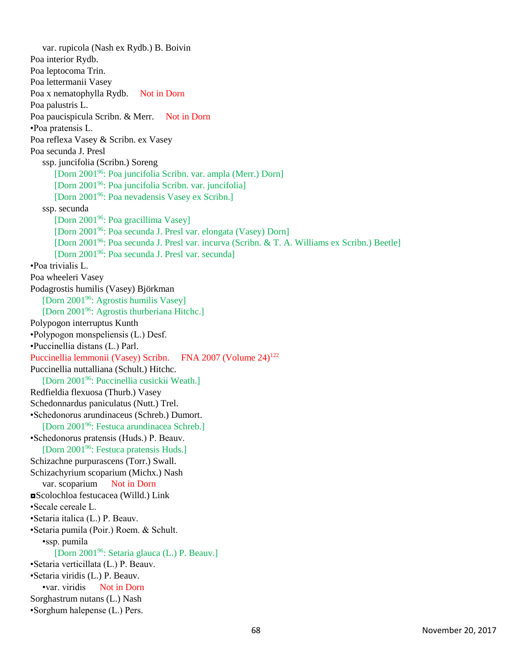var. rupicola (Nash ex Rydb.) B. Boivin Poa interior Rydb. Poa leptocoma Trin. Poa lettermanii Vasey Poa x nematophylla Rydb. Not in Dorn Poa palustris L. Poa paucispicula Scribn. & Merr. Not in Dorn •Poa pratensis L. Poa reflexa Vasey & Scribn. ex Vasey Poa secunda J. Presl ssp. juncifolia (Scribn.) Soreng [Dorn 2001<sup>96</sup>: Poa juncifolia Scribn. var. ampla (Merr.) Dorn] [Dorn 2001<sup>96</sup>: Poa juncifolia Scribn. var. juncifolia] [Dorn 2001<sup>96</sup>: Poa nevadensis Vasey ex Scribn.] ssp. secunda [Dorn 2001<sup>96</sup>: Poa gracillima Vasey] [Dorn 2001<sup>96</sup>: Poa secunda J. Presl var. elongata (Vasey) Dorn] [Dorn 2001<sup>96</sup>: Poa secunda J. Presl var. incurva (Scribn. & T. A. Williams ex Scribn.) Beetle] [Dorn 2001<sup>96</sup>: Poa secunda J. Presl var. secunda] •Poa trivialis L. Poa wheeleri Vasey Podagrostis humilis (Vasey) Björkman [Dorn 2001<sup>96</sup>: Agrostis humilis Vasey] [Dorn 2001<sup>96</sup>: Agrostis thurberiana Hitchc.] Polypogon interruptus Kunth •Polypogon monspeliensis (L.) Desf. •Puccinellia distans (L.) Parl. Puccinellia lemmonii (Vasey) Scribn. FNA 2007 (Volume 24)<sup>122</sup> Puccinellia nuttalliana (Schult.) Hitchc. [Dorn 2001<sup>96</sup>: Puccinellia cusickii Weath.] Redfieldia flexuosa (Thurb.) Vasey Schedonnardus paniculatus (Nutt.) Trel. •Schedonorus arundinaceus (Schreb.) Dumort. [Dorn 2001<sup>96</sup>: Festuca arundinacea Schreb.] •Schedonorus pratensis (Huds.) P. Beauv. [Dorn 2001<sup>96</sup>: Festuca pratensis Huds.] Schizachne purpurascens (Torr.) Swall. Schizachyrium scoparium (Michx.) Nash var. scoparium Not in Dorn ◘Scolochloa festucacea (Willd.) Link •Secale cereale L. •Setaria italica (L.) P. Beauv. •Setaria pumila (Poir.) Roem. & Schult. •ssp. pumila [Dorn 2001<sup>96</sup>: Setaria glauca (L.) P. Beauv.] •Setaria verticillata (L.) P. Beauv. •Setaria viridis (L.) P. Beauv. •var. viridis Not in Dorn Sorghastrum nutans (L.) Nash •Sorghum halepense (L.) Pers.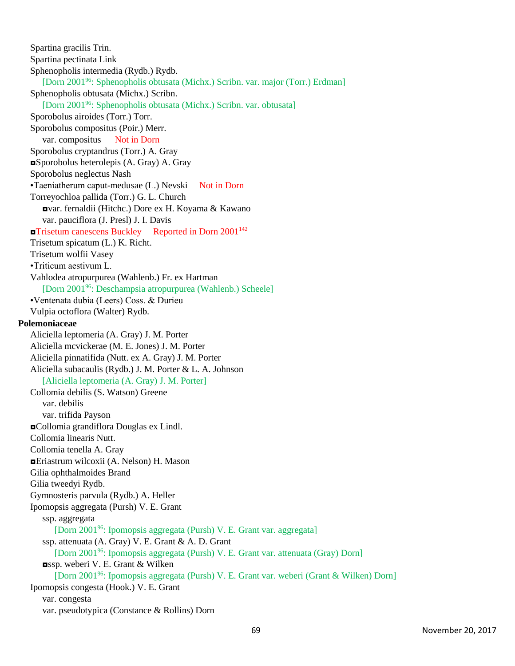Spartina gracilis Trin. Spartina pectinata Link Sphenopholis intermedia (Rydb.) Rydb. [Dorn 2001<sup>96</sup>: Sphenopholis obtusata (Michx.) Scribn. var. major (Torr.) Erdman] Sphenopholis obtusata (Michx.) Scribn. [Dorn 2001<sup>96</sup>: Sphenopholis obtusata (Michx.) Scribn. var. obtusata] Sporobolus airoides (Torr.) Torr. Sporobolus compositus (Poir.) Merr. var. compositus Not in Dorn Sporobolus cryptandrus (Torr.) A. Gray ◘Sporobolus heterolepis (A. Gray) A. Gray Sporobolus neglectus Nash •Taeniatherum caput-medusae (L.) Nevski Not in Dorn Torreyochloa pallida (Torr.) G. L. Church ◘var. fernaldii (Hitchc.) Dore ex H. Koyama & Kawano var. pauciflora (J. Presl) J. I. Davis **¤Trisetum canescens Buckley** Reported in Dorn 2001<sup>142</sup> Trisetum spicatum (L.) K. Richt. Trisetum wolfii Vasey •Triticum aestivum L. Vahlodea atropurpurea (Wahlenb.) Fr. ex Hartman [Dorn 2001<sup>96</sup>: Deschampsia atropurpurea (Wahlenb.) Scheele] •Ventenata dubia (Leers) Coss. & Durieu Vulpia octoflora (Walter) Rydb. **Polemoniaceae** Aliciella leptomeria (A. Gray) J. M. Porter Aliciella mcvickerae (M. E. Jones) J. M. Porter Aliciella pinnatifida (Nutt. ex A. Gray) J. M. Porter Aliciella subacaulis (Rydb.) J. M. Porter & L. A. Johnson [Aliciella leptomeria (A. Gray) J. M. Porter] Collomia debilis (S. Watson) Greene var. debilis var. trifida Payson ◘Collomia grandiflora Douglas ex Lindl. Collomia linearis Nutt. Collomia tenella A. Gray ◘Eriastrum wilcoxii (A. Nelson) H. Mason Gilia ophthalmoides Brand Gilia tweedyi Rydb. Gymnosteris parvula (Rydb.) A. Heller Ipomopsis aggregata (Pursh) V. E. Grant ssp. aggregata [Dorn 2001<sup>96</sup>: Ipomopsis aggregata (Pursh) V. E. Grant var. aggregata] ssp. attenuata (A. Gray) V. E. Grant & A. D. Grant [Dorn 2001<sup>96</sup>: Ipomopsis aggregata (Pursh) V. E. Grant var. attenuata (Gray) Dorn] ◘ssp. weberi V. E. Grant & Wilken [Dorn 2001<sup>96</sup>: Ipomopsis aggregata (Pursh) V. E. Grant var. weberi (Grant & Wilken) Dorn] Ipomopsis congesta (Hook.) V. E. Grant var. congesta var. pseudotypica (Constance & Rollins) Dorn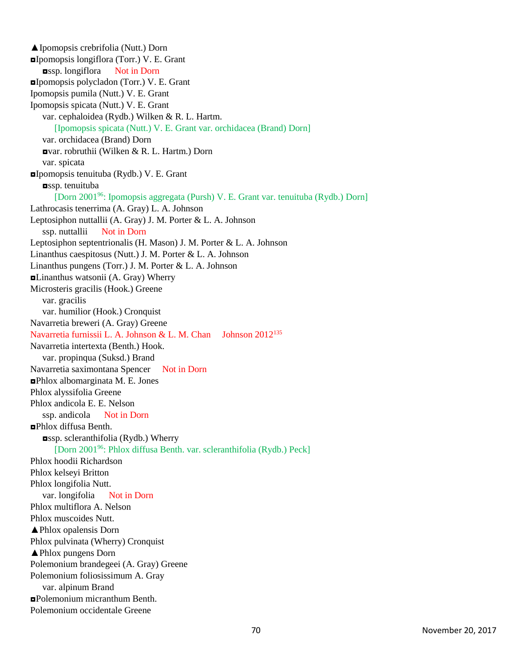▲Ipomopsis crebrifolia (Nutt.) Dorn ◘Ipomopsis longiflora (Torr.) V. E. Grant ◘ssp. longiflora Not in Dorn ◘Ipomopsis polycladon (Torr.) V. E. Grant Ipomopsis pumila (Nutt.) V. E. Grant Ipomopsis spicata (Nutt.) V. E. Grant var. cephaloidea (Rydb.) Wilken & R. L. Hartm. [Ipomopsis spicata (Nutt.) V. E. Grant var. orchidacea (Brand) Dorn] var. orchidacea (Brand) Dorn ◘var. robruthii (Wilken & R. L. Hartm.) Dorn var. spicata ◘Ipomopsis tenuituba (Rydb.) V. E. Grant ◘ssp. tenuituba [Dorn 2001<sup>96</sup>: Ipomopsis aggregata (Pursh) V. E. Grant var. tenuituba (Rydb.) Dorn] Lathrocasis tenerrima (A. Gray) L. A. Johnson Leptosiphon nuttallii (A. Gray) J. M. Porter & L. A. Johnson ssp. nuttallii Not in Dorn Leptosiphon septentrionalis (H. Mason) J. M. Porter & L. A. Johnson Linanthus caespitosus (Nutt.) J. M. Porter & L. A. Johnson Linanthus pungens (Torr.) J. M. Porter & L. A. Johnson ◘Linanthus watsonii (A. Gray) Wherry Microsteris gracilis (Hook.) Greene var. gracilis var. humilior (Hook.) Cronquist Navarretia breweri (A. Gray) Greene Navarretia furnissii L. A. Johnson & L. M. Chan Johnson 2012<sup>135</sup> Navarretia intertexta (Benth.) Hook. var. propinqua (Suksd.) Brand Navarretia saximontana Spencer Not in Dorn ◘Phlox albomarginata M. E. Jones Phlox alyssifolia Greene Phlox andicola E. E. Nelson ssp. andicola Not in Dorn ◘Phlox diffusa Benth. ◘ssp. scleranthifolia (Rydb.) Wherry [Dorn 2001<sup>96</sup>: Phlox diffusa Benth. var. scleranthifolia (Rydb.) Peck] Phlox hoodii Richardson Phlox kelseyi Britton Phlox longifolia Nutt. var. longifolia Not in Dorn Phlox multiflora A. Nelson Phlox muscoides Nutt. ▲Phlox opalensis Dorn Phlox pulvinata (Wherry) Cronquist ▲Phlox pungens Dorn Polemonium brandegeei (A. Gray) Greene Polemonium foliosissimum A. Gray var. alpinum Brand ◘Polemonium micranthum Benth. Polemonium occidentale Greene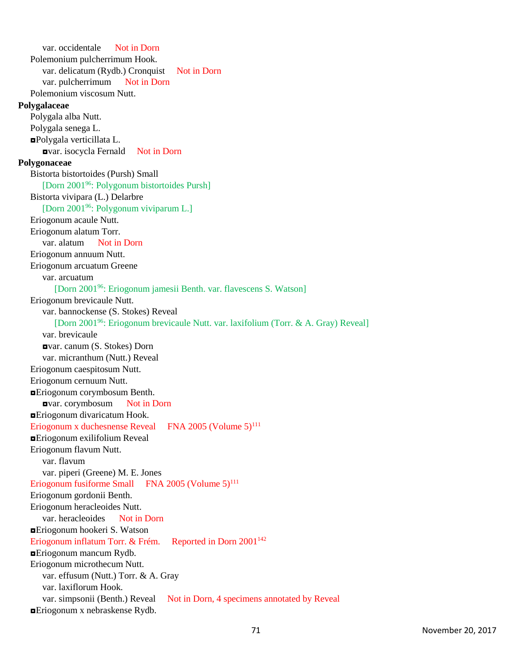var. occidentale Not in Dorn Polemonium pulcherrimum Hook. var. delicatum (Rydb.) Cronquist Not in Dorn var. pulcherrimum Not in Dorn Polemonium viscosum Nutt. **Polygalaceae** Polygala alba Nutt. Polygala senega L. ◘Polygala verticillata L. ◘var. isocycla Fernald Not in Dorn **Polygonaceae** Bistorta bistortoides (Pursh) Small [Dorn 2001<sup>96</sup>: Polygonum bistortoides Pursh] Bistorta vivipara (L.) Delarbre [Dorn 2001<sup>96</sup>: Polygonum viviparum L.] Eriogonum acaule Nutt. Eriogonum alatum Torr. var. alatum Not in Dorn Eriogonum annuum Nutt. Eriogonum arcuatum Greene var. arcuatum [Dorn 2001<sup>96</sup>: Eriogonum jamesii Benth. var. flavescens S. Watson] Eriogonum brevicaule Nutt. var. bannockense (S. Stokes) Reveal [Dorn 2001<sup>96</sup>: Eriogonum brevicaule Nutt. var. laxifolium (Torr. & A. Gray) Reveal] var. brevicaule ◘var. canum (S. Stokes) Dorn var. micranthum (Nutt.) Reveal Eriogonum caespitosum Nutt. Eriogonum cernuum Nutt. ◘Eriogonum corymbosum Benth. ◘var. corymbosum Not in Dorn ◘Eriogonum divaricatum Hook. Eriogonum x duchesnense Reveal FNA 2005 (Volume  $5)^{111}$ ◘Eriogonum exilifolium Reveal Eriogonum flavum Nutt. var. flavum var. piperi (Greene) M. E. Jones Eriogonum fusiforme Small FNA 2005 (Volume  $5)^{111}$ Eriogonum gordonii Benth. Eriogonum heracleoides Nutt. var. heracleoides Not in Dorn ◘Eriogonum hookeri S. Watson Eriogonum inflatum Torr. & Frém. Reported in Dorn 2001<sup>142</sup> ◘Eriogonum mancum Rydb. Eriogonum microthecum Nutt. var. effusum (Nutt.) Torr. & A. Gray var. laxiflorum Hook. var. simpsonii (Benth.) Reveal Not in Dorn, 4 specimens annotated by Reveal  $E$ Friogonum x nebraskense Rydb.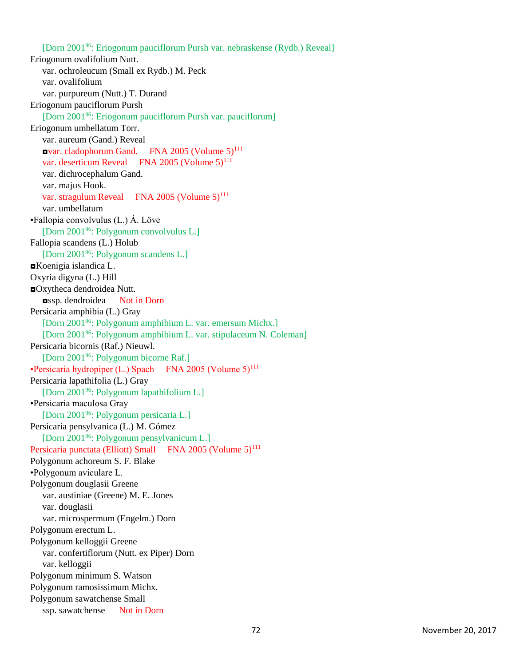[Dorn 2001<sup>96</sup>: Eriogonum pauciflorum Pursh var. nebraskense (Rydb.) Reveal] Eriogonum ovalifolium Nutt. var. ochroleucum (Small ex Rydb.) M. Peck var. ovalifolium var. purpureum (Nutt.) T. Durand Eriogonum pauciflorum Pursh [Dorn 2001<sup>96</sup>: Eriogonum pauciflorum Pursh var. pauciflorum] Eriogonum umbellatum Torr. var. aureum (Gand.) Reveal **ovar.** cladophorum Gand. FNA 2005 (Volume  $5$ )<sup>111</sup> var. deserticum Reveal FNA 2005 (Volume 5)<sup>111</sup> var. dichrocephalum Gand. var. majus Hook. var. stragulum Reveal FNA 2005 (Volume 5)<sup>111</sup> var. umbellatum •Fallopia convolvulus (L.) Á. Löve [Dorn 2001<sup>96</sup>: Polygonum convolvulus L.] Fallopia scandens (L.) Holub [Dorn 2001<sup>96</sup>: Polygonum scandens L.] ◘Koenigia islandica L. Oxyria digyna (L.) Hill ◘Oxytheca dendroidea Nutt. ◘ssp. dendroidea Not in Dorn Persicaria amphibia (L.) Gray [Dorn 2001<sup>96</sup>: Polygonum amphibium L. var. emersum Michx.] [Dorn 2001<sup>96</sup>: Polygonum amphibium L. var. stipulaceum N. Coleman] Persicaria bicornis (Raf.) Nieuwl. [Dorn 2001<sup>96</sup>: Polygonum bicorne Raf.] •Persicaria hydropiper (L.) Spach FNA 2005 (Volume  $5$ )<sup>111</sup> Persicaria lapathifolia (L.) Gray [Dorn 2001<sup>96</sup>: Polygonum lapathifolium L.] •Persicaria maculosa Gray [Dorn 2001<sup>96</sup>: Polygonum persicaria L.] Persicaria pensylvanica (L.) M. Gómez [Dorn 2001<sup>96</sup>: Polygonum pensylvanicum L.] Persicaria punctata (Elliott) Small FNA 2005 (Volume 5)<sup>111</sup> Polygonum achoreum S. F. Blake •Polygonum aviculare L. Polygonum douglasii Greene var. austiniae (Greene) M. E. Jones var. douglasii var. microspermum (Engelm.) Dorn Polygonum erectum L. Polygonum kelloggii Greene var. confertiflorum (Nutt. ex Piper) Dorn var. kelloggii Polygonum minimum S. Watson Polygonum ramosissimum Michx. Polygonum sawatchense Small ssp. sawatchense Not in Dorn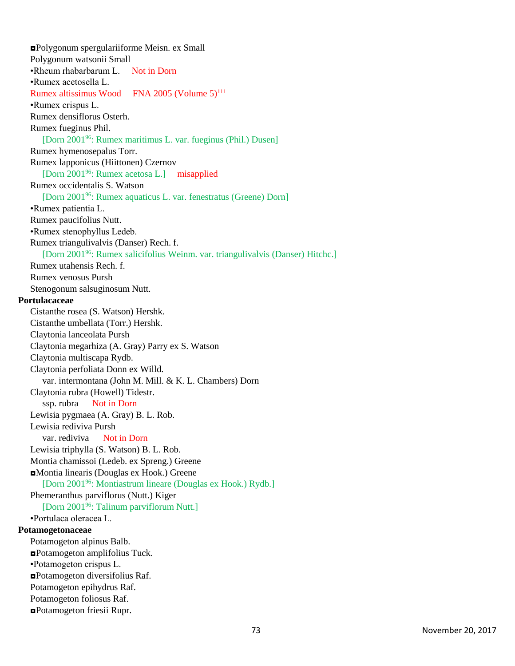◘Polygonum spergulariiforme Meisn. ex Small Polygonum watsonii Small •Rheum rhabarbarum L. Not in Dorn •Rumex acetosella L. Rumex altissimus Wood FNA 2005 (Volume  $5$ )<sup>111</sup> •Rumex crispus L. Rumex densiflorus Osterh. Rumex fueginus Phil. [Dorn 2001<sup>96</sup>: Rumex maritimus L. var. fueginus (Phil.) Dusen] Rumex hymenosepalus Torr. Rumex lapponicus (Hiittonen) Czernov [Dorn 2001<sup>96</sup>: Rumex acetosa L.] misapplied Rumex occidentalis S. Watson [Dorn 2001<sup>96</sup>: Rumex aquaticus L. var. fenestratus (Greene) Dorn] •Rumex patientia L. Rumex paucifolius Nutt. •Rumex stenophyllus Ledeb. Rumex triangulivalvis (Danser) Rech. f. [Dorn 2001<sup>96</sup>: Rumex salicifolius Weinm. var. triangulivalvis (Danser) Hitchc.] Rumex utahensis Rech. f. Rumex venosus Pursh Stenogonum salsuginosum Nutt. **Portulacaceae** Cistanthe rosea (S. Watson) Hershk. Cistanthe umbellata (Torr.) Hershk. Claytonia lanceolata Pursh Claytonia megarhiza (A. Gray) Parry ex S. Watson Claytonia multiscapa Rydb. Claytonia perfoliata Donn ex Willd. var. intermontana (John M. Mill. & K. L. Chambers) Dorn Claytonia rubra (Howell) Tidestr. ssp. rubra Not in Dorn Lewisia pygmaea (A. Gray) B. L. Rob. Lewisia rediviva Pursh var. rediviva Not in Dorn Lewisia triphylla (S. Watson) B. L. Rob. Montia chamissoi (Ledeb. ex Spreng.) Greene ◘Montia linearis (Douglas ex Hook.) Greene [Dorn 2001<sup>96</sup>: Montiastrum lineare (Douglas ex Hook.) Rydb.] Phemeranthus parviflorus (Nutt.) Kiger [Dorn 2001<sup>96</sup>: Talinum parviflorum Nutt.] •Portulaca oleracea L. **Potamogetonaceae** Potamogeton alpinus Balb. ◘Potamogeton amplifolius Tuck. •Potamogeton crispus L. ◘Potamogeton diversifolius Raf. Potamogeton epihydrus Raf. Potamogeton foliosus Raf. ◘Potamogeton friesii Rupr.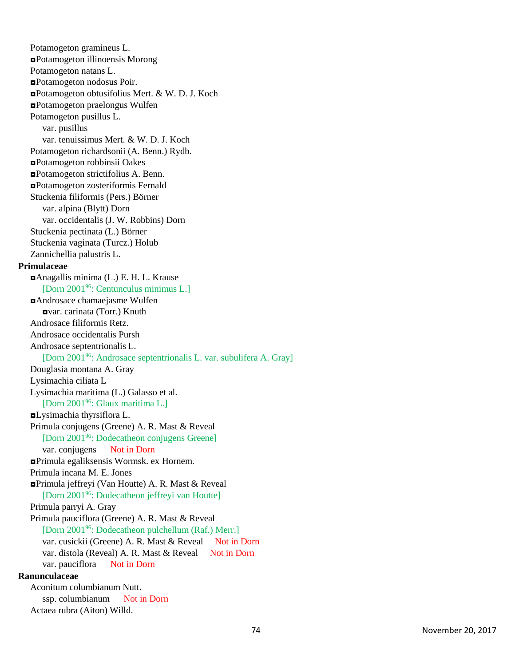Potamogeton gramineus L. ◘Potamogeton illinoensis Morong Potamogeton natans L. ◘Potamogeton nodosus Poir. ◘Potamogeton obtusifolius Mert. & W. D. J. Koch ◘Potamogeton praelongus Wulfen Potamogeton pusillus L. var. pusillus var. tenuissimus Mert. & W. D. J. Koch Potamogeton richardsonii (A. Benn.) Rydb. ◘Potamogeton robbinsii Oakes ◘Potamogeton strictifolius A. Benn. ◘Potamogeton zosteriformis Fernald Stuckenia filiformis (Pers.) Börner var. alpina (Blytt) Dorn var. occidentalis (J. W. Robbins) Dorn Stuckenia pectinata (L.) Börner Stuckenia vaginata (Turcz.) Holub Zannichellia palustris L. **Primulaceae** ◘Anagallis minima (L.) E. H. L. Krause [Dorn 2001<sup>96</sup>: Centunculus minimus L.] ◘Androsace chamaejasme Wulfen ◘var. carinata (Torr.) Knuth Androsace filiformis Retz. Androsace occidentalis Pursh Androsace septentrionalis L. [Dorn 2001<sup>96</sup>: Androsace septentrionalis L. var. subulifera A. Gray] Douglasia montana A. Gray Lysimachia ciliata L Lysimachia maritima (L.) Galasso et al. [Dorn 2001<sup>96</sup>: Glaux maritima L.] ◘Lysimachia thyrsiflora L. Primula conjugens (Greene) A. R. Mast & Reveal [Dorn 2001<sup>96</sup>: Dodecatheon conjugens Greene] var. conjugens Not in Dorn ◘Primula egaliksensis Wormsk. ex Hornem. Primula incana M. E. Jones ◘Primula jeffreyi (Van Houtte) A. R. Mast & Reveal [Dorn 2001<sup>96</sup>: Dodecatheon jeffreyi van Houtte] Primula parryi A. Gray Primula pauciflora (Greene) A. R. Mast & Reveal [Dorn 2001<sup>96</sup>: Dodecatheon pulchellum (Raf.) Merr.] var. cusickii (Greene) A. R. Mast & Reveal Not in Dorn var. distola (Reveal) A. R. Mast & Reveal Not in Dorn var. pauciflora Not in Dorn **Ranunculaceae** Aconitum columbianum Nutt. ssp. columbianum Not in Dorn Actaea rubra (Aiton) Willd.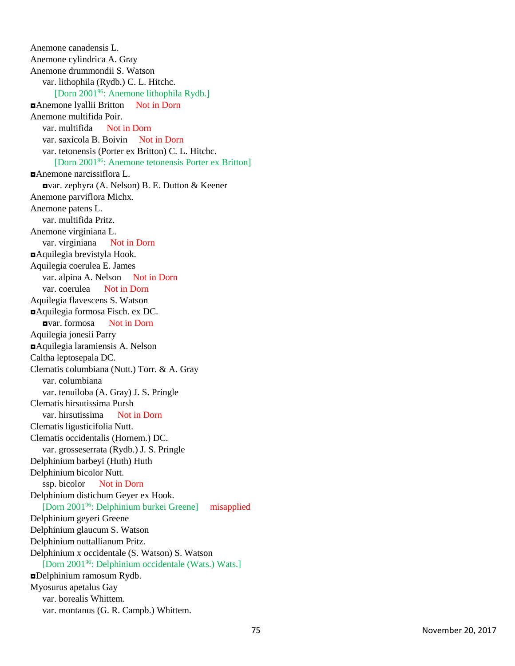Anemone canadensis L. Anemone cylindrica A. Gray Anemone drummondii S. Watson var. lithophila (Rydb.) C. L. Hitchc. [Dorn 2001<sup>96</sup>: Anemone lithophila Rydb.] ◘Anemone lyallii Britton Not in Dorn Anemone multifida Poir. var. multifida Not in Dorn var. saxicola B. Boivin Not in Dorn var. tetonensis (Porter ex Britton) C. L. Hitchc. [Dorn 2001<sup>96</sup>: Anemone tetonensis Porter ex Britton] ◘Anemone narcissiflora L. ◘var. zephyra (A. Nelson) B. E. Dutton & Keene r Anemone parviflora Michx. Anemone patens L. var. multifida Pritz. Anemone virginiana L. var. virginiana Not in Dorn ◘Aquilegia brevistyla Hook. Aquilegia coerulea E. James var. alpina A. Nelson Not in Dorn var. coerulea Not in Dorn Aquilegia flavescens S. Watson ◘Aquilegia formosa Fisch. ex DC. ◘var. formosa Not in Dorn Aquilegia jonesii Parry ◘Aquilegia laramiensis A. Nelson Caltha leptosepala DC. Clematis columbiana (Nutt.) Torr. & A. Gray var. columbiana var. tenuiloba (A. Gray) J. S. Pringle Clematis hirsutissima Pursh var. hirsutissima Not in Dorn Clematis ligusticifolia Nutt. Clematis occidentalis (Hornem.) DC. var. grosseserrata (Rydb.) J. S. Pringle Delphinium barbeyi (Huth) Huth Delphinium bicolor Nutt. ssp. bicolor Not in Dorn Delphinium distichum Geyer ex Hook. [Dorn 2001<sup>96</sup>: Delphinium burkei Greene] misapplied Delphinium geyeri Greene Delphinium glaucum S. Watson Delphinium nuttallianum Pritz. Delphinium x occidentale (S. Watson) S. Watson [Dorn 2001<sup>96</sup>: Delphinium occidentale (Wats.) Wats.] ◘Delphinium ramosum Rydb. Myosurus apetalus Gay var. borealis Whittem. var. montanus (G. R. Campb.) Whittem.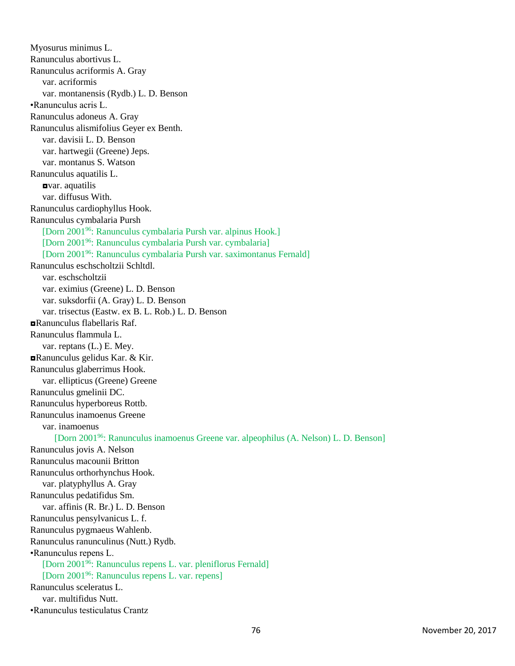Myosurus minimus L. Ranunculus abortivus L. Ranunculus acriformis A. Gray var. acriformis var. montanensis (Rydb.) L. D. Benson •Ranunculus acris L. Ranunculus adoneus A. Gray Ranunculus alismifolius Geyer ex Benth. var. davisii L. D. Benson var. hartwegii (Greene) Jeps. var. montanus S. Watson Ranunculus aquatilis L. ◘var. aquatilis var. diffusus With. Ranunculus cardiophyllus Hook. Ranunculus cymbalaria Pursh [Dorn 2001<sup>96</sup>: Ranunculus cymbalaria Pursh var. alpinus Hook.] [Dorn 2001<sup>96</sup>: Ranunculus cymbalaria Pursh var. cymbalaria] [Dorn 2001<sup>96</sup>: Ranunculus cymbalaria Pursh var. saximontanus Fernald] Ranunculus eschscholtzii Schltdl. var. eschscholtzii var. eximius (Greene) L. D. Benson var. suksdorfii (A. Gray) L. D. Benson var. trisectus (Eastw. ex B. L. Rob.) L. D. Benson ◘Ranunculus flabellaris Raf. Ranunculus flammula L. var. reptans (L.) E. Mey. ◘Ranunculus gelidus Kar. & Kir. Ranunculus glaberrimus Hook. var. ellipticus (Greene) Greene Ranunculus gmelinii DC. Ranunculus hyperboreus Rottb. Ranunculus inamoenus Greene var. inamoenus [Dorn 2001<sup>96</sup>: Ranunculus inamoenus Greene var. alpeophilus (A. Nelson) L. D. Benson] Ranunculus jovis A. Nelson Ranunculus macounii Britton Ranunculus orthorhynchus Hook. var. platyphyllus A. Gray Ranunculus pedatifidus Sm. var. affinis (R. Br.) L. D. Benson Ranunculus pensylvanicus L. f. Ranunculus pygmaeus Wahlenb. Ranunculus ranunculinus (Nutt.) Rydb. •Ranunculus repens L. [Dorn 2001<sup>96</sup>: Ranunculus repens L. var. pleniflorus Fernald] [Dorn 2001<sup>96</sup>: Ranunculus repens L. var. repens] Ranunculus sceleratus L. var. multifidus Nutt. •Ranunculus testiculatus Crantz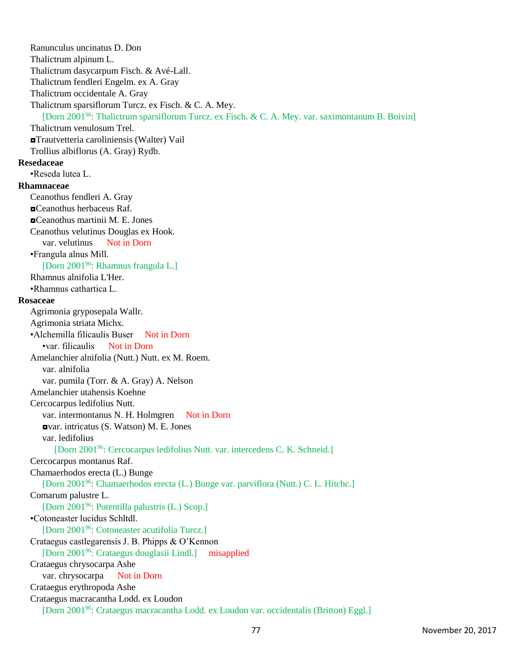Ranunculus uncinatus D. Don Thalictrum alpinum L. Thalictrum dasycarpum Fisch. & Avé-Lall. Thalictrum fendleri Engelm. ex A. Gray Thalictrum occidentale A. Gray Thalictrum sparsiflorum Turcz. ex Fisch. & C. A. Mey. [Dorn 2001<sup>96</sup>: Thalictrum sparsiflorum Turcz. ex Fisch. & C. A. Mey. var. saximontanum B. Boivin] Thalictrum venulosum Trel. ◘Trautvetteria caroliniensis (Walter) Vail Trollius albiflorus (A. Gray) Rydb. **Resedaceae** •Reseda lutea L. **Rhamnaceae** Ceanothus fendleri A. Gray ◘Ceanothus herbaceus Raf. ◘Ceanothus martinii M. E. Jones Ceanothus velutinus Douglas ex Hook. var. velutinus Not in Dorn •Frangula alnus Mill. [Dorn 2001<sup>96</sup>: Rhamnus frangula L.] Rhamnus alnifolia L'Her. •Rhamnus cathartica L. **Rosaceae** Agrimonia gryposepala Wallr. Agrimonia striata Michx. •Alchemilla filicaulis Buser Not in Dorn •var. filicaulis Not in Dorn Amelanchier alnifolia (Nutt.) Nutt. ex M. Roem. var. alnifolia var. pumila (Torr. & A. Gray) A. Nelson Amelanchier utahensis Koehne Cercocarpus ledifolius Nutt. var. intermontanus N. H. Holmgren Not in Dorn ◘var. intricatus (S. Watson) M. E. Jones var. ledifolius [Dorn 2001<sup>96</sup>: Cercocarpus ledifolius Nutt. var. intercedens C. K. Schneid.] Cercocarpus montanus Raf. Chamaerhodos erecta (L.) Bunge [Dorn 2001<sup>96</sup>: Chamaerhodos erecta (L.) Bunge var. parviflora (Nutt.) C. L. Hitchc.] Comarum palustre L. [Dorn 2001<sup>96</sup>: Potentilla palustris (L.) Scop.] •Cotoneaster lucidus Schltdl. [Dorn 2001<sup>96</sup>: Cotoneaster acutifolia Turcz.] Crataegus castlegarensis J. B. Phipps & O'Kennon [Dorn 2001<sup>96</sup>: Crataegus douglasii Lindl.] misapplied Crataegus chrysocarpa Ashe var. chrysocarpa Not in Dorn Crataegus erythropoda Ashe Crataegus macracantha Lodd. ex Loudon [Dorn 200196: Crataegus macracantha Lodd. ex Loudon var. occidentalis (Britton) Eggl.]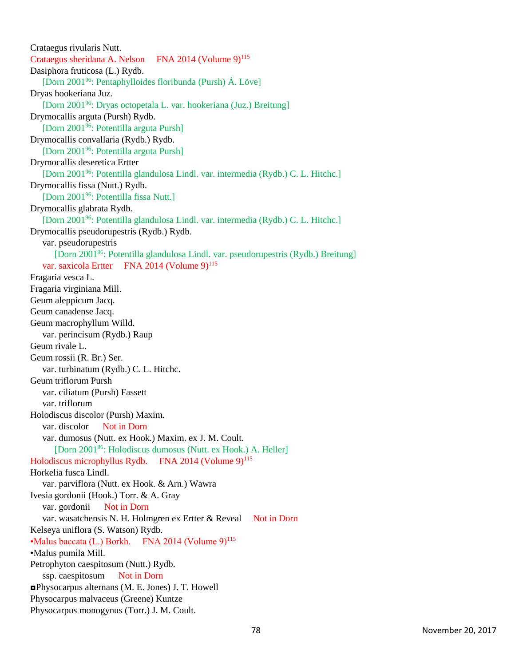Crataegus rivularis Nutt. Crataegus sheridana A. Nelson FNA 2014 (Volume 9)<sup>115</sup> Dasiphora fruticosa (L.) Rydb. [Dorn 2001<sup>96</sup>: Pentaphylloides floribunda (Pursh) Á. Löve] Dryas hookeriana Juz. [Dorn 2001<sup>96</sup>: Dryas octopetala L. var. hookeriana (Juz.) Breitung] Drymocallis arguta (Pursh) Rydb. [Dorn 2001<sup>96</sup>: Potentilla arguta Pursh] Drymocallis convallaria (Rydb.) Rydb. [Dorn 2001<sup>96</sup>: Potentilla arguta Pursh] Drymocallis deseretica Ertter [Dorn 2001<sup>96</sup>: Potentilla glandulosa Lindl. var. intermedia (Rydb.) C. L. Hitchc.] Drymocallis fissa (Nutt.) Rydb. [Dorn 2001<sup>96</sup>: Potentilla fissa Nutt.] Drymocallis glabrata Rydb. [Dorn 2001<sup>96</sup>: Potentilla glandulosa Lindl. var. intermedia (Rydb.) C. L. Hitchc.] Drymocallis pseudorupestris (Rydb.) Rydb. var. pseudorupestris [Dorn 2001<sup>96</sup>: Potentilla glandulosa Lindl. var. pseudorupestris (Rydb.) Breitung] var. saxicola Ertter FNA 2014 (Volume 9)<sup>115</sup> Fragaria vesca L. Fragaria virginiana Mill. Geum aleppicum Jacq. Geum canadense Jacq. Geum macrophyllum Willd. var. perincisum (Rydb.) Raup Geum rivale L. Geum rossii (R. Br.) Ser. var. turbinatum (Rydb.) C. L. Hitchc. Geum triflorum Pursh var. ciliatum (Pursh) Fassett var. triflorum Holodiscus discolor (Pursh) Maxim. var. discolor Not in Dorn var. dumosus (Nutt. ex Hook.) Maxim. ex J. M. Coult. [Dorn 2001<sup>96</sup>: Holodiscus dumosus (Nutt. ex Hook.) A. Heller] Holodiscus microphyllus Rydb. FNA 2014 (Volume  $9)^{115}$ Horkelia fusca Lindl. var. parviflora (Nutt. ex Hook. & Arn.) Wawra Ivesia gordonii (Hook.) Torr. & A. Gray var. gordonii Not in Dorn var. wasatchensis N. H. Holmgren ex Ertter & Reveal Not in Dorn Kelseya uniflora (S. Watson) Rydb. •Malus baccata (L.) Borkh. FNA 2014 (Volume 9)<sup>115</sup> •Malus pumila Mill. Petrophyton caespitosum (Nutt.) Rydb. ssp. caespitosum Not in Dorn ◘Physocarpus alternans (M. E. Jones) J. T. Howell Physocarpus malvaceus (Greene) Kuntze Physocarpus monogynus (Torr.) J. M. Coult.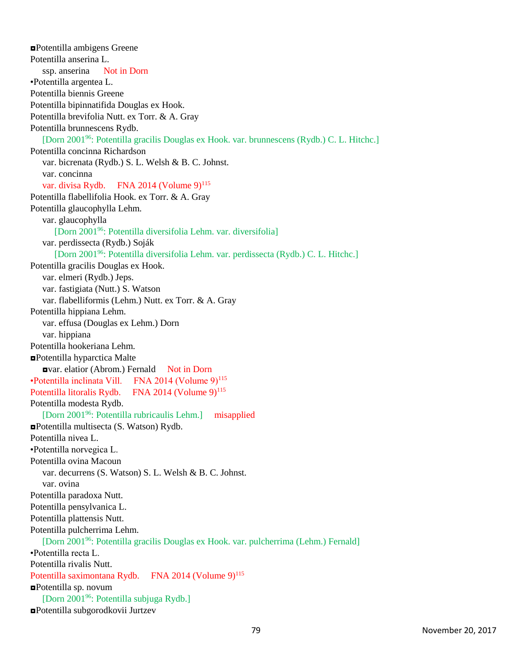◘Potentilla ambigens Greene Potentilla anserina L. ssp. anserina Not in Dorn •Potentilla argentea L. Potentilla biennis Greene Potentilla bipinnatifida Douglas ex Hook. Potentilla brevifolia Nutt. ex Torr. & A. Gray Potentilla brunnescens Rydb. [Dorn 2001<sup>96</sup>: Potentilla gracilis Douglas ex Hook. var. brunnescens (Rydb.) C. L. Hitchc.] Potentilla concinna Richardson var. bicrenata (Rydb.) S. L. Welsh & B. C. Johnst. var. concinna var. divisa Rydb. FNA 2014 (Volume 9)<sup>115</sup> Potentilla flabellifolia Hook. ex Torr. & A. Gray Potentilla glaucophylla Lehm. var. glaucophylla [Dorn 2001<sup>96</sup>: Potentilla diversifolia Lehm. var. diversifolia] var. perdissecta (Rydb.) Soják [Dorn 2001<sup>96</sup>: Potentilla diversifolia Lehm. var. perdissecta (Rydb.) C. L. Hitchc.] Potentilla gracilis Douglas ex Hook. var. elmeri (Rydb.) Jeps. var. fastigiata (Nutt.) S. Watson var. flabelliformis (Lehm.) Nutt. ex Torr. & A. Gray Potentilla hippiana Lehm. var. effusa (Douglas ex Lehm.) Dorn var. hippiana Potentilla hookeriana Lehm. ◘Potentilla hyparctica Malte ◘var. elatior (Abrom.) Fernald Not in Dorn •Potentilla inclinata Vill. FNA 2014 (Volume  $9$ )<sup>115</sup> Potentilla litoralis Rydb. FNA 2014 (Volume 9)<sup>115</sup> Potentilla modesta Rydb. [Dorn 2001<sup>96</sup>: Potentilla rubricaulis Lehm.] misapplied ◘Potentilla multisecta (S. Watson) Rydb. Potentilla nivea L. •Potentilla norvegica L. Potentilla ovina Macoun var. decurrens (S. Watson) S. L. Welsh & B. C. Johnst. var. ovina Potentilla paradoxa Nutt. Potentilla pensylvanica L. Potentilla plattensis Nutt. Potentilla pulcherrima Lehm. [Dorn 2001<sup>96</sup>: Potentilla gracilis Douglas ex Hook. var. pulcherrima (Lehm.) Fernald] •Potentilla recta L. Potentilla rivalis Nutt. Potentilla saximontana Rydb. FNA 2014 (Volume 9)<sup>115</sup> ◘Potentilla sp. novum [Dorn 2001<sup>96</sup>: Potentilla subjuga Rydb.] ◘Potentilla subgorodkovii Jurtzev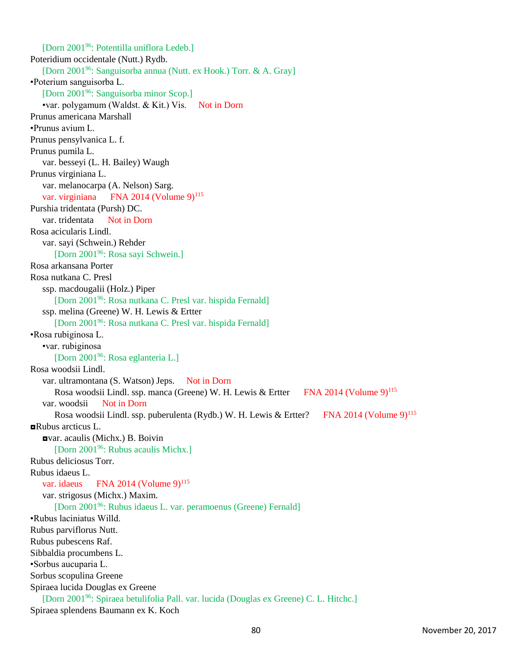[Dorn 2001<sup>96</sup>: Potentilla uniflora Ledeb.] Poteridium occidentale (Nutt.) Rydb. [Dorn 2001<sup>96</sup>: Sanguisorba annua (Nutt. ex Hook.) Torr. & A. Gray] •Poterium sanguisorba L. [Dorn 2001<sup>96</sup>: Sanguisorba minor Scop.] •var. polygamum (Waldst. & Kit.) Vis. Not in Dorn Prunus americana Marshall •Prunus avium L. Prunus pensylvanica L. f. Prunus pumila L. var. besseyi (L. H. Bailey) Waugh Prunus virginiana L. var. melanocarpa (A. Nelson) Sarg. var. virginiana FNA 2014 (Volume 9)<sup>115</sup> Purshia tridentata (Pursh) DC. var. tridentata Not in Dorn Rosa acicularis Lindl. var. sayi (Schwein.) Rehder [Dorn 2001<sup>96</sup>: Rosa sayi Schwein.] Rosa arkansana Porter Rosa nutkana C. Presl ssp. macdougalii (Holz.) Piper [Dorn 2001<sup>96</sup>: Rosa nutkana C. Presl var. hispida Fernald] ssp. melina (Greene) W. H. Lewis & Ertter [Dorn 2001<sup>96</sup>: Rosa nutkana C. Presl var. hispida Fernald] •Rosa rubiginosa L. •var. rubiginosa [Dorn 2001<sup>96</sup>: Rosa eglanteria L.] Rosa woodsii Lindl. var. ultramontana (S. Watson) Jeps. Not in Dorn Rosa woodsii Lindl. ssp. manca (Greene) W. H. Lewis & Ertter FNA 2014 (Volume 9)<sup>115</sup> var. woodsii Not in Dorn Rosa woodsii Lindl. ssp. puberulenta (Rydb.) W. H. Lewis & Ertter? FNA 2014 (Volume 9)<sup>115</sup> ◘Rubus arcticus L. ◘var. acaulis (Michx.) B. Boivin [Dorn 2001<sup>96</sup>: Rubus acaulis Michx.] Rubus deliciosus Torr. Rubus idaeus L. var. idaeus FNA 2014 (Volume  $9)^{115}$ var. strigosus (Michx.) Maxim. [Dorn 2001<sup>96</sup>: Rubus idaeus L. var. peramoenus (Greene) Fernald] •Rubus laciniatus Willd. Rubus parviflorus Nutt. Rubus pubescens Raf. Sibbaldia procumbens L. •Sorbus aucuparia L. Sorbus scopulina Greene Spiraea lucida Douglas ex Greene [Dorn 2001<sup>96</sup>: Spiraea betulifolia Pall. var. lucida (Douglas ex Greene) C. L. Hitchc.] Spiraea splendens Baumann ex K. Koch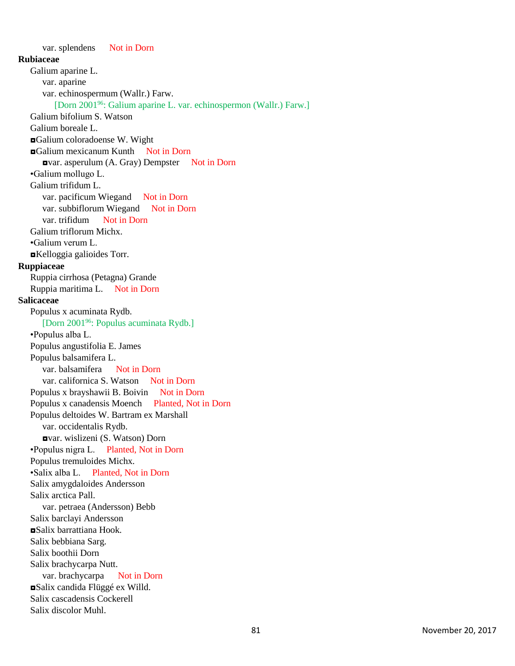var. splendens Not in Dorn **Rubiaceae** Galium aparine L. var. aparine var. echinospermum (Wallr.) Farw. [Dorn 2001<sup>96</sup>: Galium aparine L. var. echinospermon (Wallr.) Farw.] Galium bifolium S. Watson Galium boreale L. ◘Galium coloradoense W. Wight ◘Galium mexicanum Kunth Not in Dorn ◘var. asperulum (A. Gray) Dempster Not in Dorn •Galium mollugo L. Galium trifidum L. var. pacificum Wiegand Not in Dorn var. subbiflorum Wiegand Not in Dorn var. trifidum Not in Dorn Galium triflorum Michx. •Galium verum L. ◘Kelloggia galioides Torr. **Ruppiaceae** Ruppia cirrhosa (Petagna) Grande Ruppia maritima L. Not in Dorn **Salicaceae** Populus x acuminata Rydb. [Dorn 2001<sup>96</sup>: Populus acuminata Rydb.] •Populus alba L. Populus angustifolia E. James Populus balsamifera L. var. balsamifera Not in Dorn var. californica S. Watson Not in Dorn Populus x brayshawii B. Boivin Not in Dorn Populus x canadensis Moench Planted, Not in Dorn Populus deltoides W. Bartram ex Marshall var. occidentalis Rydb. ◘var. wislizeni (S. Watson) Dorn •Populus nigra L. Planted, Not in Dorn Populus tremuloides Michx. •Salix alba L. Planted, Not in Dorn Salix amygdaloides Andersson Salix arctica Pall. var. petraea (Andersson) Bebb Salix barclayi Andersson ◘Salix barrattiana Hook. Salix bebbiana Sarg. Salix boothii Dorn Salix brachycarpa Nutt. var. brachycarpa Not in Dorn ◘Salix candida Flüggé ex Willd. Salix cascadensis Cockerell Salix discolor Muhl.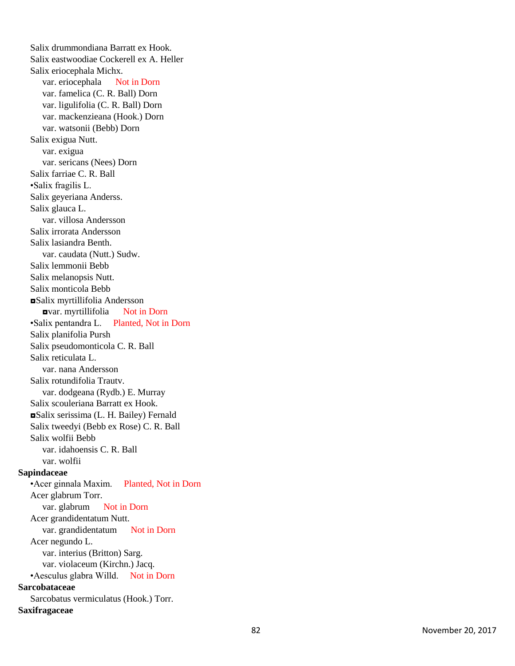Salix drummondiana Barratt ex Hook. Salix eastwoodiae Cockerell ex A. Heller Salix eriocephala Michx. var. eriocephala Not in Dorn var. famelica (C. R. Ball) Dorn var. ligulifolia (C. R. Ball) Dorn var. mackenzieana (Hook.) Dorn var. watsonii (Bebb) Dorn Salix exigua Nutt. var. exigua var. sericans (Nees) Dorn Salix farriae C. R. Ball •Salix fragilis L. Salix geyeriana Anderss. Salix glauca L. var. villosa Andersson Salix irrorata Andersson Salix lasiandra Benth. var. caudata (Nutt.) Sudw. Salix lemmonii Bebb Salix melanopsis Nutt. Salix monticola Bebb ◘Salix myrtillifolia Andersson ◘var. myrtillifolia Not in Dorn •Salix pentandra L. Planted, Not in Dorn Salix planifolia Pursh Salix pseudomonticola C. R. Ball Salix reticulata L. var. nana Andersson Salix rotundifolia Trautv. var. dodgeana (Rydb.) E. Murray Salix scouleriana Barratt ex Hook. ◘Salix serissima (L. H. Bailey) Fernald Salix tweedyi (Bebb ex Rose) C. R. Ball Salix wolfii Bebb var. idahoensis C. R. Ball var. wolfii **Sapindaceae** •Acer ginnala Maxim. Planted, Not in Dorn Acer glabrum Torr. var. glabrum Not in Dorn Acer grandidentatum Nutt. var. grandidentatum Not in Dorn Acer negundo L. var. interius (Britton) Sarg. var. violaceum (Kirchn.) Jacq. •Aesculus glabra Willd. Not in Dorn **Sarcobataceae** Sarcobatus vermiculatus (Hook.) Torr. **Saxifragaceae**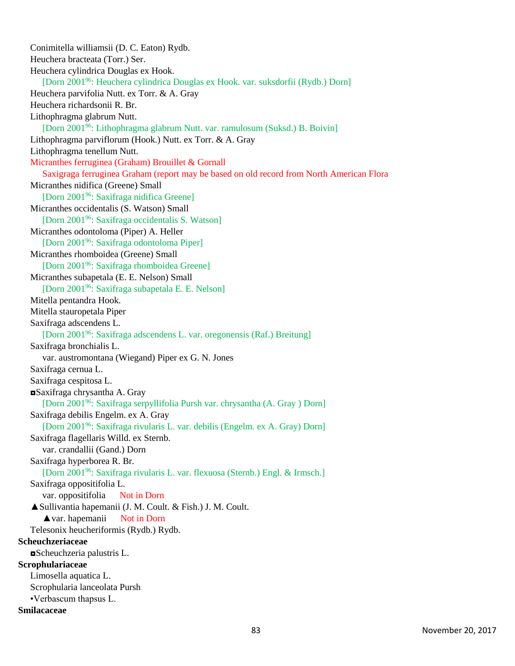Conimitella williamsii (D. C. Eaton) Rydb. Heuchera bracteata (Torr.) Ser. Heuchera cylindrica Douglas ex Hook. [Dorn 2001<sup>96</sup>: Heuchera cylindrica Douglas ex Hook. var. suksdorfii (Rydb.) Dorn] Heuchera parvifolia Nutt. ex Torr. & A. Gray Heuchera richardsonii R. Br. Lithophragma glabrum Nutt. [Dorn 2001<sup>96</sup>: Lithophragma glabrum Nutt. var. ramulosum (Suksd.) B. Boivin] Lithophragma parviflorum (Hook.) Nutt. ex Torr. & A. Gray Lithophragma tenellum Nutt. Micranthes ferruginea (Graham) Brouillet & Gornall Saxigraga ferruginea Graham (report may be based on old record from North American Flora Micranthes nidifica (Greene) Small [Dorn 2001<sup>96</sup>: Saxifraga nidifica Greene] Micranthes occidentalis (S. Watson) Small [Dorn 2001<sup>96</sup>: Saxifraga occidentalis S. Watson] Micranthes odontoloma (Piper) A. Heller [Dorn 2001<sup>96</sup>: Saxifraga odontoloma Piper] Micranthes rhomboidea (Greene) Small [Dorn 2001<sup>96</sup>: Saxifraga rhomboidea Greene] Micranthes subapetala (E. E. Nelson) Small [Dorn 2001<sup>96</sup>: Saxifraga subapetala E. E. Nelson] Mitella pentandra Hook. Mitella stauropetala Piper Saxifraga adscendens L. [Dorn 2001<sup>96</sup>: Saxifraga adscendens L. var. oregonensis (Raf.) Breitung] Saxifraga bronchialis L. var. austromontana (Wiegand) Piper ex G. N. Jones Saxifraga cernua L. Saxifraga cespitosa L. ◘Saxifraga chrysantha A. Gray [Dorn 2001<sup>96</sup>: Saxifraga serpyllifolia Pursh var. chrysantha (A. Gray ) Dorn] Saxifraga debilis Engelm. ex A. Gray [Dorn 2001<sup>96</sup>: Saxifraga rivularis L. var. debilis (Engelm. ex A. Gray) Dorn] Saxifraga flagellaris Willd. ex Sternb. var. crandallii (Gand.) Dorn Saxifraga hyperborea R. Br. [Dorn 2001<sup>96</sup>: Saxifraga rivularis L. var. flexuosa (Sternb.) Engl. & Irmsch.] Saxifraga oppositifolia L. var. oppositifolia Not in Dorn ▲Sullivantia hapemanii (J. M. Coult. & Fish.) J. M. Coult. ▲var. hapemanii Not in Dorn Telesonix heucheriformis (Rydb.) Rydb. **Scheuchzeriaceae** ◘Scheuchzeria palustris L. **Scrophulariaceae** Limosella aquatica L. Scrophularia lanceolata Pursh •Verbascum thapsus L. **Smilacaceae**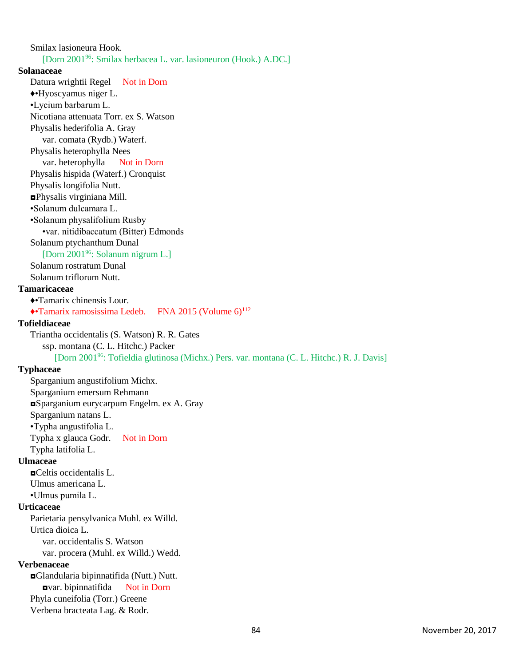Smilax lasioneura Hook. [Dorn 2001<sup>96</sup>: Smilax herbacea L. var. lasioneuron (Hook.) A.DC.] **Solanaceae** Datura wrightii Regel Not in Dorn ♦•Hyoscyamus niger L. •Lycium barbarum L. Nicotiana attenuata Torr. ex S. Watson Physalis hederifolia A. Gray var. comata (Rydb.) Waterf. Physalis heterophylla Nees var. heterophylla Not in Dorn Physalis hispida (Waterf.) Cronquist Physalis longifolia Nutt. ◘Physalis virginiana Mill. •Solanum dulcamara L. •Solanum physalifolium Rusby •var. nitidibaccatum (Bitter) Edmonds Solanum ptychanthum Dunal [Dorn 2001<sup>96</sup>: Solanum nigrum L.] Solanum rostratum Dunal Solanum triflorum Nutt. **Tamaricaceae** ♦•Tamarix chinensis Lour.  $\triangle$ •Tamarix ramosissima Ledeb. FNA 2015 (Volume 6)<sup>112</sup> **Tofieldiaceae** Triantha occidentalis (S. Watson) R. R. Gates ssp. montana (C. L. Hitchc.) Packer [Dorn 2001<sup>96</sup>: Tofieldia glutinosa (Michx.) Pers. var. montana (C. L. Hitchc.) R. J. Davis] **Typhaceae** Sparganium angustifolium Michx. Sparganium emersum Rehmann ◘Sparganium eurycarpum Engelm. ex A. Gray Sparganium natans L. •Typha angustifolia L. Typha x glauca Godr. Not in Dorn Typha latifolia L. **Ulmaceae** ◘Celtis occidentalis L. Ulmus americana L. •Ulmus pumila L. **Urticaceae** Parietaria pensylvanica Muhl. ex Willd. Urtica dioica L. var. occidentalis S. Watson var. procera (Muhl. ex Willd.) Wedd. **Verbenaceae** ◘Glandularia bipinnatifida (Nutt.) Nutt. ◘var. bipinnatifida Not in Dorn Phyla cuneifolia (Torr.) Greene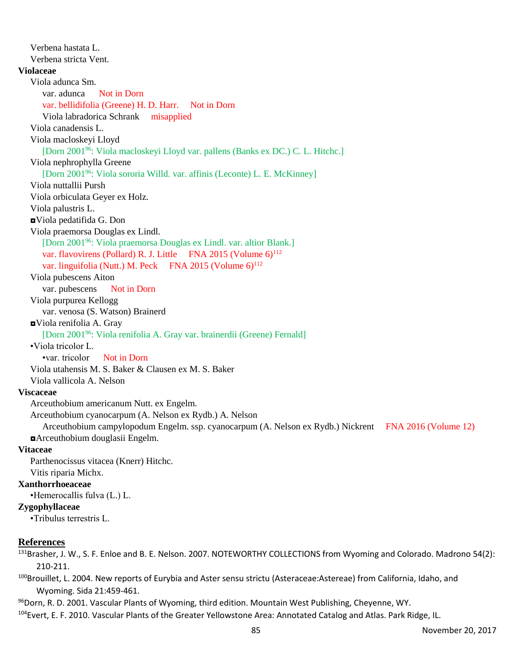Verbena hastata L. Verbena stricta Vent. **Violaceae** Viola adunca Sm. var. adunca Not in Dorn var. bellidifolia (Greene) H. D. Harr. Not in Dorn Viola labradorica Schrank misapplied Viola canadensis L. Viola macloskeyi Lloyd [Dorn 2001<sup>96</sup>: Viola macloskeyi Lloyd var. pallens (Banks ex DC.) C. L. Hitchc.] Viola nephrophylla Greene [Dorn 2001<sup>96</sup>: Viola sororia Willd. var. affinis (Leconte) L. E. McKinney] Viola nuttallii Pursh Viola orbiculata Geyer ex Holz. Viola palustris L. ◘Viola pedatifida G. Don Viola praemorsa Douglas ex Lindl. [Dorn 2001<sup>96</sup>: Viola praemorsa Douglas ex Lindl. var. altior Blank.] var. flavovirens (Pollard) R. J. Little FNA 2015 (Volume 6)<sup>112</sup> var. linguifolia (Nutt.) M. Peck FNA 2015 (Volume  $6$ )<sup>112</sup> Viola pubescens Aiton var. pubescens Not in Dorn Viola purpurea Kellogg var. venosa (S. Watson) Brainerd ◘Viola renifolia A. Gray [Dorn 2001<sup>96</sup>: Viola renifolia A. Gray var. brainerdii (Greene) Fernald] •Viola tricolor L. •var. tricolor Not in Dorn Viola utahensis M. S. Baker & Clausen ex M. S. Baker Viola vallicola A. Nelson **Viscaceae** Arceuthobium americanum Nutt. ex Engelm. Arceuthobium cyanocarpum (A. Nelson ex Rydb.) A. Nelson Arceuthobium campylopodum Engelm. ssp. cyanocarpum (A. Nelson ex Rydb.) Nickrent FNA 2016 (Volume 12) ◘Arceuthobium douglasii Engelm. **Vitaceae** Parthenocissus vitacea (Knerr) Hitchc. Vitis riparia Michx. **Xanthorrhoeaceae** •Hemerocallis fulva (L.) L. **Zygophyllaceae** •Tribulus terrestris L.

## **References**

131Brasher, J. W., S. F. Enloe and B. E. Nelson. 2007. NOTEWORTHY COLLECTIONS from Wyoming and Colorado. Madrono 54(2): 210-211.

100Brouillet, L. 2004. New reports of Eurybia and Aster sensu strictu (Asteraceae:Astereae) from California, Idaho, and Wyoming. Sida 21:459-461.

<sup>96</sup>Dorn, R. D. 2001. Vascular Plants of Wyoming, third edition. Mountain West Publishing, Cheyenne, WY.

104 Evert, E. F. 2010. Vascular Plants of the Greater Yellowstone Area: Annotated Catalog and Atlas. Park Ridge, IL.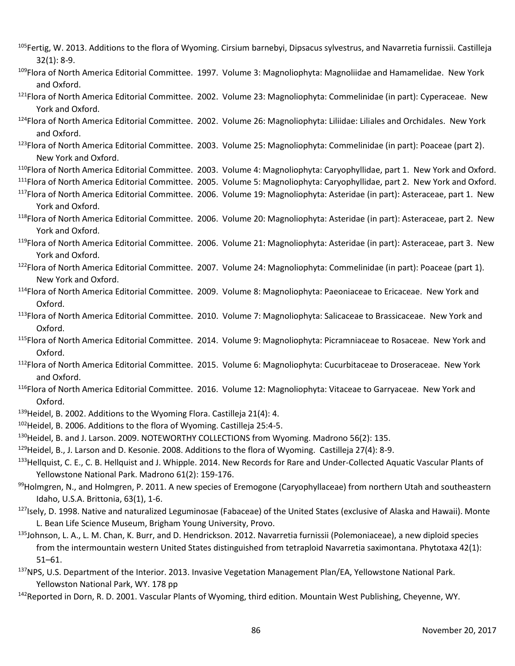- $105$ Fertig, W. 2013. Additions to the flora of Wyoming. Cirsium barnebyi, Dipsacus sylvestrus, and Navarretia furnissii. Castilleja 32(1): 8-9.
- 109Flora of North America Editorial Committee. 1997. Volume 3: Magnoliophyta: Magnoliidae and Hamamelidae. New York and Oxford.
- <sup>121</sup>Flora of North America Editorial Committee. 2002. Volume 23: Magnoliophyta: Commelinidae (in part): Cyperaceae. New York and Oxford.
- <sup>124</sup>Flora of North America Editorial Committee. 2002. Volume 26: Magnoliophyta: Liliidae: Liliales and Orchidales. New York and Oxford.
- <sup>123</sup>Flora of North America Editorial Committee. 2003. Volume 25: Magnoliophyta: Commelinidae (in part): Poaceae (part 2). New York and Oxford.

<sup>110</sup>Flora of North America Editorial Committee. 2003. Volume 4: Magnoliophyta: Caryophyllidae, part 1. New York and Oxford. <sup>111</sup>Flora of North America Editorial Committee. 2005. Volume 5: Magnoliophyta: Caryophyllidae, part 2. New York and Oxford.

- <sup>117</sup>Flora of North America Editorial Committee. 2006. Volume 19: Magnoliophyta: Asteridae (in part): Asteraceae, part 1. New York and Oxford.
- <sup>118</sup>Flora of North America Editorial Committee. 2006. Volume 20: Magnoliophyta: Asteridae (in part): Asteraceae, part 2. New York and Oxford.
- <sup>119</sup>Flora of North America Editorial Committee. 2006. Volume 21: Magnoliophyta: Asteridae (in part): Asteraceae, part 3. New York and Oxford.
- <sup>122</sup>Flora of North America Editorial Committee. 2007. Volume 24: Magnoliophyta: Commelinidae (in part): Poaceae (part 1). New York and Oxford.
- <sup>114</sup>Flora of North America Editorial Committee. 2009. Volume 8: Magnoliophyta: Paeoniaceae to Ericaceae. New York and Oxford.
- <sup>113</sup>Flora of North America Editorial Committee. 2010. Volume 7: Magnoliophyta: Salicaceae to Brassicaceae. New York and Oxford.
- <sup>115</sup>Flora of North America Editorial Committee. 2014. Volume 9: Magnoliophyta: Picramniaceae to Rosaceae. New York and Oxford.
- <sup>112</sup>Flora of North America Editorial Committee. 2015. Volume 6: Magnoliophyta: Cucurbitaceae to Droseraceae. New York and Oxford.
- <sup>116</sup>Flora of North America Editorial Committee. 2016. Volume 12: Magnoliophyta: Vitaceae to Garryaceae. New York and Oxford.
- <sup>139</sup>Heidel, B. 2002. Additions to the Wyoming Flora. Castilleja 21(4): 4.
- <sup>102</sup>Heidel, B. 2006. Additions to the flora of Wyoming. Castilleja 25:4-5.
- <sup>130</sup>Heidel, B. and J. Larson. 2009. NOTEWORTHY COLLECTIONS from Wyoming. Madrono 56(2): 135.
- <sup>129</sup>Heidel, B., J. Larson and D. Kesonie. 2008. Additions to the flora of Wyoming. Castilleja 27(4): 8-9.
- 133Hellquist, C. E., C. B. Hellquist and J. Whipple. 2014. New Records for Rare and Under-Collected Aquatic Vascular Plants of Yellowstone National Park. Madrono 61(2): 159-176.
- $99$ Holmgren, N., and Holmgren, P. 2011. A new species of Eremogone (Caryophyllaceae) from northern Utah and southeastern Idaho, U.S.A. Brittonia, 63(1), 1-6.
- <sup>127</sup>Isely, D. 1998. Native and naturalized Leguminosae (Fabaceae) of the United States (exclusive of Alaska and Hawaii). Monte L. Bean Life Science Museum, Brigham Young University, Provo.
- <sup>135</sup>Johnson, L. A., L. M. Chan, K. Burr, and D. Hendrickson. 2012. Navarretia furnissii (Polemoniaceae), a new diploid species from the intermountain western United States distinguished from tetraploid Navarretia saximontana. Phytotaxa 42(1): 51–61.
- <sup>137</sup>NPS, U.S. Department of the Interior. 2013. Invasive Vegetation Management Plan/EA, Yellowstone National Park. Yellowston National Park, WY. 178 pp
- <sup>142</sup>Reported in Dorn, R. D. 2001. Vascular Plants of Wyoming, third edition. Mountain West Publishing, Cheyenne, WY.